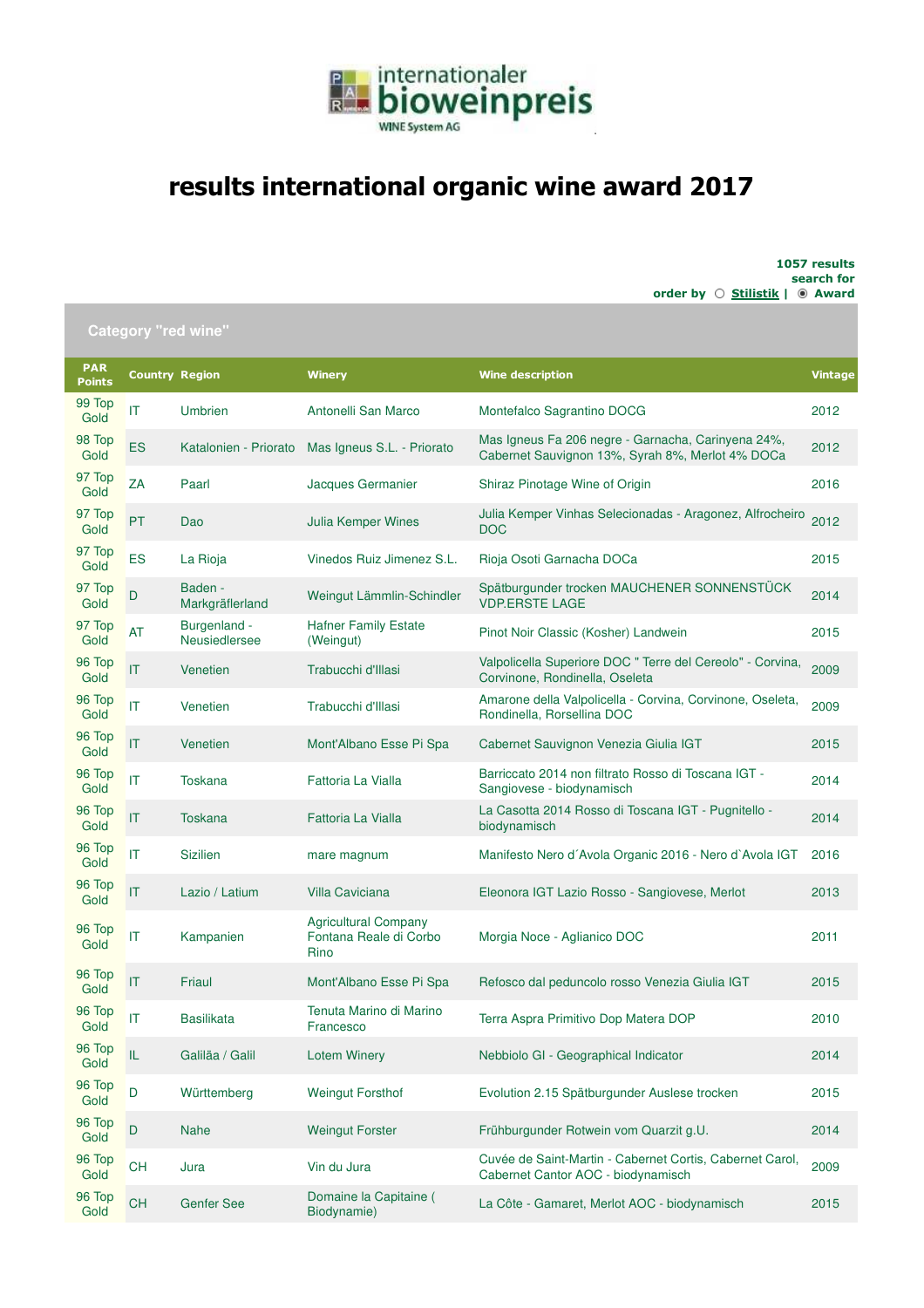

## **results international organic wine award 2017**

**1057 results search for** order by  $\bigcirc$  **Stilistik** |  $\bullet$  Award

| Category "red wine          |                                          |                               |                                                               |                                                                                                        |                |  |
|-----------------------------|------------------------------------------|-------------------------------|---------------------------------------------------------------|--------------------------------------------------------------------------------------------------------|----------------|--|
| <b>PAR</b><br><b>Points</b> | <b>Country Region</b>                    |                               | <b>Winery</b>                                                 | <b>Wine description</b>                                                                                | <b>Vintage</b> |  |
| 99 Top<br>Gold              | IT                                       | Umbrien                       | Antonelli San Marco                                           | Montefalco Sagrantino DOCG                                                                             | 2012           |  |
| 98 Top<br>Gold              | ES                                       | Katalonien - Priorato         | Mas Igneus S.L. - Priorato                                    | Mas Igneus Fa 206 negre - Garnacha, Carinyena 24%,<br>Cabernet Sauvignon 13%, Syrah 8%, Merlot 4% DOCa | 2012           |  |
| 97 Top<br>Gold              | ZA                                       | Paarl                         | Jacques Germanier                                             | Shiraz Pinotage Wine of Origin                                                                         | 2016           |  |
| 97 Top<br>Gold              | <b>PT</b>                                | Dao                           | Julia Kemper Wines                                            | Julia Kemper Vinhas Selecionadas - Aragonez, Alfrocheiro<br><b>DOC</b>                                 | 2012           |  |
| 97 Top<br>Gold              | ES                                       | La Rioja                      | Vinedos Ruiz Jimenez S.L.                                     | Rioja Osoti Garnacha DOCa                                                                              | 2015           |  |
| 97 Top<br>Gold              | D                                        | Baden -<br>Markgräflerland    | Weingut Lämmlin-Schindler                                     | Spätburgunder trocken MAUCHENER SONNENSTÜCK<br><b>VDP.ERSTE LAGE</b>                                   | 2014           |  |
| 97 Top<br>Gold              | <b>AT</b>                                | Burgenland -<br>Neusiedlersee | <b>Hafner Family Estate</b><br>(Weingut)                      | Pinot Noir Classic (Kosher) Landwein                                                                   | 2015           |  |
| 96 Top<br>Gold              | T                                        | Venetien                      | Trabucchi d'Illasi                                            | Valpolicella Superiore DOC " Terre del Cereolo" - Corvina,<br>Corvinone, Rondinella, Oseleta           | 2009           |  |
| 96 Top<br>Gold              | IT                                       | Venetien                      | Trabucchi d'Illasi                                            | Amarone della Valpolicella - Corvina, Corvinone, Oseleta,<br>Rondinella, Rorsellina DOC                | 2009           |  |
| 96 Top<br>Gold              | IT                                       | Venetien                      | Mont'Albano Esse Pi Spa                                       | Cabernet Sauvignon Venezia Giulia IGT                                                                  | 2015           |  |
| 96 Top<br>Gold              | IT                                       | <b>Toskana</b>                | Fattoria La Vialla                                            | Barriccato 2014 non filtrato Rosso di Toscana IGT -<br>Sangiovese - biodynamisch                       | 2014           |  |
| 96 Top<br>Gold              | IT                                       | <b>Toskana</b>                | Fattoria La Vialla                                            | La Casotta 2014 Rosso di Toscana IGT - Pugnitello -<br>biodynamisch                                    | 2014           |  |
| 96 Top<br>Gold              | IT                                       | <b>Sizilien</b>               | mare magnum                                                   | Manifesto Nero d'Avola Organic 2016 - Nero d'Avola IGT                                                 | 2016           |  |
| 96 Top<br>Gold              | IT                                       | Lazio / Latium                | <b>Villa Caviciana</b>                                        | Eleonora IGT Lazio Rosso - Sangiovese, Merlot                                                          | 2013           |  |
| 96 Top<br>Gold              | IT                                       | Kampanien                     | <b>Agricultural Company</b><br>Fontana Reale di Corbo<br>Rino | Morgia Noce - Aglianico DOC                                                                            | 2011           |  |
| 96 Top<br>Gold              | IT                                       | Friaul                        | Mont'Albano Esse Pi Spa                                       | Refosco dal peduncolo rosso Venezia Giulia IGT                                                         | 2015           |  |
| 96 Top<br>Gold              | IΤ                                       | Basilikata                    | Tenuta Marino di Marino<br>Francesco                          | Terra Aspra Primitivo Dop Matera DOP                                                                   | 2010           |  |
| 96 Top<br>Gold              | ${\sf IL}$                               | Galiläa / Galil               | <b>Lotem Winery</b>                                           | Nebbiolo GI - Geographical Indicator                                                                   | 2014           |  |
| 96 Top<br>Gold              | $\mathsf D$                              | Württemberg                   | <b>Weingut Forsthof</b>                                       | Evolution 2.15 Spätburgunder Auslese trocken                                                           | 2015           |  |
| 96 Top<br>Gold              | $\mathsf{D}%$                            | <b>Nahe</b>                   | <b>Weingut Forster</b>                                        | Frühburgunder Rotwein vom Quarzit g.U.                                                                 | 2014           |  |
| 96 Top<br>Gold              | $\mathsf{CH}% \left( \mathcal{M}\right)$ | Jura                          | Vin du Jura                                                   | Cuvée de Saint-Martin - Cabernet Cortis, Cabernet Carol,<br>Cabernet Cantor AOC - biodynamisch         | 2009           |  |
| 96 Top<br>Gold              | CH                                       | <b>Genfer See</b>             | Domaine la Capitaine (<br>Biodynamie)                         | La Côte - Gamaret, Merlot AOC - biodynamisch                                                           | 2015           |  |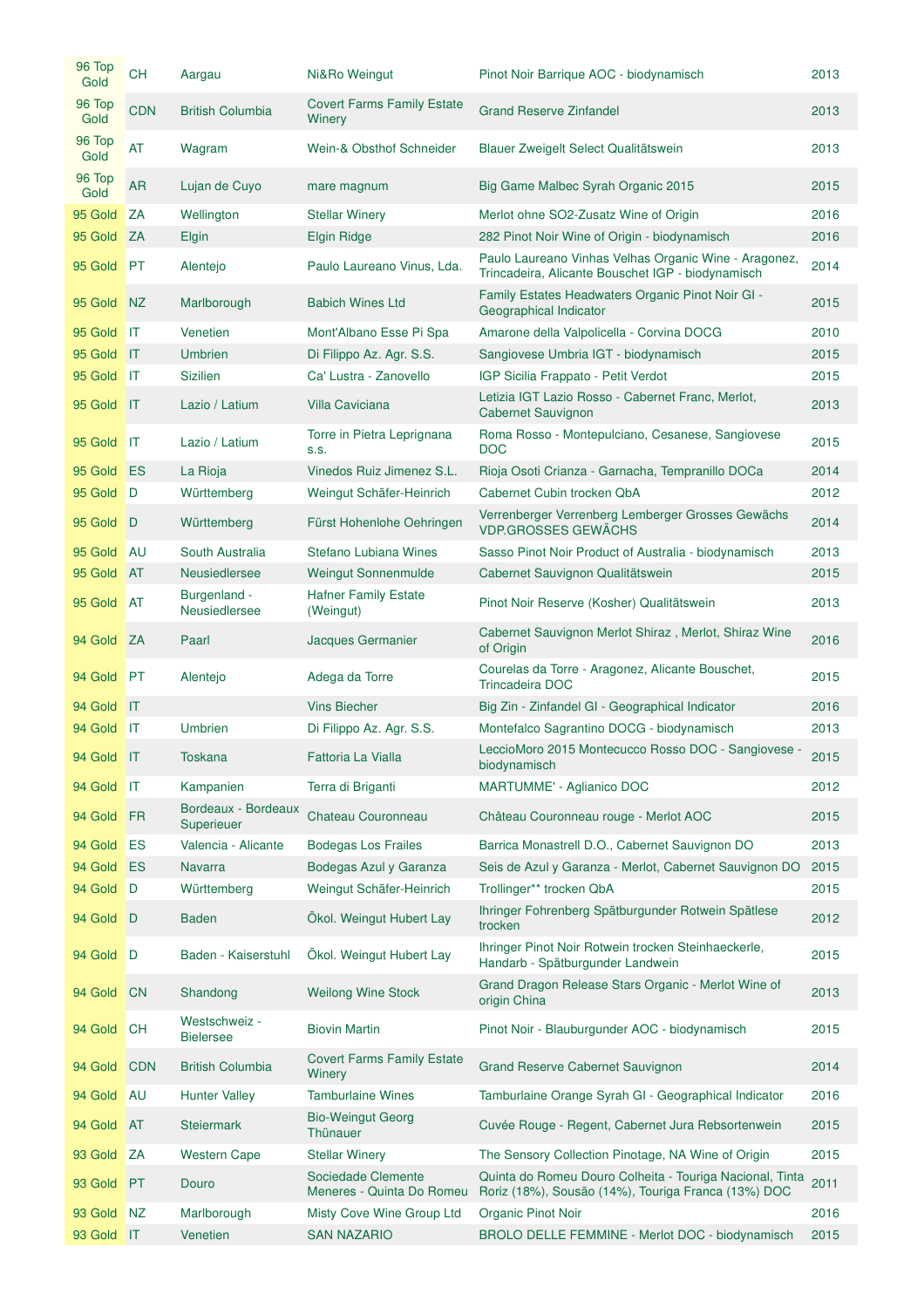| 96 Top<br>Gold | <b>CH</b>      | Aargau                            | Ni&Ro Weingut                                   | Pinot Noir Barrique AOC - biodynamisch                                                                          | 2013 |
|----------------|----------------|-----------------------------------|-------------------------------------------------|-----------------------------------------------------------------------------------------------------------------|------|
| 96 Top<br>Gold | <b>CDN</b>     | <b>British Columbia</b>           | <b>Covert Farms Family Estate</b><br>Winery     | <b>Grand Reserve Zinfandel</b>                                                                                  | 2013 |
| 96 Top<br>Gold | AT             | Wagram                            | Wein-& Obsthof Schneider                        | Blauer Zweigelt Select Qualitätswein                                                                            | 2013 |
| 96 Top<br>Gold | <b>AR</b>      | Lujan de Cuyo                     | mare magnum                                     | Big Game Malbec Syrah Organic 2015                                                                              | 2015 |
| 95 Gold        | ΖA             | Wellington                        | <b>Stellar Winery</b>                           | Merlot ohne SO2-Zusatz Wine of Origin                                                                           | 2016 |
| 95 Gold        | ZA             | Elgin                             | <b>Elgin Ridge</b>                              | 282 Pinot Noir Wine of Origin - biodynamisch                                                                    | 2016 |
| 95 Gold        | <b>PT</b>      | Alentejo                          | Paulo Laureano Vinus, Lda.                      | Paulo Laureano Vinhas Velhas Organic Wine - Aragonez,<br>Trincadeira, Alicante Bouschet IGP - biodynamisch      | 2014 |
| 95 Gold        | N <sub>Z</sub> | Marlborough                       | <b>Babich Wines Ltd</b>                         | Family Estates Headwaters Organic Pinot Noir GI -<br>Geographical Indicator                                     | 2015 |
| 95 Gold        | IT             | Venetien                          | Mont'Albano Esse Pi Spa                         | Amarone della Valpolicella - Corvina DOCG                                                                       | 2010 |
| 95 Gold        | IT             | <b>Umbrien</b>                    | Di Filippo Az. Agr. S.S.                        | Sangiovese Umbria IGT - biodynamisch                                                                            | 2015 |
| 95 Gold        | IT             | <b>Sizilien</b>                   | Ca' Lustra - Zanovello                          | IGP Sicilia Frappato - Petit Verdot                                                                             | 2015 |
| 95 Gold        | $\mathsf{I}$   | Lazio / Latium                    | <b>Villa Caviciana</b>                          | Letizia IGT Lazio Rosso - Cabernet Franc, Merlot,<br><b>Cabernet Sauvignon</b>                                  | 2013 |
| 95 Gold        | IT             | Lazio / Latium                    | Torre in Pietra Leprignana<br>S.S.              | Roma Rosso - Montepulciano, Cesanese, Sangiovese<br><b>DOC</b>                                                  | 2015 |
| 95 Gold        | ES             | La Rioja                          | Vinedos Ruiz Jimenez S.L.                       | Rioja Osoti Crianza - Garnacha, Tempranillo DOCa                                                                | 2014 |
| 95 Gold        | D              | Württemberg                       | Weingut Schäfer-Heinrich                        | Cabernet Cubin trocken QbA                                                                                      | 2012 |
| 95 Gold        | D              | Württemberg                       | Fürst Hohenlohe Oehringen                       | Verrenberger Verrenberg Lemberger Grosses Gewächs<br><b>VDP.GROSSES GEWÄCHS</b>                                 | 2014 |
| 95 Gold        | AU             | South Australia                   | Stefano Lubiana Wines                           | Sasso Pinot Noir Product of Australia - biodynamisch                                                            | 2013 |
| 95 Gold        | <b>AT</b>      | <b>Neusiedlersee</b>              | <b>Weingut Sonnenmulde</b>                      | Cabernet Sauvignon Qualitätswein                                                                                | 2015 |
| 95 Gold        | <b>AT</b>      | Burgenland -<br>Neusiedlersee     | <b>Hafner Family Estate</b><br>(Weingut)        | Pinot Noir Reserve (Kosher) Qualitätswein                                                                       | 2013 |
| 94 Gold        | ZA             | Paarl                             | Jacques Germanier                               | Cabernet Sauvignon Merlot Shiraz, Merlot, Shiraz Wine<br>of Origin                                              | 2016 |
| 94 Gold        | PT             | Alentejo                          | Adega da Torre                                  | Courelas da Torre - Aragonez, Alicante Bouschet,<br><b>Trincadeira DOC</b>                                      | 2015 |
| 94 Gold        | $\mathsf{I}$   |                                   | <b>Vins Biecher</b>                             | Big Zin - Zinfandel GI - Geographical Indicator                                                                 | 2016 |
| 94 Gold        | $\mathsf{I}$   | <b>Umbrien</b>                    | Di Filippo Az. Agr. S.S.                        | Montefalco Sagrantino DOCG - biodynamisch                                                                       | 2013 |
| 94 Gold IT     |                | Toskana                           | Fattoria La Vialla                              | LeccioMoro 2015 Montecucco Rosso DOC - Sangiovese -<br>biodynamisch                                             | 2015 |
| 94 Gold        | <b>IIT</b>     | Kampanien                         | Terra di Briganti                               | <b>MARTUMME' - Aglianico DOC</b>                                                                                | 2012 |
| 94 Gold        | FR             | Bordeaux - Bordeaux<br>Superieuer | Chateau Couronneau                              | Château Couronneau rouge - Merlot AOC                                                                           | 2015 |
| 94 Gold        | ES             | Valencia - Alicante               | <b>Bodegas Los Frailes</b>                      | Barrica Monastrell D.O., Cabernet Sauvignon DO                                                                  | 2013 |
| 94 Gold        | ES             | <b>Navarra</b>                    | Bodegas Azul y Garanza                          | Seis de Azul y Garanza - Merlot, Cabernet Sauvignon DO                                                          | 2015 |
| 94 Gold        | D              | Württemberg                       | Weingut Schäfer-Heinrich                        | Trollinger** trocken QbA                                                                                        | 2015 |
| 94 Gold        | D              | <b>Baden</b>                      | Ökol. Weingut Hubert Lay                        | Ihringer Fohrenberg Spätburgunder Rotwein Spätlese<br>trocken                                                   | 2012 |
| 94 Gold        | D              | Baden - Kaiserstuhl               | Ökol. Weingut Hubert Lay                        | Ihringer Pinot Noir Rotwein trocken Steinhaeckerle,<br>Handarb - Spätburgunder Landwein                         | 2015 |
| 94 Gold        | <b>CN</b>      | Shandong                          | <b>Weilong Wine Stock</b>                       | Grand Dragon Release Stars Organic - Merlot Wine of<br>origin China                                             | 2013 |
| 94 Gold        | <b>CH</b>      | Westschweiz -<br><b>Bielersee</b> | <b>Biovin Martin</b>                            | Pinot Noir - Blauburgunder AOC - biodynamisch                                                                   | 2015 |
| 94 Gold        | <b>CDN</b>     | <b>British Columbia</b>           | <b>Covert Farms Family Estate</b><br>Winery     | Grand Reserve Cabernet Sauvignon                                                                                | 2014 |
| 94 Gold        | <b>AU</b>      | <b>Hunter Valley</b>              | <b>Tamburlaine Wines</b>                        | Tamburlaine Orange Syrah GI - Geographical Indicator                                                            | 2016 |
| 94 Gold        | <b>AT</b>      | <b>Steiermark</b>                 | <b>Bio-Weingut Georg</b><br>Thünauer            | Cuvée Rouge - Regent, Cabernet Jura Rebsortenwein                                                               | 2015 |
| 93 Gold        | ΖA             | <b>Western Cape</b>               | <b>Stellar Winery</b>                           | The Sensory Collection Pinotage, NA Wine of Origin                                                              | 2015 |
| 93 Gold        | <b>PT</b>      | Douro                             | Sociedade Clemente<br>Meneres - Quinta Do Romeu | Quinta do Romeu Douro Colheita - Touriga Nacional, Tinta<br>Roriz (18%), Sousão (14%), Touriga Franca (13%) DOC | 2011 |
| 93 Gold        | NZ             | Marlborough                       | Misty Cove Wine Group Ltd                       | Organic Pinot Noir                                                                                              | 2016 |
| 93 Gold        | $\mathsf{I}$   | Venetien                          | <b>SAN NAZARIO</b>                              | BROLO DELLE FEMMINE - Merlot DOC - biodynamisch                                                                 | 2015 |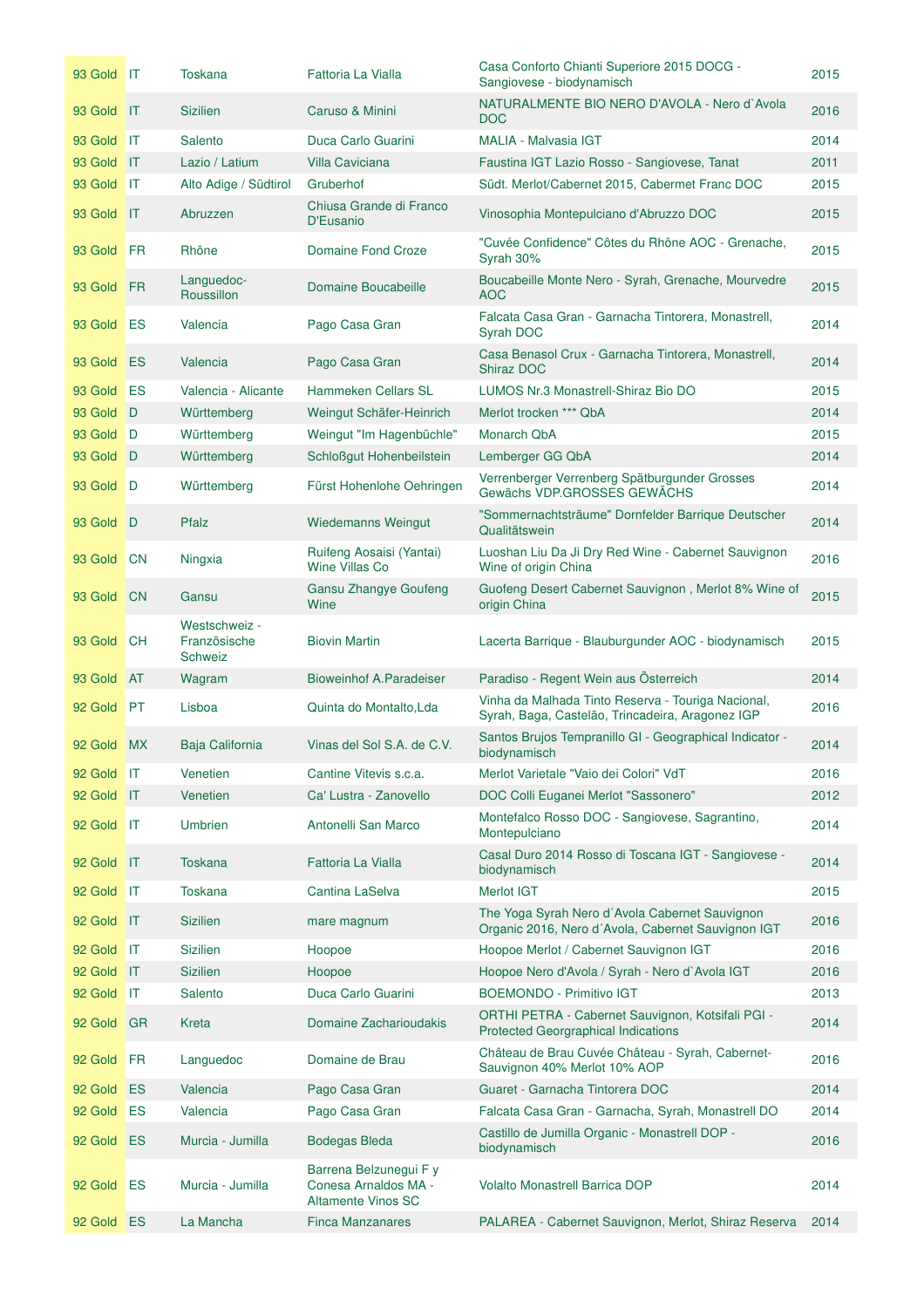| 93 Gold IT |                             | <b>Toskana</b>                                  | Fattoria La Vialla                                                          | Casa Conforto Chianti Superiore 2015 DOCG -<br>Sangiovese - biodynamisch                               | 2015 |
|------------|-----------------------------|-------------------------------------------------|-----------------------------------------------------------------------------|--------------------------------------------------------------------------------------------------------|------|
| 93 Gold IT |                             | <b>Sizilien</b>                                 | Caruso & Minini                                                             | NATURALMENTE BIO NERO D'AVOLA - Nero d'Avola<br><b>DOC</b>                                             | 2016 |
| 93 Gold    | ШT                          | Salento                                         | Duca Carlo Guarini                                                          | <b>MALIA - Malvasia IGT</b>                                                                            | 2014 |
| 93 Gold    | IT                          | Lazio / Latium                                  | <b>Villa Caviciana</b>                                                      | Faustina IGT Lazio Rosso - Sangiovese, Tanat                                                           | 2011 |
| 93 Gold    | $\mathbf{I}$                | Alto Adige / Südtirol                           | Gruberhof                                                                   | Südt. Merlot/Cabernet 2015, Cabermet Franc DOC                                                         | 2015 |
| 93 Gold    | IT                          | Abruzzen                                        | Chiusa Grande di Franco<br>D'Eusanio                                        | Vinosophia Montepulciano d'Abruzzo DOC                                                                 | 2015 |
| 93 Gold    | <b>FR</b>                   | Rhône                                           | Domaine Fond Croze                                                          | "Cuvée Confidence" Côtes du Rhône AOC - Grenache,<br>Syrah 30%                                         | 2015 |
| 93 Gold    | FR                          | Languedoc-<br>Roussillon                        | Domaine Boucabeille                                                         | Boucabeille Monte Nero - Syrah, Grenache, Mourvedre<br><b>AOC</b>                                      | 2015 |
| 93 Gold    | ES                          | Valencia                                        | Pago Casa Gran                                                              | Falcata Casa Gran - Garnacha Tintorera, Monastrell,<br>Syrah DOC                                       | 2014 |
| 93 Gold    | ES                          | Valencia                                        | Pago Casa Gran                                                              | Casa Benasol Crux - Garnacha Tintorera, Monastrell,<br>Shiraz DOC                                      | 2014 |
| 93 Gold    | <b>ES</b>                   | Valencia - Alicante                             | <b>Hammeken Cellars SL</b>                                                  | LUMOS Nr.3 Monastrell-Shiraz Bio DO                                                                    | 2015 |
| 93 Gold    | D                           | Württemberg                                     | Weingut Schäfer-Heinrich                                                    | Merlot trocken *** QbA                                                                                 | 2014 |
| 93 Gold    | D                           | Württemberg                                     | Weingut "Im Hagenbüchle"                                                    | Monarch QbA                                                                                            | 2015 |
| 93 Gold    | D                           | Württemberg                                     | Schloßgut Hohenbeilstein                                                    | Lemberger GG QbA                                                                                       | 2014 |
| 93 Gold    | ∣D                          | Württemberg                                     | Fürst Hohenlohe Oehringen                                                   | Verrenberger Verrenberg Spätburgunder Grosses<br>Gewächs VDP.GROSSES GEWÄCHS                           | 2014 |
| 93 Gold D  |                             | Pfalz                                           | <b>Wiedemanns Weingut</b>                                                   | "Sommernachtsträume" Dornfelder Barrique Deutscher<br>Qualitätswein                                    | 2014 |
| 93 Gold    | $\overline{\phantom{a}}$ CN | Ningxia                                         | Ruifeng Aosaisi (Yantai)<br><b>Wine Villas Co</b>                           | Luoshan Liu Da Ji Dry Red Wine - Cabernet Sauvignon<br>Wine of origin China                            | 2016 |
| 93 Gold    | <b>CN</b>                   | Gansu                                           | Gansu Zhangye Goufeng<br>Wine                                               | Guofeng Desert Cabernet Sauvignon, Merlot 8% Wine of<br>origin China                                   | 2015 |
| 93 Gold    | <b>CH</b>                   | Westschweiz -<br>Französische<br><b>Schweiz</b> | <b>Biovin Martin</b>                                                        | Lacerta Barrique - Blauburgunder AOC - biodynamisch                                                    | 2015 |
| 93 Gold    | <b>AT</b>                   | Wagram                                          | <b>Bioweinhof A.Paradeiser</b>                                              | Paradiso - Regent Wein aus Österreich                                                                  | 2014 |
| 92 Gold    | PT                          | Lisboa                                          | Quinta do Montalto, Lda                                                     | Vinha da Malhada Tinto Reserva - Touriga Nacional,<br>Syrah, Baga, Castelão, Trincadeira, Aragonez IGP | 2016 |
| 92 Gold MX |                             | Baja California                                 | Vinas del Sol S.A. de C.V.                                                  | Santos Brujos Tempranillo GI - Geographical Indicator -<br>biodynamisch                                | 2014 |
| 92 Gold IT |                             | Venetien                                        | Cantine Vitevis s.c.a.                                                      | Merlot Varietale "Vaio dei Colori" VdT                                                                 | 2016 |
| 92 Gold    | $\mathsf{I}$                | Venetien                                        | Ca' Lustra - Zanovello                                                      | DOC Colli Euganei Merlot "Sassonero"                                                                   | 2012 |
| 92 Gold    | $\mathsf{I}$                | <b>Umbrien</b>                                  | Antonelli San Marco                                                         | Montefalco Rosso DOC - Sangiovese, Sagrantino,<br>Montepulciano                                        | 2014 |
| 92 Gold    | $\mathsf{I}$                | <b>Toskana</b>                                  | Fattoria La Vialla                                                          | Casal Duro 2014 Rosso di Toscana IGT - Sangiovese -<br>biodynamisch                                    | 2014 |
| 92 Gold    | $\mathsf{I}$                | <b>Toskana</b>                                  | Cantina LaSelva                                                             | Merlot IGT                                                                                             | 2015 |
| 92 Gold    | $\mathsf{I}$                | <b>Sizilien</b>                                 | mare magnum                                                                 | The Yoga Syrah Nero d'Avola Cabernet Sauvignon<br>Organic 2016, Nero d'Avola, Cabernet Sauvignon IGT   | 2016 |
| 92 Gold    | $\mathsf{I}$                | <b>Sizilien</b>                                 | Hoopoe                                                                      | Hoopoe Merlot / Cabernet Sauvignon IGT                                                                 | 2016 |
| 92 Gold    | $\mathsf{I}$                | <b>Sizilien</b>                                 | Hoopoe                                                                      | Hoopoe Nero d'Avola / Syrah - Nero d`Avola IGT                                                         | 2016 |
| 92 Gold    | ШT                          | Salento                                         | Duca Carlo Guarini                                                          | <b>BOEMONDO - Primitivo IGT</b>                                                                        | 2013 |
| 92 Gold    | <b>GR</b>                   | Kreta                                           | Domaine Zacharioudakis                                                      | ORTHI PETRA - Cabernet Sauvignon, Kotsifali PGI -<br><b>Protected Georgraphical Indications</b>        | 2014 |
| 92 Gold    | FR                          | Languedoc                                       | Domaine de Brau                                                             | Château de Brau Cuvée Château - Syrah, Cabernet-<br>Sauvignon 40% Merlot 10% AOP                       | 2016 |
| 92 Gold    | ES                          | Valencia                                        | Pago Casa Gran                                                              | Guaret - Garnacha Tintorera DOC                                                                        | 2014 |
| 92 Gold    | ES                          | Valencia                                        | Pago Casa Gran                                                              | Falcata Casa Gran - Garnacha, Syrah, Monastrell DO                                                     | 2014 |
| 92 Gold    | ES                          | Murcia - Jumilla                                | <b>Bodegas Bleda</b>                                                        | Castillo de Jumilla Organic - Monastrell DOP -<br>biodynamisch                                         | 2016 |
| 92 Gold    | ES                          | Murcia - Jumilla                                | Barrena Belzunegui F y<br>Conesa Arnaldos MA -<br><b>Altamente Vinos SC</b> | <b>Volalto Monastrell Barrica DOP</b>                                                                  | 2014 |
| 92 Gold ES |                             | La Mancha                                       | <b>Finca Manzanares</b>                                                     | PALAREA - Cabernet Sauvignon, Merlot, Shiraz Reserva                                                   | 2014 |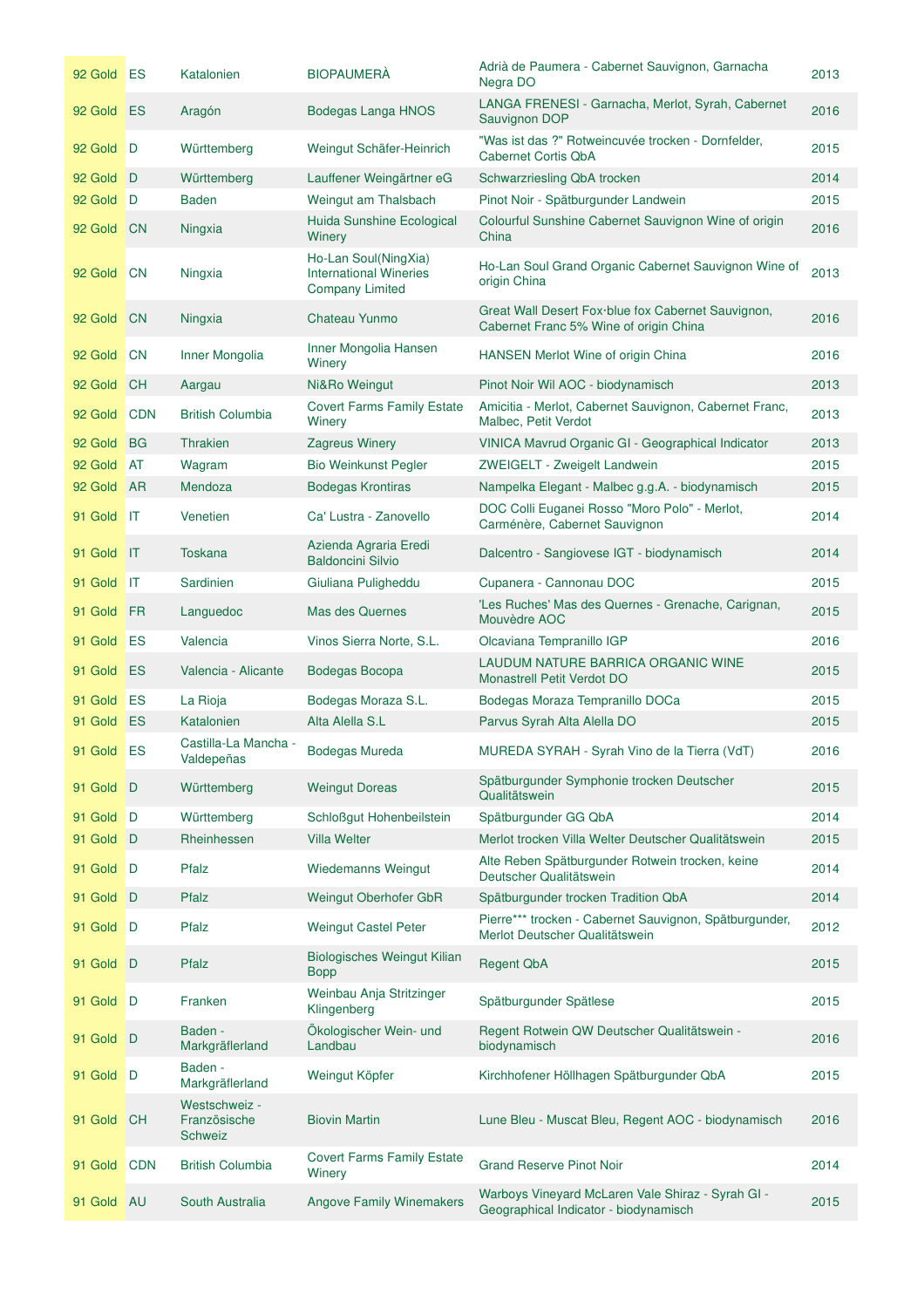| 92 Gold ES |                | Katalonien                                      | <b>BIOPAUMERA</b>                                                               | Adrià de Paumera - Cabernet Sauvignon, Garnacha<br>Negra DO                                  | 2013 |
|------------|----------------|-------------------------------------------------|---------------------------------------------------------------------------------|----------------------------------------------------------------------------------------------|------|
| 92 Gold ES |                | Aragón                                          | Bodegas Langa HNOS                                                              | LANGA FRENESI - Garnacha, Merlot, Syrah, Cabernet<br>Sauvignon DOP                           | 2016 |
| 92 Gold D  |                | Württemberg                                     | Weingut Schäfer-Heinrich                                                        | "Was ist das ?" Rotweincuvée trocken - Dornfelder,<br>Cabernet Cortis ObA                    | 2015 |
| 92 Gold    | D              | Württemberg                                     | Lauffener Weingärtner eG                                                        | Schwarzriesling QbA trocken                                                                  | 2014 |
| 92 Gold    | D              | <b>Baden</b>                                    | Weingut am Thalsbach                                                            | Pinot Noir - Spätburgunder Landwein                                                          | 2015 |
| 92 Gold    | <b>CN</b>      | Ningxia                                         | <b>Huida Sunshine Ecological</b><br>Winery                                      | Colourful Sunshine Cabernet Sauvignon Wine of origin<br>China                                | 2016 |
| 92 Gold    | <b>CN</b>      | Ningxia                                         | Ho-Lan Soul(NingXia)<br><b>International Wineries</b><br><b>Company Limited</b> | Ho-Lan Soul Grand Organic Cabernet Sauvignon Wine of<br>origin China                         | 2013 |
| 92 Gold    | <b>CN</b>      | Ningxia                                         | Chateau Yunmo                                                                   | Great Wall Desert Fox blue fox Cabernet Sauvignon,<br>Cabernet Franc 5% Wine of origin China | 2016 |
| 92 Gold    | <b>CN</b>      | Inner Mongolia                                  | Inner Mongolia Hansen<br>Winery                                                 | HANSEN Merlot Wine of origin China                                                           | 2016 |
| 92 Gold    | <b>CH</b>      | Aargau                                          | Ni&Ro Weingut                                                                   | Pinot Noir Wil AOC - biodynamisch                                                            | 2013 |
| 92 Gold    | <b>CDN</b>     | <b>British Columbia</b>                         | <b>Covert Farms Family Estate</b><br>Winery                                     | Amicitia - Merlot, Cabernet Sauvignon, Cabernet Franc,<br>Malbec, Petit Verdot               | 2013 |
| 92 Gold    | <b>BG</b>      | <b>Thrakien</b>                                 | <b>Zagreus Winery</b>                                                           | VINICA Mavrud Organic GI - Geographical Indicator                                            | 2013 |
| 92 Gold    | <b>AT</b>      | Wagram                                          | <b>Bio Weinkunst Pegler</b>                                                     | ZWEIGELT - Zweigelt Landwein                                                                 | 2015 |
| 92 Gold    | <b>AR</b>      | Mendoza                                         | <b>Bodegas Krontiras</b>                                                        | Nampelka Elegant - Malbec g.g.A. - biodynamisch                                              | 2015 |
| 91 Gold IT |                | Venetien                                        | Ca' Lustra - Zanovello                                                          | DOC Colli Euganei Rosso "Moro Polo" - Merlot,<br>Carménère, Cabernet Sauvignon               | 2014 |
| 91 Gold    | $\mathsf{I}$   | <b>Toskana</b>                                  | Azienda Agraria Eredi<br><b>Baldoncini Silvio</b>                               | Dalcentro - Sangiovese IGT - biodynamisch                                                    | 2014 |
| 91 Gold    | $\mathsf{I}$   | Sardinien                                       | Giuliana Puligheddu                                                             | Cupanera - Cannonau DOC                                                                      | 2015 |
| 91 Gold FR |                | Languedoc                                       | Mas des Quernes                                                                 | 'Les Ruches' Mas des Quernes - Grenache, Carignan,<br>Mouvèdre AOC                           | 2015 |
| 91 Gold    | <b>ES</b>      | Valencia                                        | Vinos Sierra Norte, S.L.                                                        | Olcaviana Tempranillo IGP                                                                    | 2016 |
| 91 Gold ES |                | Valencia - Alicante                             | Bodegas Bocopa                                                                  | LAUDUM NATURE BARRICA ORGANIC WINE<br>Monastrell Petit Verdot DO                             | 2015 |
| 91 Gold    | ES             | La Rioja                                        | Bodegas Moraza S.L.                                                             | Bodegas Moraza Tempranillo DOCa                                                              | 2015 |
| 91 Gold    | ES             | Katalonien                                      | Alta Alella S.L                                                                 | Parvus Syrah Alta Alella DO                                                                  | 2015 |
| 91 Gold    | ES             | Castilla-La Mancha -<br>Valdepeñas              | Bodegas Mureda                                                                  | MUREDA SYRAH - Syrah Vino de la Tierra (VdT)                                                 | 2016 |
| 91 Gold    | D              | Württemberg                                     | <b>Weingut Doreas</b>                                                           | Spätburgunder Symphonie trocken Deutscher<br>Qualitätswein                                   | 2015 |
| 91 Gold    | $\blacksquare$ | Württemberg                                     | Schloßgut Hohenbeilstein                                                        | Spätburgunder GG QbA                                                                         | 2014 |
| 91 Gold    | D              | Rheinhessen                                     | <b>Villa Welter</b>                                                             | Merlot trocken Villa Welter Deutscher Qualitätswein                                          | 2015 |
| 91 Gold    | D              | Pfalz                                           | <b>Wiedemanns Weingut</b>                                                       | Alte Reben Spätburgunder Rotwein trocken, keine<br>Deutscher Qualitätswein                   | 2014 |
| 91 Gold    | D              | Pfalz                                           | Weingut Oberhofer GbR                                                           | Spätburgunder trocken Tradition QbA                                                          | 2014 |
| 91 Gold    | D              | Pfalz                                           | <b>Weingut Castel Peter</b>                                                     | Pierre*** trocken - Cabernet Sauvignon, Spätburgunder,<br>Merlot Deutscher Qualitätswein     | 2012 |
| 91 Gold    | D              | Pfalz                                           | Biologisches Weingut Kilian<br><b>Bopp</b>                                      | <b>Regent QbA</b>                                                                            | 2015 |
| 91 Gold    | D              | Franken                                         | Weinbau Anja Stritzinger<br>Klingenberg                                         | Spätburgunder Spätlese                                                                       | 2015 |
| 91 Gold    | D              | Baden -<br>Markgräflerland                      | Ökologischer Wein- und<br>Landbau                                               | Regent Rotwein QW Deutscher Qualitätswein -<br>biodynamisch                                  | 2016 |
| 91 Gold    | D              | Baden -<br>Markgräflerland                      | Weingut Köpfer                                                                  | Kirchhofener Höllhagen Spätburgunder QbA                                                     | 2015 |
| 91 Gold    | <b>CH</b>      | Westschweiz -<br>Französische<br><b>Schweiz</b> | <b>Biovin Martin</b>                                                            | Lune Bleu - Muscat Bleu, Regent AOC - biodynamisch                                           | 2016 |
| 91 Gold    | <b>CDN</b>     | <b>British Columbia</b>                         | <b>Covert Farms Family Estate</b><br>Winery                                     | <b>Grand Reserve Pinot Noir</b>                                                              | 2014 |
| 91 Gold AU |                | South Australia                                 | <b>Angove Family Winemakers</b>                                                 | Warboys Vineyard McLaren Vale Shiraz - Syrah GI -<br>Geographical Indicator - biodynamisch   | 2015 |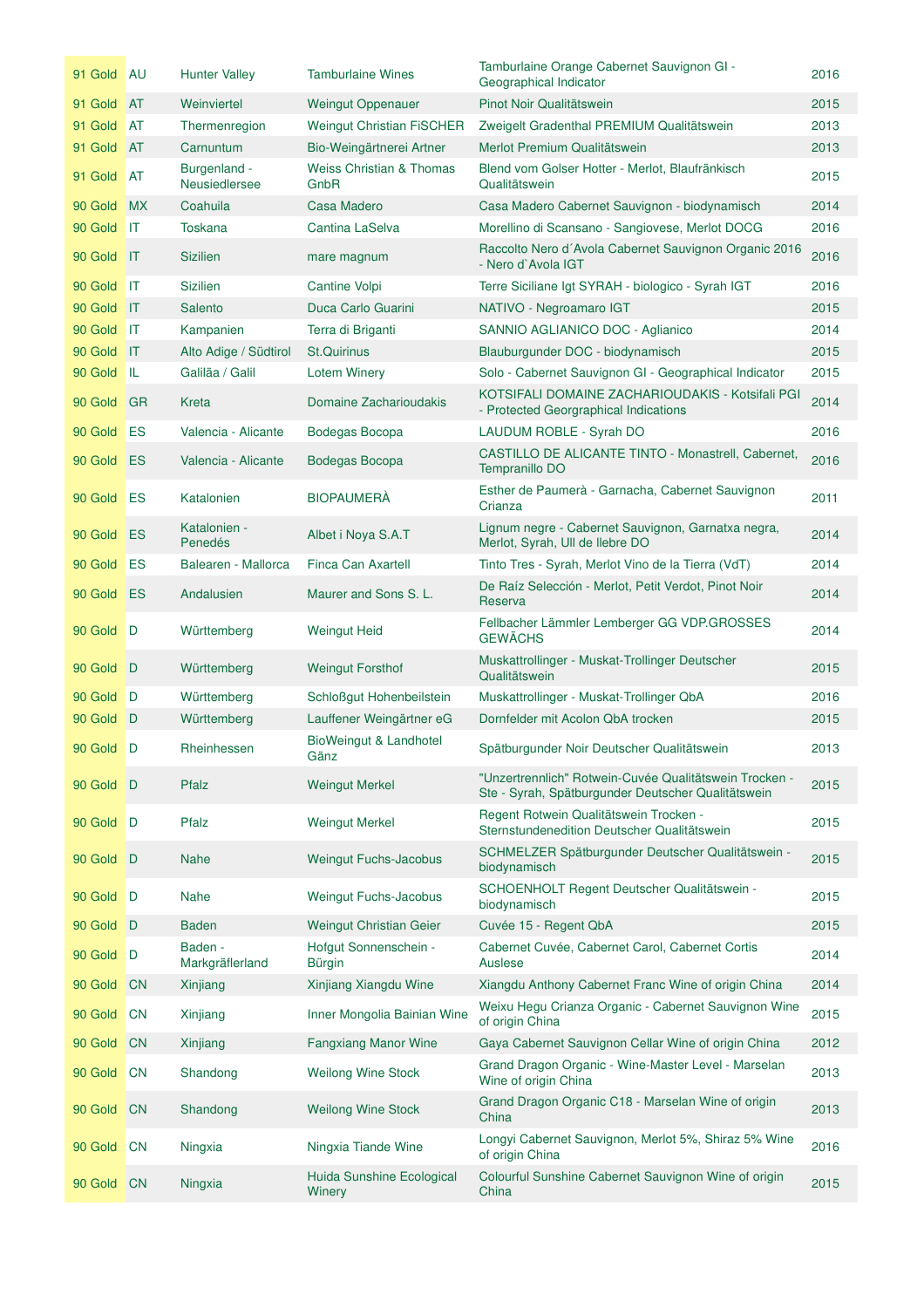| 91 Gold AU |                 | <b>Hunter Valley</b>          | <b>Tamburlaine Wines</b>                    | Tamburlaine Orange Cabernet Sauvignon GI -<br>Geographical Indicator                                         | 2016 |
|------------|-----------------|-------------------------------|---------------------------------------------|--------------------------------------------------------------------------------------------------------------|------|
| 91 Gold AT |                 | Weinviertel                   | <b>Weingut Oppenauer</b>                    | Pinot Noir Qualitätswein                                                                                     | 2015 |
| 91 Gold    | AT              | Thermenregion                 | <b>Weingut Christian FISCHER</b>            | Zweigelt Gradenthal PREMIUM Qualitätswein                                                                    | 2013 |
| 91 Gold AT |                 | Carnuntum                     | Bio-Weingärtnerei Artner                    | Merlot Premium Qualitätswein                                                                                 | 2013 |
| 91 Gold    | <b>AT</b>       | Burgenland -<br>Neusiedlersee | <b>Weiss Christian &amp; Thomas</b><br>GnbR | Blend vom Golser Hotter - Merlot, Blaufränkisch<br>Qualitätswein                                             | 2015 |
| 90 Gold    | <b>MX</b>       | Coahuila                      | <b>Casa Madero</b>                          | Casa Madero Cabernet Sauvignon - biodynamisch                                                                | 2014 |
| 90 Gold    | IT              | <b>Toskana</b>                | Cantina LaSelva                             | Morellino di Scansano - Sangiovese, Merlot DOCG                                                              | 2016 |
| 90 Gold    | $\mathbf{H}$    | <b>Sizilien</b>               | mare magnum                                 | Raccolto Nero d'Avola Cabernet Sauvignon Organic 2016<br>- Nero d'Avola IGT                                  | 2016 |
| 90 Gold    | ШT              | <b>Sizilien</b>               | Cantine Volpi                               | Terre Siciliane Igt SYRAH - biologico - Syrah IGT                                                            | 2016 |
| 90 Gold IT |                 | Salento                       | Duca Carlo Guarini                          | NATIVO - Negroamaro IGT                                                                                      | 2015 |
| 90 Gold    | <b>IIT</b>      | Kampanien                     | Terra di Briganti                           | SANNIO AGLIANICO DOC - Aglianico                                                                             | 2014 |
| 90 Gold    | $\mathbf{I}$    | Alto Adige / Südtirol         | <b>St.Quirinus</b>                          | Blauburgunder DOC - biodynamisch                                                                             | 2015 |
| 90 Gold IL |                 | Galiläa / Galil               | <b>Lotem Winery</b>                         | Solo - Cabernet Sauvignon GI - Geographical Indicator                                                        | 2015 |
| 90 Gold    | <b>GR</b>       | Kreta                         | Domaine Zacharioudakis                      | KOTSIFALI DOMAINE ZACHARIOUDAKIS - Kotsifali PGI<br>- Protected Georgraphical Indications                    | 2014 |
| 90 Gold    | ES              | Valencia - Alicante           | Bodegas Bocopa                              | LAUDUM ROBLE - Syrah DO                                                                                      | 2016 |
| 90 Gold    | ES              | Valencia - Alicante           | Bodegas Bocopa                              | CASTILLO DE ALICANTE TINTO - Monastrell, Cabernet,<br>Tempranillo DO                                         | 2016 |
| 90 Gold    | ES              | Katalonien                    | <b>BIOPAUMERÀ</b>                           | Esther de Paumerà - Garnacha, Cabernet Sauvignon<br>Crianza                                                  | 2011 |
| 90 Gold    | ES              | Katalonien -<br>Penedés       | Albet i Noya S.A.T                          | Lignum negre - Cabernet Sauvignon, Garnatxa negra,<br>Merlot, Syrah, Ull de llebre DO                        | 2014 |
| 90 Gold    | ES              | Balearen - Mallorca           | Finca Can Axartell                          | Tinto Tres - Syrah, Merlot Vino de la Tierra (VdT)                                                           | 2014 |
| 90 Gold    | <b>ES</b>       | Andalusien                    | Maurer and Sons S. L.                       | De Raíz Selección - Merlot, Petit Verdot, Pinot Noir<br>Reserva                                              | 2014 |
| 90 Gold    | $\blacksquare$  | Württemberg                   | <b>Weingut Heid</b>                         | Fellbacher Lämmler Lemberger GG VDP.GROSSES<br><b>GEWÄCHS</b>                                                | 2014 |
| 90 Gold    | $\blacksquare$  | Württemberg                   | <b>Weingut Forsthof</b>                     | Muskattrollinger - Muskat-Trollinger Deutscher<br>Qualitätswein                                              | 2015 |
| 90 Gold    | $\mathsf{D}$    | Württemberg                   | Schloßgut Hohenbeilstein                    | Muskattrollinger - Muskat-Trollinger QbA                                                                     | 2016 |
| 90 Gold D  |                 | Württemberg                   | Lauffener Weingärtner eG                    | Dornfelder mit Acolon QbA trocken                                                                            | 2015 |
| 90 Gold D  |                 | Rheinhessen                   | BioWeingut & Landhotel<br>Gänz              | Spätburgunder Noir Deutscher Qualitätswein                                                                   | 2013 |
| 90 Gold D  |                 | Pfalz                         | <b>Weingut Merkel</b>                       | "Unzertrennlich" Rotwein-Cuvée Qualitätswein Trocken -<br>Ste - Syrah, Spätburgunder Deutscher Qualitätswein | 2015 |
| 90 Gold    | D               | Pfalz                         | <b>Weingut Merkel</b>                       | Regent Rotwein Qualitätswein Trocken -<br>Sternstundenedition Deutscher Qualitätswein                        | 2015 |
| 90 Gold    | D               | <b>Nahe</b>                   | Weingut Fuchs-Jacobus                       | SCHMELZER Spätburgunder Deutscher Qualitätswein -<br>biodynamisch                                            | 2015 |
| 90 Gold    | I D             | <b>Nahe</b>                   | Weingut Fuchs-Jacobus                       | SCHOENHOLT Regent Deutscher Qualitätswein -<br>biodynamisch                                                  | 2015 |
| 90 Gold    | $\Box$          | <b>Baden</b>                  | Weingut Christian Geier                     | Cuvée 15 - Regent QbA                                                                                        | 2015 |
| 90 Gold    | D               | Baden -<br>Markgräflerland    | Hofgut Sonnenschein -<br>Bürgin             | Cabernet Cuvée, Cabernet Carol, Cabernet Cortis<br>Auslese                                                   | 2014 |
| 90 Gold    | <b>CN</b>       | Xinjiang                      | Xinjiang Xiangdu Wine                       | Xiangdu Anthony Cabernet Franc Wine of origin China                                                          | 2014 |
| 90 Gold    | <b>CN</b>       | Xinjiang                      | Inner Mongolia Bainian Wine                 | Weixu Hegu Crianza Organic - Cabernet Sauvignon Wine<br>of origin China                                      | 2015 |
| 90 Gold    | <b>CN</b>       | Xinjiang                      | <b>Fangxiang Manor Wine</b>                 | Gaya Cabernet Sauvignon Cellar Wine of origin China                                                          | 2012 |
| 90 Gold    | <b>CN</b>       | Shandong                      | <b>Weilong Wine Stock</b>                   | Grand Dragon Organic - Wine-Master Level - Marselan<br>Wine of origin China                                  | 2013 |
| 90 Gold    | <b>CN</b>       | Shandong                      | <b>Weilong Wine Stock</b>                   | Grand Dragon Organic C18 - Marselan Wine of origin<br>China                                                  | 2013 |
| 90 Gold    | $\overline{C}N$ | Ningxia                       | Ningxia Tiande Wine                         | Longyi Cabernet Sauvignon, Merlot 5%, Shiraz 5% Wine<br>of origin China                                      | 2016 |
| 90 Gold CN |                 | Ningxia                       | Huida Sunshine Ecological<br>Winery         | Colourful Sunshine Cabernet Sauvignon Wine of origin<br>China                                                | 2015 |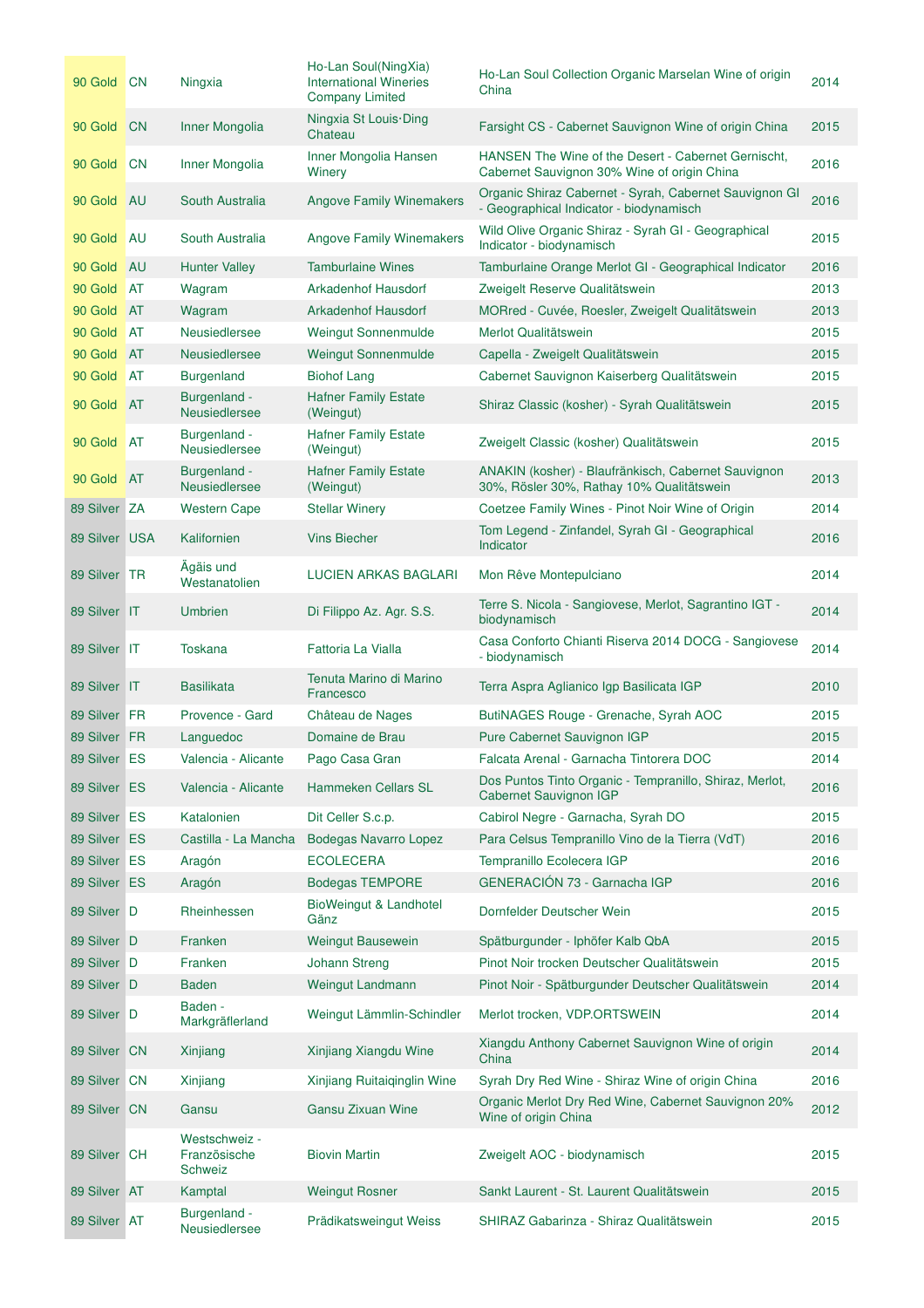| 90 Gold CN    |           | Ningxia                                         | Ho-Lan Soul(NingXia)<br><b>International Wineries</b><br><b>Company Limited</b> | Ho-Lan Soul Collection Organic Marselan Wine of origin<br>China                                    | 2014 |
|---------------|-----------|-------------------------------------------------|---------------------------------------------------------------------------------|----------------------------------------------------------------------------------------------------|------|
| 90 Gold       | <b>CN</b> | Inner Mongolia                                  | Ningxia St Louis Ding<br>Chateau                                                | Farsight CS - Cabernet Sauvignon Wine of origin China                                              | 2015 |
| 90 Gold       | <b>CN</b> | Inner Mongolia                                  | Inner Mongolia Hansen<br>Winery                                                 | HANSEN The Wine of the Desert - Cabernet Gernischt,<br>Cabernet Sauvignon 30% Wine of origin China | 2016 |
| 90 Gold       | <b>AU</b> | South Australia                                 | <b>Angove Family Winemakers</b>                                                 | Organic Shiraz Cabernet - Syrah, Cabernet Sauvignon GI<br>- Geographical Indicator - biodynamisch  | 2016 |
| 90 Gold       | <b>AU</b> | South Australia                                 | <b>Angove Family Winemakers</b>                                                 | Wild Olive Organic Shiraz - Syrah GI - Geographical<br>Indicator - biodynamisch                    | 2015 |
| 90 Gold       | <b>AU</b> | <b>Hunter Valley</b>                            | <b>Tamburlaine Wines</b>                                                        | Tamburlaine Orange Merlot GI - Geographical Indicator                                              | 2016 |
| 90 Gold       | <b>AT</b> | Wagram                                          | <b>Arkadenhof Hausdorf</b>                                                      | Zweigelt Reserve Qualitätswein                                                                     | 2013 |
| 90 Gold       | <b>AT</b> | Wagram                                          | <b>Arkadenhof Hausdorf</b>                                                      | MORred - Cuvée, Roesler, Zweigelt Qualitätswein                                                    | 2013 |
| 90 Gold       | <b>AT</b> | <b>Neusiedlersee</b>                            | <b>Weingut Sonnenmulde</b>                                                      | Merlot Qualitätswein                                                                               | 2015 |
| 90 Gold       | <b>AT</b> | <b>Neusiedlersee</b>                            | <b>Weingut Sonnenmulde</b>                                                      | Capella - Zweigelt Qualitätswein                                                                   | 2015 |
| 90 Gold       | AT        | <b>Burgenland</b>                               | <b>Biohof Lang</b>                                                              | Cabernet Sauvignon Kaiserberg Qualitätswein                                                        | 2015 |
| 90 Gold       | <b>AT</b> | Burgenland -<br>Neusiedlersee                   | <b>Hafner Family Estate</b><br>(Weingut)                                        | Shiraz Classic (kosher) - Syrah Qualitätswein                                                      | 2015 |
| 90 Gold       | <b>AT</b> | Burgenland -<br>Neusiedlersee                   | <b>Hafner Family Estate</b><br>(Weingut)                                        | Zweigelt Classic (kosher) Qualitätswein                                                            | 2015 |
| 90 Gold       | <b>AT</b> | Burgenland -<br>Neusiedlersee                   | <b>Hafner Family Estate</b><br>(Weingut)                                        | ANAKIN (kosher) - Blaufränkisch, Cabernet Sauvignon<br>30%, Rösler 30%, Rathay 10% Qualitätswein   | 2013 |
| 89 Silver ZA  |           | <b>Western Cape</b>                             | <b>Stellar Winery</b>                                                           | Coetzee Family Wines - Pinot Noir Wine of Origin                                                   | 2014 |
| 89 Silver USA |           | Kalifornien                                     | <b>Vins Biecher</b>                                                             | Tom Legend - Zinfandel, Syrah GI - Geographical<br>Indicator                                       | 2016 |
| 89 Silver TR  |           | Agäis und<br>Westanatolien                      | <b>LUCIEN ARKAS BAGLARI</b>                                                     | Mon Rêve Montepulciano                                                                             | 2014 |
| 89 Silver IT  |           | <b>Umbrien</b>                                  | Di Filippo Az. Agr. S.S.                                                        | Terre S. Nicola - Sangiovese, Merlot, Sagrantino IGT -<br>biodynamisch                             | 2014 |
| 89 Silver IT  |           | Toskana                                         | Fattoria La Vialla                                                              | Casa Conforto Chianti Riserva 2014 DOCG - Sangiovese<br>- biodynamisch                             | 2014 |
| 89 Silver IT  |           | <b>Basilikata</b>                               | Tenuta Marino di Marino<br>Francesco                                            | Terra Aspra Aglianico Igp Basilicata IGP                                                           | 2010 |
| 89 Silver FR  |           | Provence - Gard                                 | Château de Nages                                                                | ButiNAGES Rouge - Grenache, Syrah AOC                                                              | 2015 |
| 89 Silver FR  |           | Languedoc                                       | Domaine de Brau                                                                 | Pure Cabernet Sauvignon IGP                                                                        | 2015 |
| 89 Silver ES  |           | Valencia - Alicante                             | Pago Casa Gran                                                                  | Falcata Arenal - Garnacha Tintorera DOC                                                            | 2014 |
| 89 Silver ES  |           | Valencia - Alicante                             | <b>Hammeken Cellars SL</b>                                                      | Dos Puntos Tinto Organic - Tempranillo, Shiraz, Merlot,<br>Cabernet Sauvignon IGP                  | 2016 |
| 89 Silver ES  |           | Katalonien                                      | Dit Celler S.c.p.                                                               | Cabirol Negre - Garnacha, Syrah DO                                                                 | 2015 |
| 89 Silver ES  |           | Castilla - La Mancha                            | <b>Bodegas Navarro Lopez</b>                                                    | Para Celsus Tempranillo Vino de la Tierra (VdT)                                                    | 2016 |
| 89 Silver ES  |           | Aragón                                          | <b>ECOLECERA</b>                                                                | Tempranillo Ecolecera IGP                                                                          | 2016 |
| 89 Silver ES  |           | Aragón                                          | <b>Bodegas TEMPORE</b>                                                          | GENERACIÓN 73 - Garnacha IGP                                                                       | 2016 |
| 89 Silver D   |           | Rheinhessen                                     | <b>BioWeingut &amp; Landhotel</b><br>Gänz                                       | Dornfelder Deutscher Wein                                                                          | 2015 |
| 89 Silver D   |           | Franken                                         | <b>Weingut Bausewein</b>                                                        | Spätburgunder - Iphöfer Kalb QbA                                                                   | 2015 |
| 89 Silver D   |           | Franken                                         | <b>Johann Streng</b>                                                            | Pinot Noir trocken Deutscher Qualitätswein                                                         | 2015 |
| 89 Silver D   |           | <b>Baden</b>                                    | Weingut Landmann                                                                | Pinot Noir - Spätburgunder Deutscher Qualitätswein                                                 | 2014 |
| 89 Silver D   |           | Baden -<br>Markgräflerland                      | Weingut Lämmlin-Schindler                                                       | Merlot trocken, VDP.ORTSWEIN                                                                       | 2014 |
| 89 Silver CN  |           | Xinjiang                                        | Xinjiang Xiangdu Wine                                                           | Xiangdu Anthony Cabernet Sauvignon Wine of origin<br>China                                         | 2014 |
| 89 Silver CN  |           | Xinjiang                                        | Xinjiang Ruitaiqinglin Wine                                                     | Syrah Dry Red Wine - Shiraz Wine of origin China                                                   | 2016 |
| 89 Silver CN  |           | Gansu                                           | Gansu Zixuan Wine                                                               | Organic Merlot Dry Red Wine, Cabernet Sauvignon 20%<br>Wine of origin China                        | 2012 |
| 89 Silver CH  |           | Westschweiz -<br>Französische<br><b>Schweiz</b> | <b>Biovin Martin</b>                                                            | Zweigelt AOC - biodynamisch                                                                        | 2015 |
| 89 Silver AT  |           | Kamptal                                         | <b>Weingut Rosner</b>                                                           | Sankt Laurent - St. Laurent Qualitätswein                                                          | 2015 |
| 89 Silver AT  |           | Burgenland -<br>Neusiedlersee                   | Prädikatsweingut Weiss                                                          | SHIRAZ Gabarinza - Shiraz Qualitätswein                                                            | 2015 |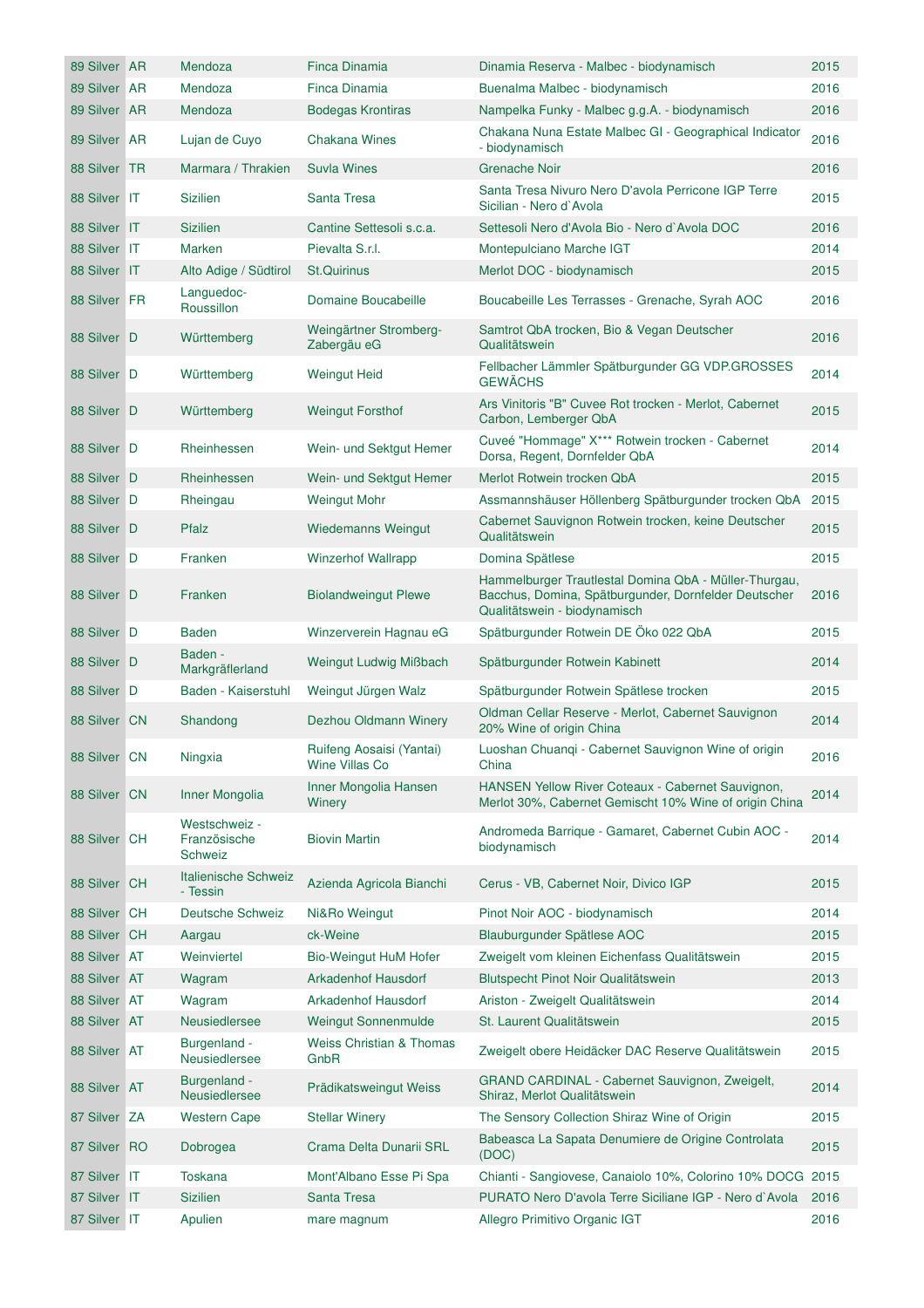| 89 Silver AR | Mendoza                                  | Finca Dinamia                                     | Dinamia Reserva - Malbec - biodynamisch                                                                                                       | 2015 |
|--------------|------------------------------------------|---------------------------------------------------|-----------------------------------------------------------------------------------------------------------------------------------------------|------|
| 89 Silver AR | Mendoza                                  | Finca Dinamia                                     | Buenalma Malbec - biodynamisch                                                                                                                | 2016 |
| 89 Silver AR | Mendoza                                  | <b>Bodegas Krontiras</b>                          | Nampelka Funky - Malbec g.g.A. - biodynamisch                                                                                                 | 2016 |
| 89 Silver AR | Lujan de Cuyo                            | <b>Chakana Wines</b>                              | Chakana Nuna Estate Malbec GI - Geographical Indicator<br>- biodynamisch                                                                      | 2016 |
| 88 Silver TR | Marmara / Thrakien                       | <b>Suvla Wines</b>                                | <b>Grenache Noir</b>                                                                                                                          | 2016 |
| 88 Silver IT | <b>Sizilien</b>                          | Santa Tresa                                       | Santa Tresa Nivuro Nero D'avola Perricone IGP Terre<br>Sicilian - Nero d'Avola                                                                | 2015 |
| 88 Silver IT | Sizilien                                 | Cantine Settesoli s.c.a.                          | Settesoli Nero d'Avola Bio - Nero d'Avola DOC                                                                                                 | 2016 |
| 88 Silver IT | Marken                                   | Pievalta S.r.l.                                   | Montepulciano Marche IGT                                                                                                                      | 2014 |
| 88 Silver IT | Alto Adige / Südtirol                    | <b>St.Quirinus</b>                                | Merlot DOC - biodynamisch                                                                                                                     | 2015 |
| 88 Silver FR | Languedoc-<br>Roussillon                 | Domaine Boucabeille                               | Boucabeille Les Terrasses - Grenache, Syrah AOC                                                                                               | 2016 |
| 88 Silver D  | Württemberg                              | Weingärtner Stromberg-<br>Zabergäu eG             | Samtrot QbA trocken, Bio & Vegan Deutscher<br>Qualitätswein                                                                                   | 2016 |
| 88 Silver D  | Württemberg                              | <b>Weingut Heid</b>                               | Fellbacher Lämmler Spätburgunder GG VDP.GROSSES<br><b>GEWÄCHS</b>                                                                             | 2014 |
| 88 Silver D  | Württemberg                              | <b>Weingut Forsthof</b>                           | Ars Vinitoris "B" Cuvee Rot trocken - Merlot, Cabernet<br>Carbon, Lemberger QbA                                                               | 2015 |
| 88 Silver D  | Rheinhessen                              | Wein- und Sektgut Hemer                           | Cuveé "Hommage" X*** Rotwein trocken - Cabernet<br>Dorsa, Regent, Dornfelder QbA                                                              | 2014 |
| 88 Silver D  | Rheinhessen                              | Wein- und Sektgut Hemer                           | Merlot Rotwein trocken QbA                                                                                                                    | 2015 |
| 88 Silver D  | Rheingau                                 | <b>Weingut Mohr</b>                               | Assmannshäuser Höllenberg Spätburgunder trocken QbA                                                                                           | 2015 |
| 88 Silver D  | Pfalz                                    | Wiedemanns Weingut                                | Cabernet Sauvignon Rotwein trocken, keine Deutscher<br>Qualitätswein                                                                          | 2015 |
| 88 Silver D  | Franken                                  | <b>Winzerhof Wallrapp</b>                         | Domina Spätlese                                                                                                                               | 2015 |
| 88 Silver D  | Franken                                  | <b>Biolandweingut Plewe</b>                       | Hammelburger Trautlestal Domina QbA - Müller-Thurgau,<br>Bacchus, Domina, Spätburgunder, Dornfelder Deutscher<br>Qualitätswein - biodynamisch | 2016 |
| 88 Silver D  | Baden                                    | Winzerverein Hagnau eG                            | Spätburgunder Rotwein DE Öko 022 QbA                                                                                                          | 2015 |
| 88 Silver D  | Baden -<br>Markgräflerland               | Weingut Ludwig Mißbach                            | Spätburgunder Rotwein Kabinett                                                                                                                | 2014 |
| 88 Silver D  | Baden - Kaiserstuhl                      | Weingut Jürgen Walz                               | Spätburgunder Rotwein Spätlese trocken                                                                                                        | 2015 |
| 88 Silver CN | Shandong                                 | Dezhou Oldmann Winery                             | Oldman Cellar Reserve - Merlot, Cabernet Sauvignon<br>20% Wine of origin China                                                                | 2014 |
| 88 Silver CN | Ningxia                                  | Ruifeng Aosaisi (Yantai)<br><b>Wine Villas Co</b> | Luoshan Chuanqi - Cabernet Sauvignon Wine of origin<br>China                                                                                  | 2016 |
| 88 Silver CN | Inner Mongolia                           | Inner Mongolia Hansen<br>Winery                   | HANSEN Yellow River Coteaux - Cabernet Sauvignon,<br>Merlot 30%, Cabernet Gemischt 10% Wine of origin China                                   | 2014 |
| 88 Silver CH | Westschweiz -<br>Französische<br>Schweiz | <b>Biovin Martin</b>                              | Andromeda Barrique - Gamaret, Cabernet Cubin AOC -<br>biodynamisch                                                                            | 2014 |
| 88 Silver CH | Italienische Schweiz<br>- Tessin         | Azienda Agricola Bianchi                          | Cerus - VB, Cabernet Noir, Divico IGP                                                                                                         | 2015 |
| 88 Silver CH | <b>Deutsche Schweiz</b>                  | Ni&Ro Weingut                                     | Pinot Noir AOC - biodynamisch                                                                                                                 | 2014 |
| 88 Silver CH | Aargau                                   | ck-Weine                                          | Blauburgunder Spätlese AOC                                                                                                                    | 2015 |
| 88 Silver AT | Weinviertel                              | <b>Bio-Weingut HuM Hofer</b>                      | Zweigelt vom kleinen Eichenfass Qualitätswein                                                                                                 | 2015 |
| 88 Silver AT | Wagram                                   | <b>Arkadenhof Hausdorf</b>                        | Blutspecht Pinot Noir Qualitätswein                                                                                                           | 2013 |
| 88 Silver AT | Wagram                                   | <b>Arkadenhof Hausdorf</b>                        | Ariston - Zweigelt Qualitätswein                                                                                                              | 2014 |
| 88 Silver AT | <b>Neusiedlersee</b>                     | <b>Weingut Sonnenmulde</b>                        | St. Laurent Qualitätswein                                                                                                                     | 2015 |
| 88 Silver AT | Burgenland -<br>Neusiedlersee            | <b>Weiss Christian &amp; Thomas</b><br>GnbR       | Zweigelt obere Heidäcker DAC Reserve Qualitätswein                                                                                            | 2015 |
| 88 Silver AT | Burgenland -<br><b>Neusiedlersee</b>     | Prädikatsweingut Weiss                            | GRAND CARDINAL - Cabernet Sauvignon, Zweigelt,<br>Shiraz, Merlot Qualitätswein                                                                | 2014 |
| 87 Silver ZA | <b>Western Cape</b>                      | <b>Stellar Winery</b>                             | The Sensory Collection Shiraz Wine of Origin                                                                                                  | 2015 |
| 87 Silver RO | Dobrogea                                 | Crama Delta Dunarii SRL                           | Babeasca La Sapata Denumiere de Origine Controlata<br>(DOC)                                                                                   | 2015 |
| 87 Silver IT | Toskana                                  | Mont'Albano Esse Pi Spa                           | Chianti - Sangiovese, Canaiolo 10%, Colorino 10% DOCG 2015                                                                                    |      |
| 87 Silver IT | Sizilien                                 | <b>Santa Tresa</b>                                | PURATO Nero D'avola Terre Siciliane IGP - Nero d`Avola                                                                                        | 2016 |
| 87 Silver IT | Apulien                                  | mare magnum                                       | Allegro Primitivo Organic IGT                                                                                                                 | 2016 |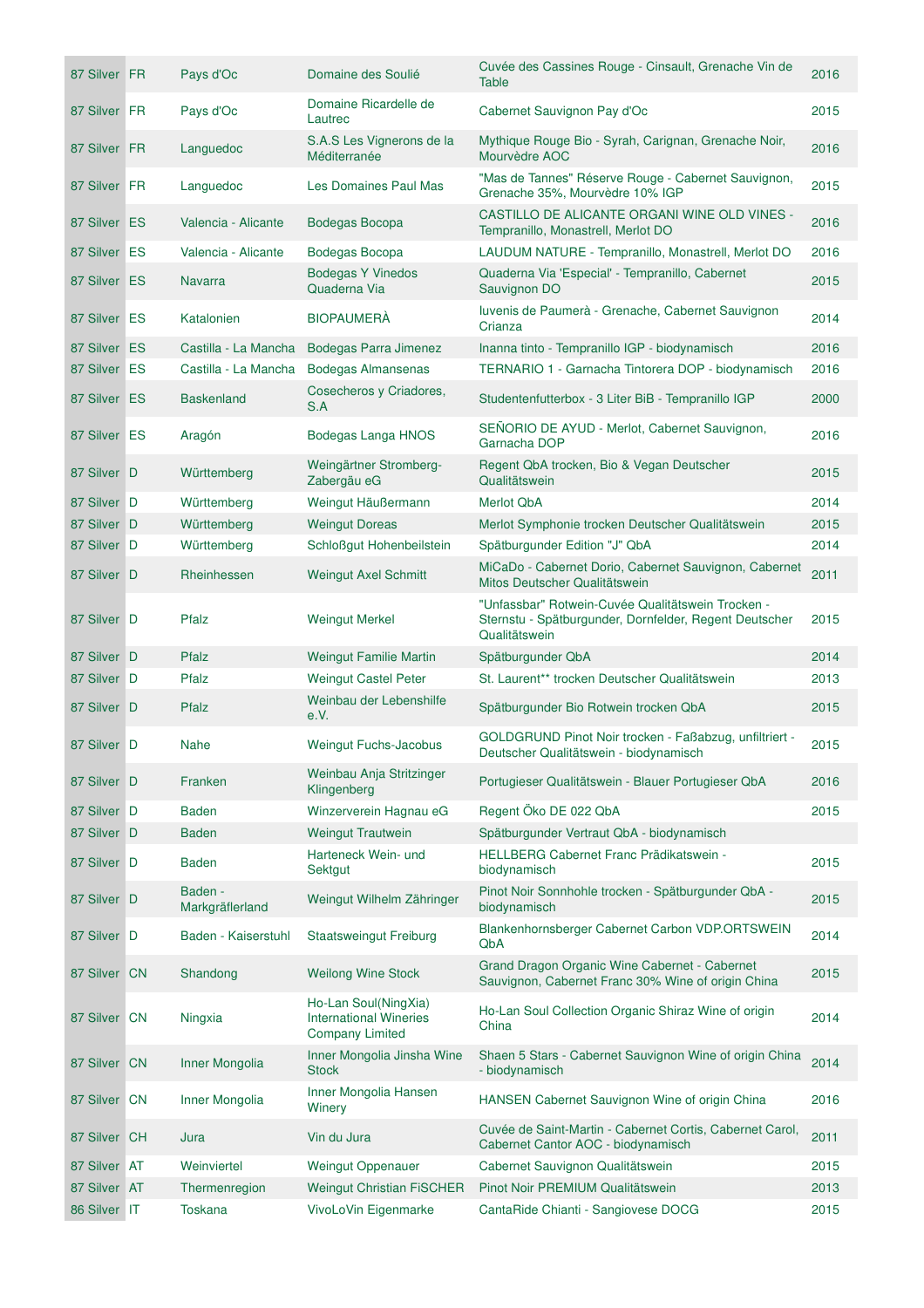| 87 Silver FR | Pays d'Oc                  | Domaine des Soulié                                                              | Cuvée des Cassines Rouge - Cinsault, Grenache Vin de<br><b>Table</b>                                        | 2016 |
|--------------|----------------------------|---------------------------------------------------------------------------------|-------------------------------------------------------------------------------------------------------------|------|
| 87 Silver FR | Pays d'Oc                  | Domaine Ricardelle de<br>Lautrec                                                | Cabernet Sauvignon Pay d'Oc                                                                                 | 2015 |
| 87 Silver FR | Languedoc                  | S.A.S Les Vignerons de la<br>Méditerranée                                       | Mythique Rouge Bio - Syrah, Carignan, Grenache Noir,<br>Mourvèdre AOC                                       | 2016 |
| 87 Silver FR | Languedoc                  | <b>Les Domaines Paul Mas</b>                                                    | "Mas de Tannes" Réserve Rouge - Cabernet Sauvignon,<br>Grenache 35%, Mourvèdre 10% IGP                      | 2015 |
| 87 Silver ES | Valencia - Alicante        | Bodegas Bocopa                                                                  | CASTILLO DE ALICANTE ORGANI WINE OLD VINES -<br>Tempranillo, Monastrell, Merlot DO                          | 2016 |
| 87 Silver ES | Valencia - Alicante        | Bodegas Bocopa                                                                  | LAUDUM NATURE - Tempranillo, Monastrell, Merlot DO                                                          | 2016 |
| 87 Silver ES | <b>Navarra</b>             | <b>Bodegas Y Vinedos</b><br>Quaderna Via                                        | Quaderna Via 'Especial' - Tempranillo, Cabernet<br>Sauvignon DO                                             | 2015 |
| 87 Silver ES | Katalonien                 | <b>BIOPAUMERÀ</b>                                                               | Iuvenis de Paumerà - Grenache, Cabernet Sauvignon<br>Crianza                                                | 2014 |
| 87 Silver ES | Castilla - La Mancha       | Bodegas Parra Jimenez                                                           | Inanna tinto - Tempranillo IGP - biodynamisch                                                               | 2016 |
| 87 Silver ES | Castilla - La Mancha       | <b>Bodegas Almansenas</b>                                                       | TERNARIO 1 - Garnacha Tintorera DOP - biodynamisch                                                          | 2016 |
| 87 Silver ES | <b>Baskenland</b>          | Cosecheros y Criadores,<br>S.A                                                  | Studentenfutterbox - 3 Liter BiB - Tempranillo IGP                                                          | 2000 |
| 87 Silver ES | Aragón                     | Bodegas Langa HNOS                                                              | SEÑORIO DE AYUD - Merlot, Cabernet Sauvignon,<br>Garnacha DOP                                               | 2016 |
| 87 Silver D  | Württemberg                | Weingärtner Stromberg-<br>Zabergäu eG                                           | Regent QbA trocken, Bio & Vegan Deutscher<br>Qualitätswein                                                  | 2015 |
| 87 Silver D  | Württemberg                | Weingut Häußermann                                                              | <b>Merlot QbA</b>                                                                                           | 2014 |
| 87 Silver D  | Württemberg                | <b>Weingut Doreas</b>                                                           | Merlot Symphonie trocken Deutscher Qualitätswein                                                            | 2015 |
| 87 Silver D  | Württemberg                | Schloßgut Hohenbeilstein                                                        | Spätburgunder Edition "J" QbA                                                                               | 2014 |
| 87 Silver D  | Rheinhessen                | <b>Weingut Axel Schmitt</b>                                                     | MiCaDo - Cabernet Dorio, Cabernet Sauvignon, Cabernet<br>Mitos Deutscher Qualitätswein                      | 2011 |
| 87 Silver D  | Pfalz                      | <b>Weingut Merkel</b>                                                           | "Unfassbar" Rotwein-Cuvée Qualitätswein Trocken -<br>Sternstu - Spätburgunder, Dornfelder, Regent Deutscher | 2015 |
|              |                            |                                                                                 | Qualitätswein                                                                                               |      |
| 87 Silver D  | Pfalz                      | <b>Weingut Familie Martin</b>                                                   | Spätburgunder QbA                                                                                           | 2014 |
| 87 Silver D  | Pfalz                      | <b>Weingut Castel Peter</b>                                                     | St. Laurent** trocken Deutscher Qualitätswein                                                               | 2013 |
| 87 Silver D  | Pfalz                      | Weinbau der Lebenshilfe<br>e.V.                                                 | Spätburgunder Bio Rotwein trocken QbA                                                                       | 2015 |
| 87 Silver D  | <b>Nahe</b>                | Weingut Fuchs-Jacobus                                                           | GOLDGRUND Pinot Noir trocken - Faßabzug, unfiltriert -<br>Deutscher Qualitätswein - biodynamisch            | 2015 |
| 87 Silver D  | Franken                    | Weinbau Anja Stritzinger<br>Klingenberg                                         | Portugieser Qualitätswein - Blauer Portugieser QbA                                                          | 2016 |
| 87 Silver D  | <b>Baden</b>               | Winzerverein Hagnau eG                                                          | Regent Öko DE 022 QbA                                                                                       | 2015 |
| 87 Silver D  | <b>Baden</b>               | <b>Weingut Trautwein</b>                                                        | Spätburgunder Vertraut QbA - biodynamisch                                                                   |      |
| 87 Silver D  | <b>Baden</b>               | Harteneck Wein- und<br>Sektgut                                                  | HELLBERG Cabernet Franc Prädikatswein -<br>biodynamisch                                                     | 2015 |
| 87 Silver D  | Baden -<br>Markgräflerland | Weingut Wilhelm Zähringer                                                       | Pinot Noir Sonnhohle trocken - Spätburgunder QbA -<br>biodynamisch                                          | 2015 |
| 87 Silver D  | Baden - Kaiserstuhl        | <b>Staatsweingut Freiburg</b>                                                   | Blankenhornsberger Cabernet Carbon VDP.ORTSWEIN<br>QbA                                                      | 2014 |
| 87 Silver CN | Shandong                   | <b>Weilong Wine Stock</b>                                                       | Grand Dragon Organic Wine Cabernet - Cabernet<br>Sauvignon, Cabernet Franc 30% Wine of origin China         | 2015 |
| 87 Silver CN | Ningxia                    | Ho-Lan Soul(NingXia)<br><b>International Wineries</b><br><b>Company Limited</b> | Ho-Lan Soul Collection Organic Shiraz Wine of origin<br>China                                               | 2014 |
| 87 Silver CN | Inner Mongolia             | Inner Mongolia Jinsha Wine<br><b>Stock</b>                                      | Shaen 5 Stars - Cabernet Sauvignon Wine of origin China<br>- biodynamisch                                   | 2014 |
| 87 Silver CN | Inner Mongolia             | Inner Mongolia Hansen<br>Winery                                                 | HANSEN Cabernet Sauvignon Wine of origin China                                                              | 2016 |
| 87 Silver CH | Jura                       | Vin du Jura                                                                     | Cuvée de Saint-Martin - Cabernet Cortis, Cabernet Carol,<br>Cabernet Cantor AOC - biodynamisch              | 2011 |
| 87 Silver AT | Weinviertel                | <b>Weingut Oppenauer</b>                                                        | Cabernet Sauvignon Qualitätswein                                                                            | 2015 |
| 87 Silver AT | Thermenregion              | <b>Weingut Christian FISCHER</b>                                                | Pinot Noir PREMIUM Qualitätswein                                                                            | 2013 |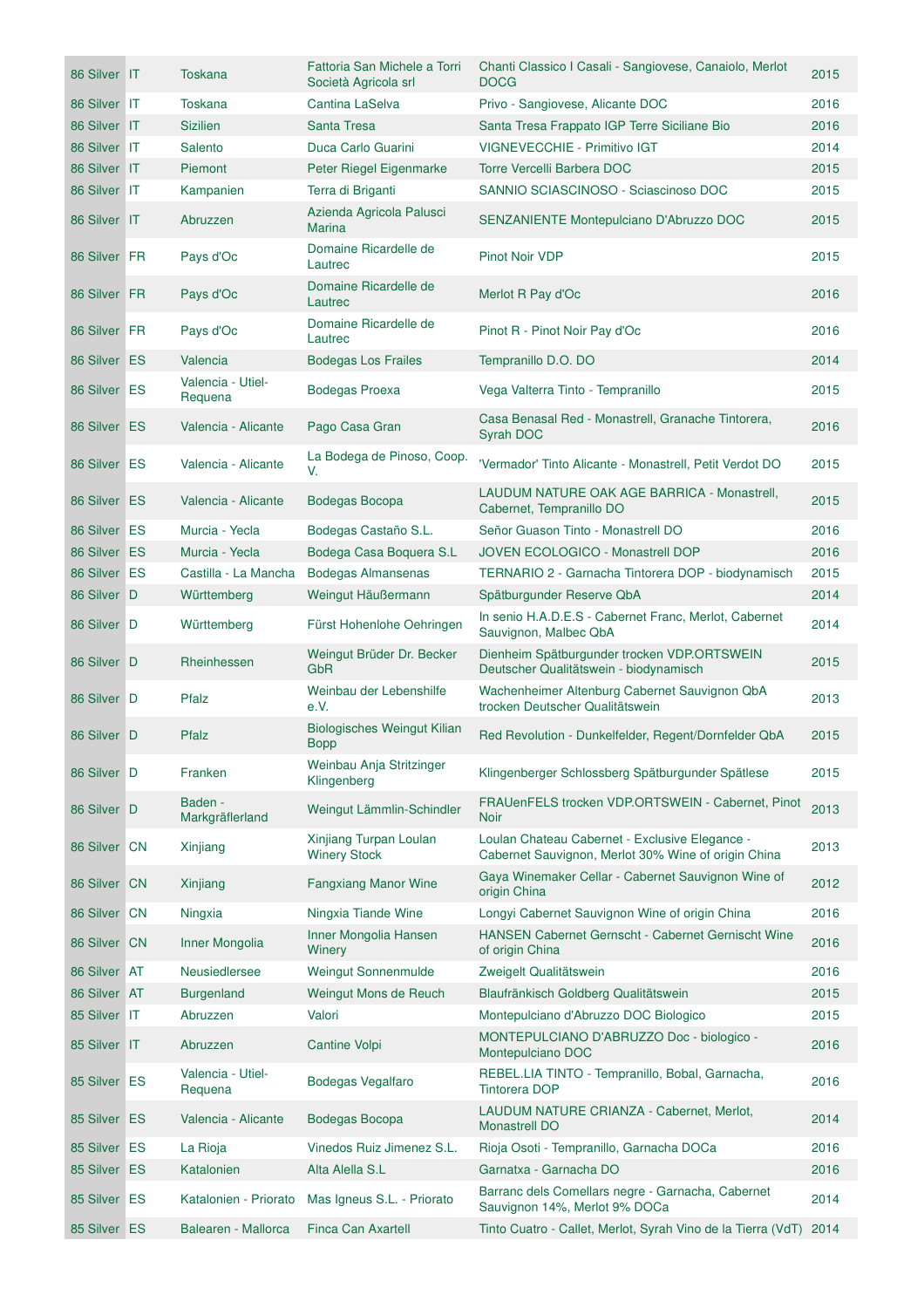| 86 Silver IT | <b>Toskana</b>               | Fattoria San Michele a Torri<br>Società Agricola srl | Chanti Classico I Casali - Sangiovese, Canaiolo, Merlot<br><b>DOCG</b>                                | 2015 |
|--------------|------------------------------|------------------------------------------------------|-------------------------------------------------------------------------------------------------------|------|
| 86 Silver IT | <b>Toskana</b>               | Cantina LaSelva                                      | Privo - Sangiovese, Alicante DOC                                                                      | 2016 |
| 86 Silver IT | <b>Sizilien</b>              | <b>Santa Tresa</b>                                   | Santa Tresa Frappato IGP Terre Siciliane Bio                                                          | 2016 |
| 86 Silver IT | Salento                      | Duca Carlo Guarini                                   | <b>VIGNEVECCHIE - Primitivo IGT</b>                                                                   | 2014 |
| 86 Silver IT | Piemont                      | Peter Riegel Eigenmarke                              | Torre Vercelli Barbera DOC                                                                            | 2015 |
| 86 Silver IT | Kampanien                    | Terra di Briganti                                    | SANNIO SCIASCINOSO - Sciascinoso DOC                                                                  | 2015 |
| 86 Silver IT | Abruzzen                     | Azienda Agricola Palusci<br>Marina                   | SENZANIENTE Montepulciano D'Abruzzo DOC                                                               | 2015 |
| 86 Silver FR | Pays d'Oc                    | Domaine Ricardelle de<br>Lautrec                     | Pinot Noir VDP                                                                                        | 2015 |
| 86 Silver FR | Pays d'Oc                    | Domaine Ricardelle de<br>Lautrec                     | Merlot R Pay d'Oc                                                                                     | 2016 |
| 86 Silver FR | Pays d'Oc                    | Domaine Ricardelle de<br>Lautrec                     | Pinot R - Pinot Noir Pay d'Oc                                                                         | 2016 |
| 86 Silver ES | Valencia                     | <b>Bodegas Los Frailes</b>                           | Tempranillo D.O. DO                                                                                   | 2014 |
| 86 Silver ES | Valencia - Utiel-<br>Requena | <b>Bodegas Proexa</b>                                | Vega Valterra Tinto - Tempranillo                                                                     | 2015 |
| 86 Silver ES | Valencia - Alicante          | Pago Casa Gran                                       | Casa Benasal Red - Monastrell, Granache Tintorera,<br>Syrah DOC                                       | 2016 |
| 86 Silver ES | Valencia - Alicante          | La Bodega de Pinoso, Coop.<br>V.                     | 'Vermador' Tinto Alicante - Monastrell, Petit Verdot DO                                               | 2015 |
| 86 Silver ES | Valencia - Alicante          | Bodegas Bocopa                                       | LAUDUM NATURE OAK AGE BARRICA - Monastrell,<br>Cabernet, Tempranillo DO                               | 2015 |
| 86 Silver ES | Murcia - Yecla               | Bodegas Castaño S.L.                                 | Señor Guason Tinto - Monastrell DO                                                                    | 2016 |
| 86 Silver ES | Murcia - Yecla               | Bodega Casa Boquera S.L                              | <b>JOVEN ECOLOGICO - Monastrell DOP</b>                                                               | 2016 |
| 86 Silver ES | Castilla - La Mancha         | <b>Bodegas Almansenas</b>                            | TERNARIO 2 - Garnacha Tintorera DOP - biodynamisch                                                    | 2015 |
| 86 Silver D  | Württemberg                  | Weingut Häußermann                                   | Spätburgunder Reserve QbA                                                                             | 2014 |
| 86 Silver D  | Württemberg                  | Fürst Hohenlohe Oehringen                            | In senio H.A.D.E.S - Cabernet Franc, Merlot, Cabernet<br>Sauvignon, Malbec QbA                        | 2014 |
| 86 Silver D  | Rheinhessen                  | Weingut Brüder Dr. Becker<br>GbR                     | Dienheim Spätburgunder trocken VDP.ORTSWEIN<br>Deutscher Qualitätswein - biodynamisch                 | 2015 |
| 86 Silver D  | Pfalz                        | Weinbau der Lebenshilfe<br>e.V.                      | Wachenheimer Altenburg Cabernet Sauvignon QbA<br>trocken Deutscher Qualitätswein                      | 2013 |
| 86 Silver D  | Pfalz                        | <b>Biologisches Weingut Kilian</b><br><b>Bopp</b>    | Red Revolution - Dunkelfelder, Regent/Dornfelder QbA                                                  | 2015 |
| 86 Silver D  | Franken                      | Weinbau Anja Stritzinger<br>Klingenberg              | Klingenberger Schlossberg Spätburgunder Spätlese                                                      | 2015 |
| 86 Silver D  | Baden -<br>Markgräflerland   | Weingut Lämmlin-Schindler                            | FRAUenFELS trocken VDP.ORTSWEIN - Cabernet, Pinot<br><b>Noir</b>                                      | 2013 |
| 86 Silver CN | Xinjiang                     | Xinjiang Turpan Loulan<br><b>Winery Stock</b>        | Loulan Chateau Cabernet - Exclusive Elegance -<br>Cabernet Sauvignon, Merlot 30% Wine of origin China | 2013 |
| 86 Silver CN | Xinjiang                     | <b>Fangxiang Manor Wine</b>                          | Gaya Winemaker Cellar - Cabernet Sauvignon Wine of<br>origin China                                    | 2012 |
| 86 Silver CN | Ningxia                      | Ningxia Tiande Wine                                  | Longyi Cabernet Sauvignon Wine of origin China                                                        | 2016 |
| 86 Silver CN | Inner Mongolia               | Inner Mongolia Hansen<br>Winery                      | HANSEN Cabernet Gernscht - Cabernet Gernischt Wine<br>of origin China                                 | 2016 |
| 86 Silver AT | Neusiedlersee                | Weingut Sonnenmulde                                  | Zweigelt Qualitätswein                                                                                | 2016 |
| 86 Silver AT | <b>Burgenland</b>            | Weingut Mons de Reuch                                | Blaufränkisch Goldberg Qualitätswein                                                                  | 2015 |
| 85 Silver IT | Abruzzen                     | Valori                                               | Montepulciano d'Abruzzo DOC Biologico                                                                 | 2015 |
| 85 Silver IT | Abruzzen                     | Cantine Volpi                                        | MONTEPULCIANO D'ABRUZZO Doc - biologico -<br>Montepulciano DOC                                        | 2016 |
| 85 Silver ES | Valencia - Utiel-<br>Requena | Bodegas Vegalfaro                                    | REBEL.LIA TINTO - Tempranillo, Bobal, Garnacha,<br><b>Tintorera DOP</b>                               | 2016 |
| 85 Silver ES | Valencia - Alicante          | Bodegas Bocopa                                       | LAUDUM NATURE CRIANZA - Cabernet, Merlot,<br><b>Monastrell DO</b>                                     | 2014 |
| 85 Silver ES | La Rioja                     | Vinedos Ruiz Jimenez S.L.                            | Rioja Osoti - Tempranillo, Garnacha DOCa                                                              | 2016 |
| 85 Silver ES | Katalonien                   | Alta Alella S.L                                      | Garnatxa - Garnacha DO                                                                                | 2016 |
| 85 Silver ES | Katalonien - Priorato        | Mas Igneus S.L. - Priorato                           | Barranc dels Comellars negre - Garnacha, Cabernet<br>Sauvignon 14%, Merlot 9% DOCa                    | 2014 |
| 85 Silver ES | Balearen - Mallorca          | Finca Can Axartell                                   | Tinto Cuatro - Callet, Merlot, Syrah Vino de la Tierra (VdT)                                          | 2014 |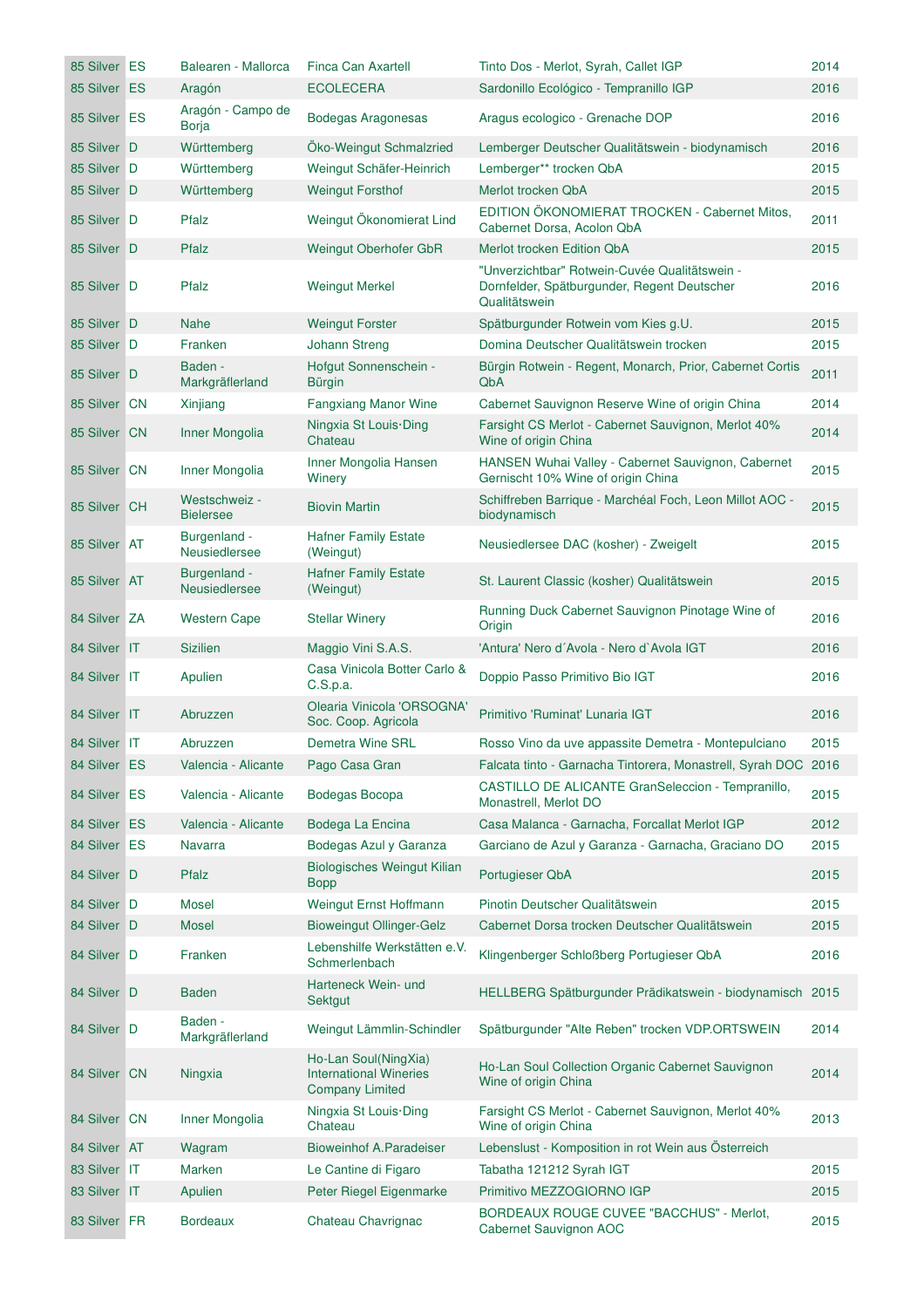| 85 Silver ES | Balearen - Mallorca               | Finca Can Axartell                                                              | Tinto Dos - Merlot, Syrah, Callet IGP                                                                         | 2014 |
|--------------|-----------------------------------|---------------------------------------------------------------------------------|---------------------------------------------------------------------------------------------------------------|------|
| 85 Silver ES | Aragón                            | <b>ECOLECERA</b>                                                                | Sardonillo Ecológico - Tempranillo IGP                                                                        | 2016 |
| 85 Silver ES | Aragón - Campo de<br><b>Borja</b> | Bodegas Aragonesas                                                              | Aragus ecologico - Grenache DOP                                                                               | 2016 |
| 85 Silver D  | Württemberg                       | Öko-Weingut Schmalzried                                                         | Lemberger Deutscher Qualitätswein - biodynamisch                                                              | 2016 |
| 85 Silver D  | Württemberg                       | Weingut Schäfer-Heinrich                                                        | Lemberger** trocken QbA                                                                                       | 2015 |
| 85 Silver D  | Württemberg                       | <b>Weingut Forsthof</b>                                                         | Merlot trocken QbA                                                                                            | 2015 |
| 85 Silver D  | Pfalz                             | Weingut Ökonomierat Lind                                                        | EDITION ÖKONOMIERAT TROCKEN - Cabernet Mitos,<br>Cabernet Dorsa, Acolon QbA                                   | 2011 |
| 85 Silver D  | Pfalz                             | Weingut Oberhofer GbR                                                           | Merlot trocken Edition QbA                                                                                    | 2015 |
| 85 Silver D  | Pfalz                             | <b>Weingut Merkel</b>                                                           | "Unverzichtbar" Rotwein-Cuvée Qualitätswein -<br>Dornfelder, Spätburgunder, Regent Deutscher<br>Qualitätswein | 2016 |
| 85 Silver D  | <b>Nahe</b>                       | <b>Weingut Forster</b>                                                          | Spätburgunder Rotwein vom Kies g.U.                                                                           | 2015 |
| 85 Silver D  | Franken                           | <b>Johann Streng</b>                                                            | Domina Deutscher Qualitätswein trocken                                                                        | 2015 |
| 85 Silver D  | Baden -<br>Markgräflerland        | Hofgut Sonnenschein -<br><b>Bürgin</b>                                          | Bürgin Rotwein - Regent, Monarch, Prior, Cabernet Cortis<br>QbA                                               | 2011 |
| 85 Silver CN | Xinjiang                          | <b>Fangxiang Manor Wine</b>                                                     | Cabernet Sauvignon Reserve Wine of origin China                                                               | 2014 |
| 85 Silver CN | Inner Mongolia                    | Ningxia St Louis Ding<br>Chateau                                                | Farsight CS Merlot - Cabernet Sauvignon, Merlot 40%<br>Wine of origin China                                   | 2014 |
| 85 Silver CN | Inner Mongolia                    | Inner Mongolia Hansen<br>Winery                                                 | HANSEN Wuhai Valley - Cabernet Sauvignon, Cabernet<br>Gernischt 10% Wine of origin China                      | 2015 |
| 85 Silver CH | Westschweiz -<br><b>Bielersee</b> | <b>Biovin Martin</b>                                                            | Schiffreben Barrique - Marchéal Foch, Leon Millot AOC -<br>biodynamisch                                       | 2015 |
| 85 Silver AT | Burgenland -<br>Neusiedlersee     | <b>Hafner Family Estate</b><br>(Weingut)                                        | Neusiedlersee DAC (kosher) - Zweigelt                                                                         | 2015 |
| 85 Silver AT | Burgenland -<br>Neusiedlersee     | <b>Hafner Family Estate</b><br>(Weingut)                                        | St. Laurent Classic (kosher) Qualitätswein                                                                    | 2015 |
| 84 Silver ZA | <b>Western Cape</b>               | <b>Stellar Winery</b>                                                           | Running Duck Cabernet Sauvignon Pinotage Wine of<br>Origin                                                    | 2016 |
| 84 Silver IT | <b>Sizilien</b>                   | Maggio Vini S.A.S.                                                              | 'Antura' Nero d'Avola - Nero d'Avola IGT                                                                      | 2016 |
| 84 Silver IT | Apulien                           | Casa Vinicola Botter Carlo &<br>C.S.p.a.                                        | Doppio Passo Primitivo Bio IGT                                                                                | 2016 |
| 84 Silver IT | Abruzzen                          | Olearia Vinicola 'ORSOGNA'<br>Soc. Coop. Agricola                               | Primitivo 'Ruminat' Lunaria IGT                                                                               | 2016 |
| 84 Silver IT | Abruzzen                          | Demetra Wine SRL                                                                | Rosso Vino da uve appassite Demetra - Montepulciano                                                           | 2015 |
| 84 Silver ES | Valencia - Alicante               | Pago Casa Gran                                                                  | Falcata tinto - Garnacha Tintorera, Monastrell, Syrah DOC 2016                                                |      |
| 84 Silver ES | Valencia - Alicante               | Bodegas Bocopa                                                                  | CASTILLO DE ALICANTE GranSeleccion - Tempranillo,<br>Monastrell, Merlot DO                                    | 2015 |
| 84 Silver ES | Valencia - Alicante               | Bodega La Encina                                                                | Casa Malanca - Garnacha, Forcallat Merlot IGP                                                                 | 2012 |
| 84 Silver ES | Navarra                           | Bodegas Azul y Garanza                                                          | Garciano de Azul y Garanza - Garnacha, Graciano DO                                                            | 2015 |
| 84 Silver D  | Pfalz                             | <b>Biologisches Weingut Kilian</b><br><b>Bopp</b>                               | Portugieser QbA                                                                                               | 2015 |
| 84 Silver D  | Mosel                             | Weingut Ernst Hoffmann                                                          | Pinotin Deutscher Qualitätswein                                                                               | 2015 |
| 84 Silver D  | <b>Mosel</b>                      | <b>Bioweingut Ollinger-Gelz</b>                                                 | Cabernet Dorsa trocken Deutscher Qualitätswein                                                                | 2015 |
| 84 Silver D  | Franken                           | Lebenshilfe Werkstätten e.V.<br>Schmerlenbach                                   | Klingenberger Schloßberg Portugieser QbA                                                                      | 2016 |
| 84 Silver D  | Baden                             | Harteneck Wein- und<br>Sektgut                                                  | HELLBERG Spätburgunder Prädikatswein - biodynamisch 2015                                                      |      |
| 84 Silver D  | Baden -<br>Markgräflerland        | Weingut Lämmlin-Schindler                                                       | Spätburgunder "Alte Reben" trocken VDP.ORTSWEIN                                                               | 2014 |
| 84 Silver CN | Ningxia                           | Ho-Lan Soul(NingXia)<br><b>International Wineries</b><br><b>Company Limited</b> | Ho-Lan Soul Collection Organic Cabernet Sauvignon<br>Wine of origin China                                     | 2014 |
| 84 Silver CN | Inner Mongolia                    | Ningxia St Louis Ding<br>Chateau                                                | Farsight CS Merlot - Cabernet Sauvignon, Merlot 40%<br>Wine of origin China                                   | 2013 |
| 84 Silver AT | Wagram                            | <b>Bioweinhof A.Paradeiser</b>                                                  | Lebenslust - Komposition in rot Wein aus Österreich                                                           |      |
| 83 Silver IT | Marken                            | Le Cantine di Figaro                                                            | Tabatha 121212 Syrah IGT                                                                                      | 2015 |
| 83 Silver IT | Apulien                           | Peter Riegel Eigenmarke                                                         | Primitivo MEZZOGIORNO IGP                                                                                     | 2015 |
| 83 Silver FR | <b>Bordeaux</b>                   | Chateau Chavrignac                                                              | <b>BORDEAUX ROUGE CUVEE "BACCHUS" - Merlot,</b><br>Cabernet Sauvignon AOC                                     | 2015 |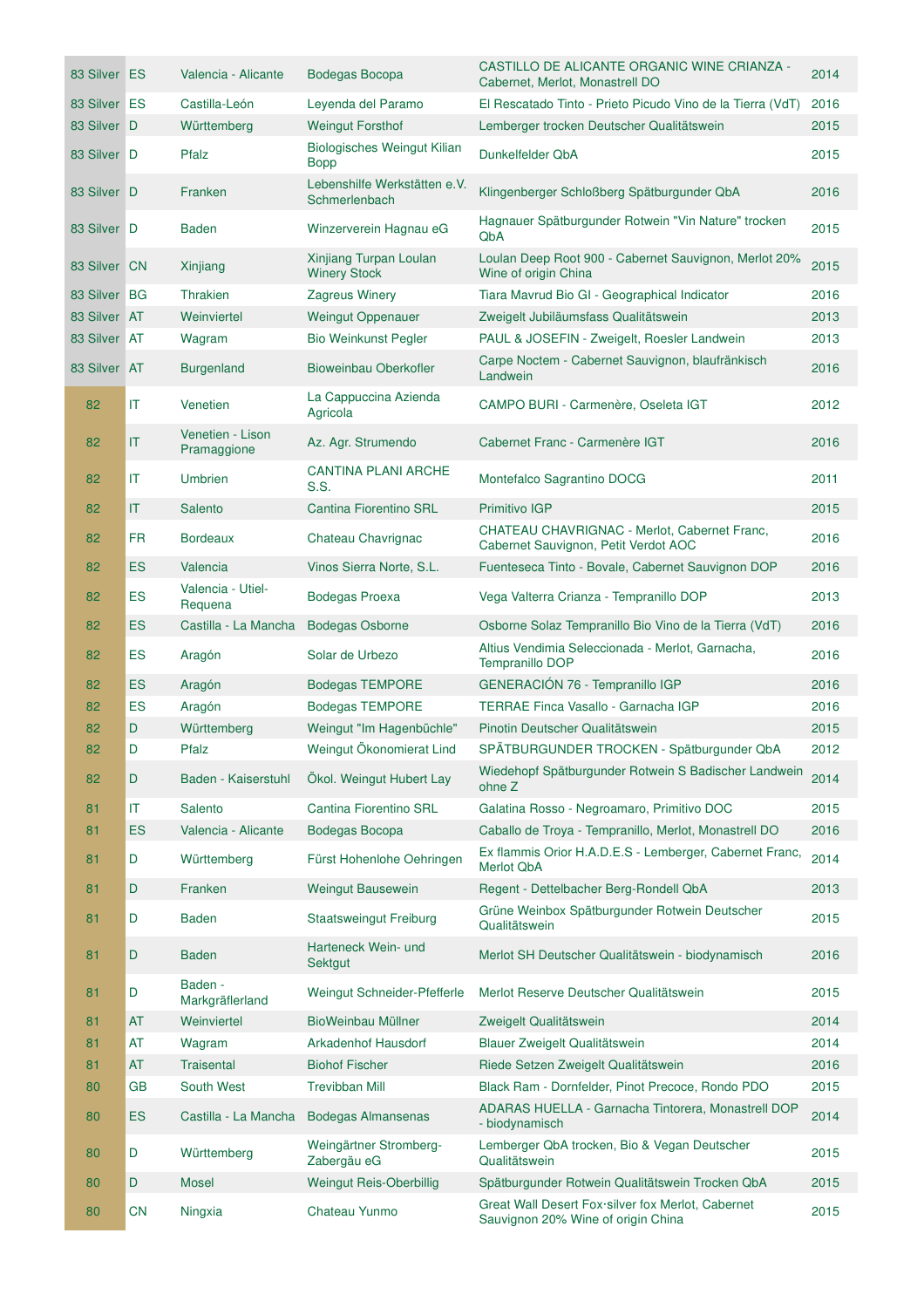| 83 Silver ES |           | Valencia - Alicante             | Bodegas Bocopa                                | CASTILLO DE ALICANTE ORGANIC WINE CRIANZA -<br>Cabernet, Merlot, Monastrell DO          | 2014 |
|--------------|-----------|---------------------------------|-----------------------------------------------|-----------------------------------------------------------------------------------------|------|
| 83 Silver ES |           | Castilla-León                   | Leyenda del Paramo                            | El Rescatado Tinto - Prieto Picudo Vino de la Tierra (VdT)                              | 2016 |
| 83 Silver D  |           | Württemberg                     | <b>Weingut Forsthof</b>                       | Lemberger trocken Deutscher Qualitätswein                                               | 2015 |
| 83 Silver D  |           | Pfalz                           | Biologisches Weingut Kilian<br><b>Bopp</b>    | Dunkelfelder QbA                                                                        | 2015 |
| 83 Silver D  |           | Franken                         | Lebenshilfe Werkstätten e.V.<br>Schmerlenbach | Klingenberger Schloßberg Spätburgunder QbA                                              | 2016 |
| 83 Silver D  |           | <b>Baden</b>                    | Winzerverein Hagnau eG                        | Hagnauer Spätburgunder Rotwein "Vin Nature" trocken<br>QbA                              | 2015 |
| 83 Silver CN |           | Xinjiang                        | Xinjiang Turpan Loulan<br><b>Winery Stock</b> | Loulan Deep Root 900 - Cabernet Sauvignon, Merlot 20%<br>Wine of origin China           | 2015 |
| 83 Silver BG |           | <b>Thrakien</b>                 | <b>Zagreus Winery</b>                         | Tiara Mavrud Bio GI - Geographical Indicator                                            | 2016 |
| 83 Silver AT |           | Weinviertel                     | <b>Weingut Oppenauer</b>                      | Zweigelt Jubiläumsfass Qualitätswein                                                    | 2013 |
| 83 Silver AT |           | Wagram                          | <b>Bio Weinkunst Pegler</b>                   | PAUL & JOSEFIN - Zweigelt, Roesler Landwein                                             | 2013 |
| 83 Silver AT |           | <b>Burgenland</b>               | Bioweinbau Oberkofler                         | Carpe Noctem - Cabernet Sauvignon, blaufränkisch<br>Landwein                            | 2016 |
| 82           | IT        | Venetien                        | La Cappuccina Azienda<br>Agricola             | CAMPO BURI - Carmenère, Oseleta IGT                                                     | 2012 |
| 82           | IT        | Venetien - Lison<br>Pramaggione | Az. Agr. Strumendo                            | Cabernet Franc - Carmenère IGT                                                          | 2016 |
| 82           | IT        | <b>Umbrien</b>                  | <b>CANTINA PLANI ARCHE</b><br>S.S.            | Montefalco Sagrantino DOCG                                                              | 2011 |
| 82           | IT        | Salento                         | <b>Cantina Fiorentino SRL</b>                 | Primitivo IGP                                                                           | 2015 |
| 82           | <b>FR</b> | <b>Bordeaux</b>                 | Chateau Chavrignac                            | CHATEAU CHAVRIGNAC - Merlot, Cabernet Franc,<br>Cabernet Sauvignon, Petit Verdot AOC    | 2016 |
| 82           | <b>ES</b> | Valencia                        | Vinos Sierra Norte, S.L.                      | Fuenteseca Tinto - Bovale, Cabernet Sauvignon DOP                                       | 2016 |
| 82           | ES        | Valencia - Utiel-<br>Requena    | <b>Bodegas Proexa</b>                         | Vega Valterra Crianza - Tempranillo DOP                                                 | 2013 |
| 82           | ES        | Castilla - La Mancha            | <b>Bodegas Osborne</b>                        | Osborne Solaz Tempranillo Bio Vino de la Tierra (VdT)                                   | 2016 |
| 82           | <b>ES</b> | Aragón                          | Solar de Urbezo                               | Altius Vendimia Seleccionada - Merlot, Garnacha,<br>Tempranillo DOP                     | 2016 |
| 82           | <b>ES</b> | Aragón                          | <b>Bodegas TEMPORE</b>                        | GENERACIÓN 76 - Tempranillo IGP                                                         | 2016 |
| 82           | <b>ES</b> | Aragón                          | <b>Bodegas TEMPORE</b>                        | TERRAE Finca Vasallo - Garnacha IGP                                                     | 2016 |
| 82           | D         | Württemberg                     | Weingut "Im Hagenbüchle"                      | Pinotin Deutscher Qualitätswein                                                         | 2015 |
| 82           | D         | Pfalz                           | Weingut Ökonomierat Lind                      | SPÄTBURGUNDER TROCKEN - Spätburgunder QbA                                               | 2012 |
| 82           | D         | Baden - Kaiserstuhl             | Ökol. Weingut Hubert Lay                      | Wiedehopf Spätburgunder Rotwein S Badischer Landwein<br>ohne Z                          | 2014 |
| 81           | IT        | Salento                         | Cantina Fiorentino SRL                        | Galatina Rosso - Negroamaro, Primitivo DOC                                              | 2015 |
| 81           | <b>ES</b> | Valencia - Alicante             | Bodegas Bocopa                                | Caballo de Troya - Tempranillo, Merlot, Monastrell DO                                   | 2016 |
| 81           | D         | Württemberg                     | Fürst Hohenlohe Oehringen                     | Ex flammis Orior H.A.D.E.S - Lemberger, Cabernet Franc,<br><b>Merlot QbA</b>            | 2014 |
| 81           | D         | Franken                         | <b>Weingut Bausewein</b>                      | Regent - Dettelbacher Berg-Rondell QbA                                                  | 2013 |
| 81           | D         | <b>Baden</b>                    | <b>Staatsweingut Freiburg</b>                 | Grüne Weinbox Spätburgunder Rotwein Deutscher<br>Qualitätswein                          | 2015 |
| 81           | D         | <b>Baden</b>                    | Harteneck Wein- und<br>Sektgut                | Merlot SH Deutscher Qualitätswein - biodynamisch                                        | 2016 |
| 81           | D         | Baden -<br>Markgräflerland      | Weingut Schneider-Pfefferle                   | Merlot Reserve Deutscher Qualitätswein                                                  | 2015 |
| 81           | AT        | Weinviertel                     | BioWeinbau Müllner                            | Zweigelt Qualitätswein                                                                  | 2014 |
| 81           | AT        | Wagram                          | Arkadenhof Hausdorf                           | Blauer Zweigelt Qualitätswein                                                           | 2014 |
| 81           | <b>AT</b> | Traisental                      | <b>Biohof Fischer</b>                         | Riede Setzen Zweigelt Qualitätswein                                                     | 2016 |
| 80           | GВ        | South West                      | <b>Trevibban Mill</b>                         | Black Ram - Dornfelder, Pinot Precoce, Rondo PDO                                        | 2015 |
| 80           | <b>ES</b> | Castilla - La Mancha            | <b>Bodegas Almansenas</b>                     | ADARAS HUELLA - Garnacha Tintorera, Monastrell DOP<br>- biodynamisch                    | 2014 |
| 80           | D         | Württemberg                     | Weingärtner Stromberg-<br>Zabergäu eG         | Lemberger QbA trocken, Bio & Vegan Deutscher<br>Qualitätswein                           | 2015 |
| 80           | D         | <b>Mosel</b>                    | Weingut Reis-Oberbillig                       | Spätburgunder Rotwein Qualitätswein Trocken QbA                                         | 2015 |
| 80           | <b>CN</b> | Ningxia                         | Chateau Yunmo                                 | Great Wall Desert Fox silver fox Merlot, Cabernet<br>Sauvignon 20% Wine of origin China | 2015 |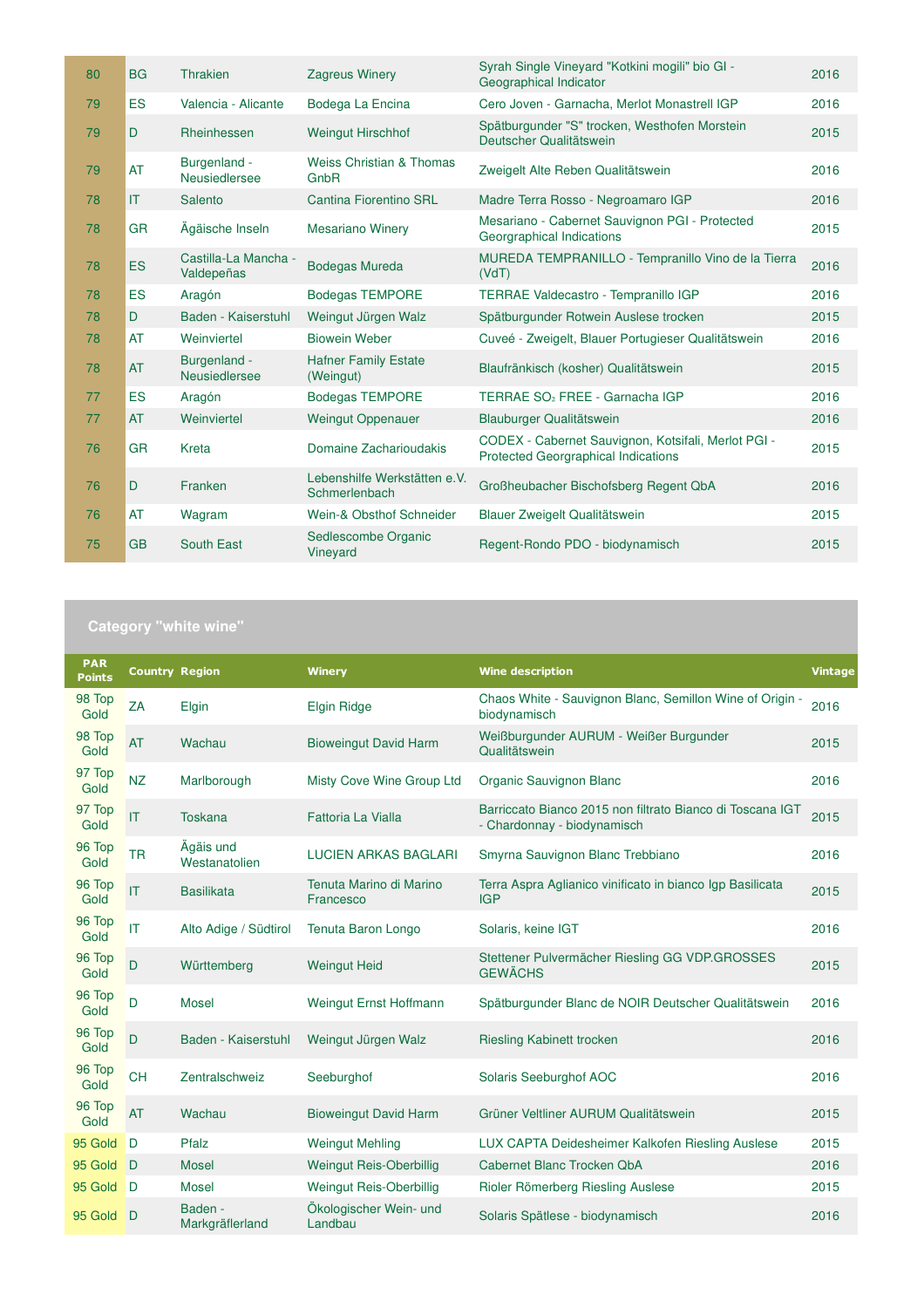| 80 | <b>BG</b> | <b>Thrakien</b>                    | <b>Zagreus Winery</b>                         | Syrah Single Vineyard "Kotkini mogili" bio GI -<br>Geographical Indicator                         | 2016 |
|----|-----------|------------------------------------|-----------------------------------------------|---------------------------------------------------------------------------------------------------|------|
| 79 | <b>ES</b> | Valencia - Alicante                | Bodega La Encina                              | Cero Joven - Garnacha, Merlot Monastrell IGP                                                      | 2016 |
| 79 | D         | Rheinhessen                        | <b>Weingut Hirschhof</b>                      | Spätburgunder "S" trocken, Westhofen Morstein<br>Deutscher Qualitätswein                          | 2015 |
| 79 | <b>AT</b> | Burgenland -<br>Neusiedlersee      | <b>Weiss Christian &amp; Thomas</b><br>GnbR   | Zweigelt Alte Reben Qualitätswein                                                                 | 2016 |
| 78 | IT        | Salento                            | Cantina Fiorentino SRL                        | Madre Terra Rosso - Negroamaro IGP                                                                | 2016 |
| 78 | <b>GR</b> | Ägäische Inseln                    | <b>Mesariano Winery</b>                       | Mesariano - Cabernet Sauvignon PGI - Protected<br>Georgraphical Indications                       | 2015 |
| 78 | ES        | Castilla-La Mancha -<br>Valdepeñas | <b>Bodegas Mureda</b>                         | MUREDA TEMPRANILLO - Tempranillo Vino de la Tierra<br>(VdT)                                       | 2016 |
| 78 | <b>ES</b> | Aragón                             | <b>Bodegas TEMPORE</b>                        | TERRAE Valdecastro - Tempranillo IGP                                                              | 2016 |
| 78 | D         | Baden - Kaiserstuhl                | Weingut Jürgen Walz                           | Spätburgunder Rotwein Auslese trocken                                                             | 2015 |
| 78 | <b>AT</b> | Weinviertel                        | <b>Biowein Weber</b>                          | Cuveé - Zweigelt, Blauer Portugieser Qualitätswein                                                | 2016 |
| 78 | <b>AT</b> | Burgenland -<br>Neusiedlersee      | <b>Hafner Family Estate</b><br>(Weingut)      | Blaufränkisch (kosher) Qualitätswein                                                              | 2015 |
| 77 | ES        | Aragón                             | <b>Bodegas TEMPORE</b>                        | TERRAE SO <sub>2</sub> FREE - Garnacha IGP                                                        | 2016 |
| 77 | <b>AT</b> | Weinviertel                        | <b>Weingut Oppenauer</b>                      | Blauburger Qualitätswein                                                                          | 2016 |
| 76 | <b>GR</b> | Kreta                              | Domaine Zacharioudakis                        | CODEX - Cabernet Sauvignon, Kotsifali, Merlot PGI -<br><b>Protected Georgraphical Indications</b> | 2015 |
| 76 | D         | Franken                            | Lebenshilfe Werkstätten e.V.<br>Schmerlenbach | Großheubacher Bischofsberg Regent QbA                                                             | 2016 |
| 76 | AT        | Wagram                             | Wein-& Obsthof Schneider                      | Blauer Zweigelt Qualitätswein                                                                     | 2015 |
| 75 | <b>GB</b> | South East                         | Sedlescombe Organic<br>Vineyard               | Regent-Rondo PDO - biodynamisch                                                                   | 2015 |

| <b>PAR</b><br><b>Points</b> | <b>Country Region</b>  |                            | <b>Winery</b>                        | <b>Wine description</b>                                                                  | <b>Vintage</b> |
|-----------------------------|------------------------|----------------------------|--------------------------------------|------------------------------------------------------------------------------------------|----------------|
| 98 Top<br>Gold              | ZA                     | Elgin                      | <b>Elgin Ridge</b>                   | Chaos White - Sauvignon Blanc, Semillon Wine of Origin -<br>biodynamisch                 | 2016           |
| 98 Top<br>Gold              | <b>AT</b>              | Wachau                     | <b>Bioweingut David Harm</b>         | Weißburgunder AURUM - Weißer Burgunder<br>Qualitätswein                                  | 2015           |
| 97 Top<br>Gold              | <b>NZ</b>              | Marlborough                | Misty Cove Wine Group Ltd            | Organic Sauvignon Blanc                                                                  | 2016           |
| 97 Top<br>Gold              | $\mathsf{I}$           | <b>Toskana</b>             | Fattoria La Vialla                   | Barriccato Bianco 2015 non filtrato Bianco di Toscana IGT<br>- Chardonnay - biodynamisch | 2015           |
| 96 Top<br>Gold              | <b>TR</b>              | Ägäis und<br>Westanatolien | <b>LUCIEN ARKAS BAGLARI</b>          | Smyrna Sauvignon Blanc Trebbiano                                                         | 2016           |
| 96 Top<br>Gold              | $\mathsf{I}$           | <b>Basilikata</b>          | Tenuta Marino di Marino<br>Francesco | Terra Aspra Aglianico vinificato in bianco Igp Basilicata<br><b>IGP</b>                  | 2015           |
| 96 Top<br>Gold              | $\mathsf{I}\mathsf{T}$ | Alto Adige / Südtirol      | Tenuta Baron Longo                   | Solaris, keine IGT                                                                       | 2016           |
| 96 Top<br>Gold              | D                      | Württemberg                | <b>Weingut Heid</b>                  | Stettener Pulvermächer Riesling GG VDP.GROSSES<br><b>GEWÄCHS</b>                         | 2015           |
| 96 Top<br>Gold              | D                      | <b>Mosel</b>               | Weingut Ernst Hoffmann               | Spätburgunder Blanc de NOIR Deutscher Qualitätswein                                      | 2016           |
| 96 Top<br>Gold              | D                      | Baden - Kaiserstuhl        | Weingut Jürgen Walz                  | <b>Riesling Kabinett trocken</b>                                                         | 2016           |
| 96 Top<br>Gold              | <b>CH</b>              | Zentralschweiz             | Seeburghof                           | Solaris Seeburghof AOC                                                                   | 2016           |
| 96 Top<br>Gold              | <b>AT</b>              | Wachau                     | <b>Bioweingut David Harm</b>         | Grüner Veltliner AURUM Qualitätswein                                                     | 2015           |
| 95 Gold                     | D                      | Pfalz                      | <b>Weingut Mehling</b>               | LUX CAPTA Deidesheimer Kalkofen Riesling Auslese                                         | 2015           |
| 95 Gold                     | D                      | <b>Mosel</b>               | Weingut Reis-Oberbillig              | Cabernet Blanc Trocken QbA                                                               | 2016           |
| 95 Gold                     | D                      | <b>Mosel</b>               | Weingut Reis-Oberbillig              | Rioler Römerberg Riesling Auslese                                                        | 2015           |
| 95 Gold                     | D                      | Baden -<br>Markgräflerland | Ökologischer Wein- und<br>Landbau    | Solaris Spätlese - biodynamisch                                                          | 2016           |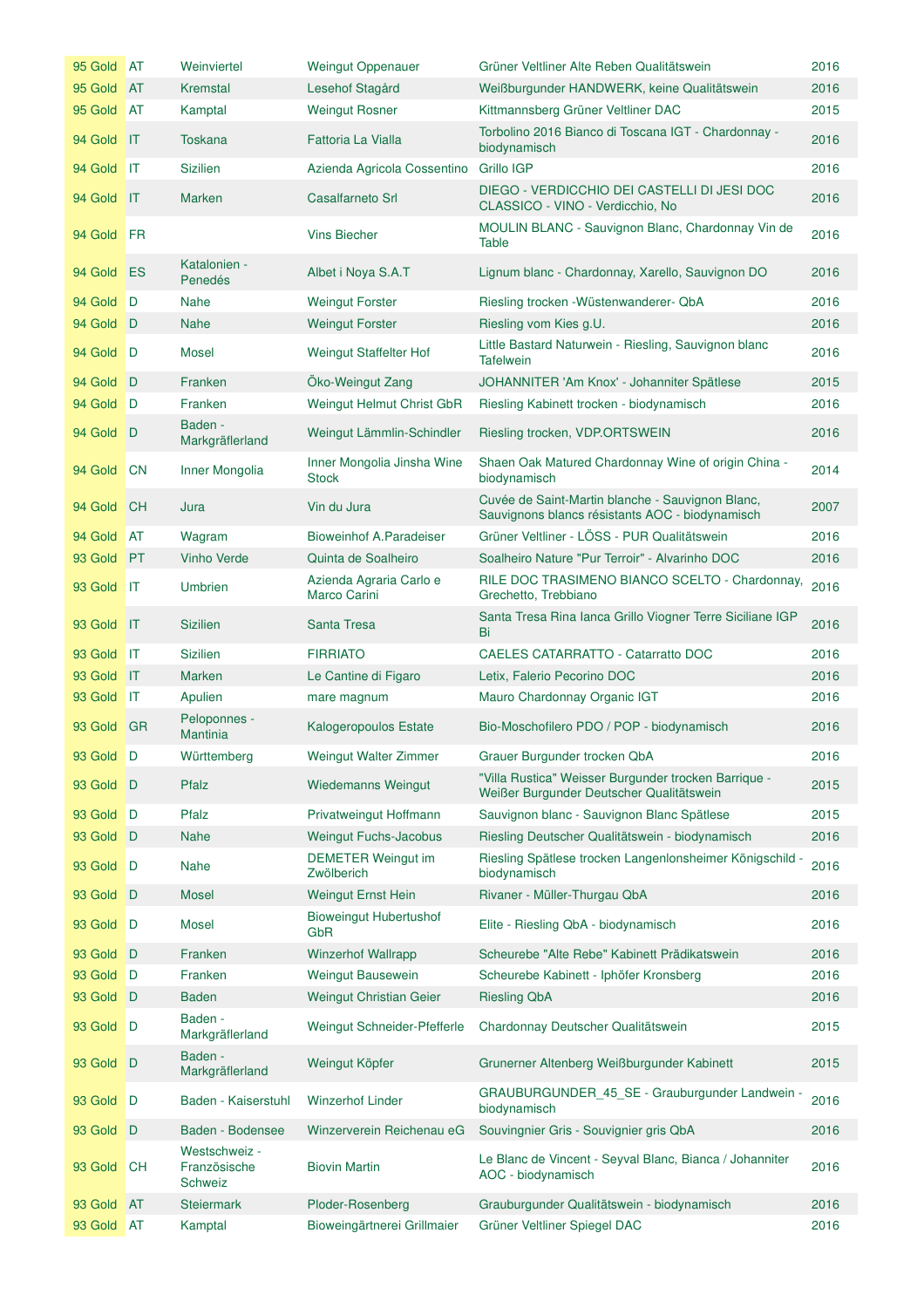| 95 Gold AT |                | Weinviertel                                     | <b>Weingut Oppenauer</b>                   | Grüner Veltliner Alte Reben Qualitätswein                                                           | 2016 |
|------------|----------------|-------------------------------------------------|--------------------------------------------|-----------------------------------------------------------------------------------------------------|------|
| 95 Gold    | <b>AT</b>      | Kremstal                                        | Lesehof Stagård                            | Weißburgunder HANDWERK, keine Qualitätswein                                                         | 2016 |
| 95 Gold    | AT             | Kamptal                                         | <b>Weingut Rosner</b>                      | Kittmannsberg Grüner Veltliner DAC                                                                  | 2015 |
| 94 Gold    | $\mathsf{I}$   | <b>Toskana</b>                                  | Fattoria La Vialla                         | Torbolino 2016 Bianco di Toscana IGT - Chardonnay -<br>biodynamisch                                 | 2016 |
| 94 Gold    | IT             | <b>Sizilien</b>                                 | Azienda Agricola Cossentino                | Grillo IGP                                                                                          | 2016 |
| 94 Gold    | $\mathsf{I}$   | <b>Marken</b>                                   | Casalfarneto Srl                           | DIEGO - VERDICCHIO DEI CASTELLI DI JESI DOC<br>CLASSICO - VINO - Verdicchio, No                     | 2016 |
| 94 Gold    | <b>FR</b>      |                                                 | <b>Vins Biecher</b>                        | MOULIN BLANC - Sauvignon Blanc, Chardonnay Vin de<br>Table                                          | 2016 |
| 94 Gold    | ES             | Katalonien -<br>Penedés                         | Albet i Noya S.A.T                         | Lignum blanc - Chardonnay, Xarello, Sauvignon DO                                                    | 2016 |
| 94 Gold    | D              | <b>Nahe</b>                                     | <b>Weingut Forster</b>                     | Riesling trocken - Wüstenwanderer- QbA                                                              | 2016 |
| 94 Gold    | D              | <b>Nahe</b>                                     | <b>Weingut Forster</b>                     | Riesling vom Kies g.U.                                                                              | 2016 |
| 94 Gold D  |                | Mosel                                           | Weingut Staffelter Hof                     | Little Bastard Naturwein - Riesling, Sauvignon blanc<br><b>Tafelwein</b>                            | 2016 |
| 94 Gold    | D              | Franken                                         | Öko-Weingut Zang                           | JOHANNITER 'Am Knox' - Johanniter Spätlese                                                          | 2015 |
| 94 Gold    | D              | Franken                                         | Weingut Helmut Christ GbR                  | Riesling Kabinett trocken - biodynamisch                                                            | 2016 |
| 94 Gold    | D              | Baden -<br>Markgräflerland                      | Weingut Lämmlin-Schindler                  | Riesling trocken, VDP.ORTSWEIN                                                                      | 2016 |
| 94 Gold    | <b>CN</b>      | Inner Mongolia                                  | Inner Mongolia Jinsha Wine<br><b>Stock</b> | Shaen Oak Matured Chardonnay Wine of origin China -<br>biodynamisch                                 | 2014 |
| 94 Gold    | <b>CH</b>      | Jura                                            | Vin du Jura                                | Cuvée de Saint-Martin blanche - Sauvignon Blanc,<br>Sauvignons blancs résistants AOC - biodynamisch | 2007 |
| 94 Gold    | <b>AT</b>      | Wagram                                          | Bioweinhof A.Paradeiser                    | Grüner Veltliner - LÖSS - PUR Qualitätswein                                                         | 2016 |
| 93 Gold    | <b>PT</b>      | <b>Vinho Verde</b>                              | Quinta de Soalheiro                        | Soalheiro Nature "Pur Terroir" - Alvarinho DOC                                                      | 2016 |
| 93 Gold    | <b>IT</b>      | <b>Umbrien</b>                                  | Azienda Agraria Carlo e<br>Marco Carini    | RILE DOC TRASIMENO BIANCO SCELTO - Chardonnay,<br>Grechetto, Trebbiano                              | 2016 |
| 93 Gold    | $\mathsf{I}$   | <b>Sizilien</b>                                 | Santa Tresa                                | Santa Tresa Rina Ianca Grillo Viogner Terre Siciliane IGP<br>Bi                                     | 2016 |
| 93 Gold    | IT             | <b>Sizilien</b>                                 | <b>FIRRIATO</b>                            | <b>CAELES CATARRATTO - Catarratto DOC</b>                                                           | 2016 |
| 93 Gold    | IT             | <b>Marken</b>                                   | Le Cantine di Figaro                       | Letix, Falerio Pecorino DOC                                                                         | 2016 |
| 93 Gold    | <b>IIT</b>     | Apulien                                         | mare magnum                                | Mauro Chardonnay Organic IGT                                                                        | 2016 |
| 93 Gold    | <b>GR</b>      | Peloponnes -<br><b>Mantinia</b>                 | Kalogeropoulos Estate                      | Bio-Moschofilero PDO / POP - biodynamisch                                                           | 2016 |
| 93 Gold D  |                | Württemberg                                     | Weingut Walter Zimmer                      | Grauer Burgunder trocken QbA                                                                        | 2016 |
| 93 Gold D  |                | Pfalz                                           | <b>Wiedemanns Weingut</b>                  | "Villa Rustica" Weisser Burgunder trocken Barrique -<br>Weißer Burgunder Deutscher Qualitätswein    | 2015 |
| 93 Gold    | D              | Pfalz                                           | Privatweingut Hoffmann                     | Sauvignon blanc - Sauvignon Blanc Spätlese                                                          | 2015 |
| 93 Gold    | $\Box$         | <b>Nahe</b>                                     | <b>Weingut Fuchs-Jacobus</b>               | Riesling Deutscher Qualitätswein - biodynamisch                                                     | 2016 |
| 93 Gold    | D              | <b>Nahe</b>                                     | <b>DEMETER Weingut im</b><br>Zwölberich    | Riesling Spätlese trocken Langenlonsheimer Königschild -<br>biodynamisch                            | 2016 |
| 93 Gold    | D              | <b>Mosel</b>                                    | <b>Weingut Ernst Hein</b>                  | Rivaner - Müller-Thurgau QbA                                                                        | 2016 |
| 93 Gold    | D              | Mosel                                           | <b>Bioweingut Hubertushof</b><br>GbR       | Elite - Riesling QbA - biodynamisch                                                                 | 2016 |
| 93 Gold    | D              | Franken                                         | <b>Winzerhof Wallrapp</b>                  | Scheurebe "Alte Rebe" Kabinett Prädikatswein                                                        | 2016 |
| 93 Gold    | $\blacksquare$ | Franken                                         | Weingut Bausewein                          | Scheurebe Kabinett - Iphöfer Kronsberg                                                              | 2016 |
| 93 Gold    | D              | <b>Baden</b>                                    | <b>Weingut Christian Geier</b>             | <b>Riesling QbA</b>                                                                                 | 2016 |
| 93 Gold    | D              | Baden -<br>Markgräflerland                      | Weingut Schneider-Pfefferle                | Chardonnay Deutscher Qualitätswein                                                                  | 2015 |
| 93 Gold    | D              | Baden -<br>Markgräflerland                      | Weingut Köpfer                             | Grunerner Altenberg Weißburgunder Kabinett                                                          | 2015 |
| 93 Gold    | D              | Baden - Kaiserstuhl                             | <b>Winzerhof Linder</b>                    | GRAUBURGUNDER_45_SE - Grauburgunder Landwein -<br>biodynamisch                                      | 2016 |
| 93 Gold    | D              | Baden - Bodensee                                | Winzerverein Reichenau eG                  | Souvingnier Gris - Souvignier gris QbA                                                              | 2016 |
| 93 Gold    | <b>CH</b>      | Westschweiz -<br>Französische<br><b>Schweiz</b> | <b>Biovin Martin</b>                       | Le Blanc de Vincent - Seyval Blanc, Bianca / Johanniter<br>AOC - biodynamisch                       | 2016 |
| 93 Gold    | <b>AT</b>      | <b>Steiermark</b>                               | Ploder-Rosenberg                           | Grauburgunder Qualitätswein - biodynamisch                                                          | 2016 |
| 93 Gold    | AT             | Kamptal                                         | Bioweingärtnerei Grillmaier                | Grüner Veltliner Spiegel DAC                                                                        | 2016 |
|            |                |                                                 |                                            |                                                                                                     |      |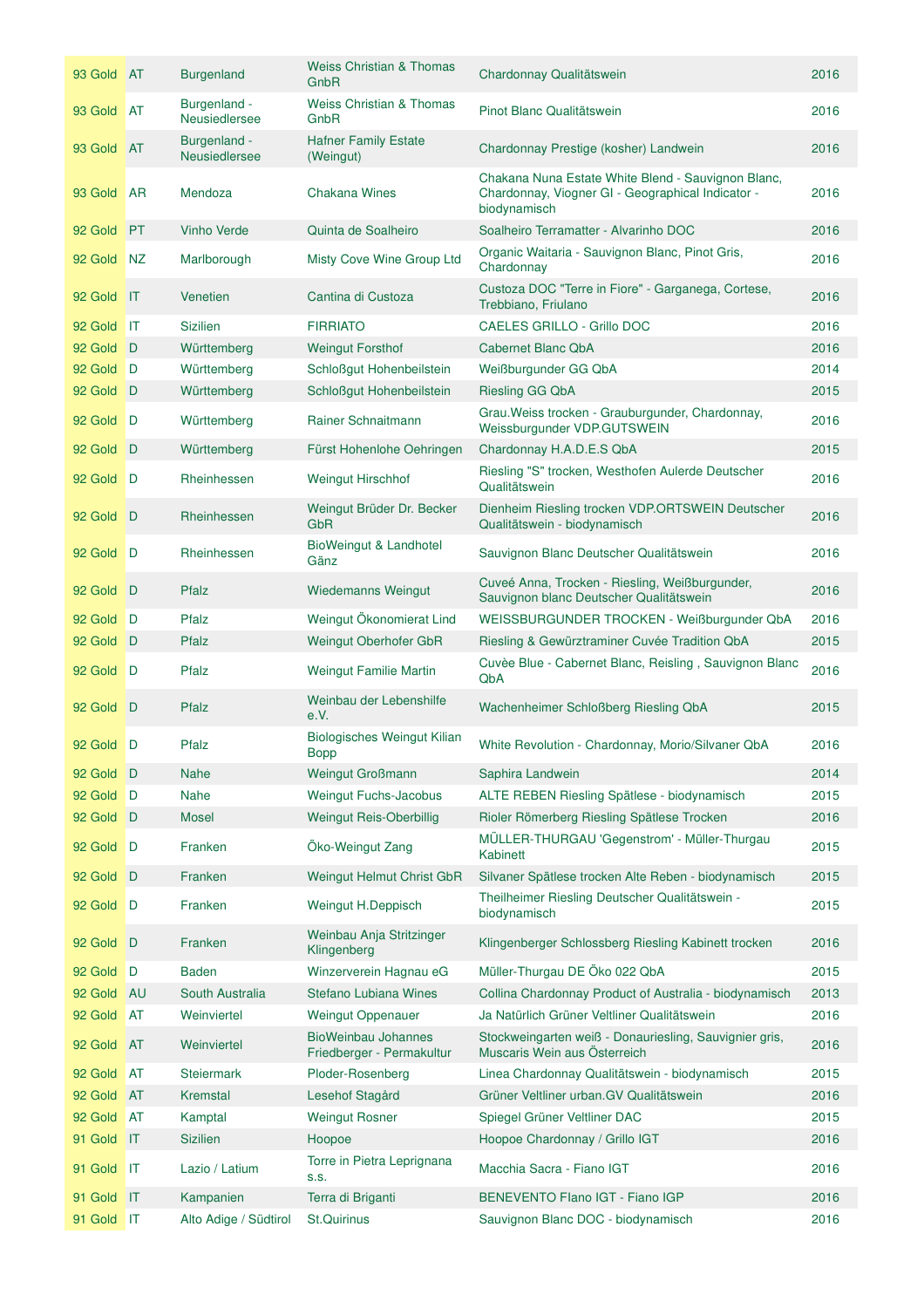| 93 Gold AT |              | <b>Burgenland</b>                    | Weiss Christian & Thomas<br>GnbR                        | Chardonnay Qualitätswein                                                                                                | 2016 |
|------------|--------------|--------------------------------------|---------------------------------------------------------|-------------------------------------------------------------------------------------------------------------------------|------|
| 93 Gold AT |              | Burgenland -<br><b>Neusiedlersee</b> | <b>Weiss Christian &amp; Thomas</b><br>GnbR             | Pinot Blanc Qualitätswein                                                                                               | 2016 |
| 93 Gold AT |              | Burgenland -<br><b>Neusiedlersee</b> | <b>Hafner Family Estate</b><br>(Weingut)                | Chardonnay Prestige (kosher) Landwein                                                                                   | 2016 |
| 93 Gold    | <b>AR</b>    | Mendoza                              | <b>Chakana Wines</b>                                    | Chakana Nuna Estate White Blend - Sauvignon Blanc,<br>Chardonnay, Viogner GI - Geographical Indicator -<br>biodynamisch | 2016 |
| 92 Gold    | <b>PT</b>    | <b>Vinho Verde</b>                   | Quinta de Soalheiro                                     | Soalheiro Terramatter - Alvarinho DOC                                                                                   | 2016 |
| 92 Gold    | NZ           | Marlborough                          | Misty Cove Wine Group Ltd                               | Organic Waitaria - Sauvignon Blanc, Pinot Gris,<br>Chardonnay                                                           | 2016 |
| 92 Gold    | $\mathsf{I}$ | Venetien                             | Cantina di Custoza                                      | Custoza DOC "Terre in Fiore" - Garganega, Cortese,<br>Trebbiano, Friulano                                               | 2016 |
| 92 Gold    | -IT          | <b>Sizilien</b>                      | <b>FIRRIATO</b>                                         | CAELES GRILLO - Grillo DOC                                                                                              | 2016 |
| 92 Gold    | D            | Württemberg                          | <b>Weingut Forsthof</b>                                 | <b>Cabernet Blanc QbA</b>                                                                                               | 2016 |
| 92 Gold    | D            | Württemberg                          | Schloßgut Hohenbeilstein                                | Weißburgunder GG QbA                                                                                                    | 2014 |
| 92 Gold D  |              | Württemberg                          | Schloßgut Hohenbeilstein                                | <b>Riesling GG QbA</b>                                                                                                  | 2015 |
| 92 Gold    | D            | Württemberg                          | Rainer Schnaitmann                                      | Grau. Weiss trocken - Grauburgunder, Chardonnay,<br>Weissburgunder VDP.GUTSWEIN                                         | 2016 |
| 92 Gold    | D            | Württemberg                          | Fürst Hohenlohe Oehringen                               | Chardonnay H.A.D.E.S QbA                                                                                                | 2015 |
| 92 Gold    | D            | Rheinhessen                          | Weingut Hirschhof                                       | Riesling "S" trocken, Westhofen Aulerde Deutscher<br>Qualitätswein                                                      | 2016 |
| 92 Gold    | D            | Rheinhessen                          | Weingut Brüder Dr. Becker<br><b>GbR</b>                 | Dienheim Riesling trocken VDP.ORTSWEIN Deutscher<br>Qualitätswein - biodynamisch                                        | 2016 |
| 92 Gold    | D            | Rheinhessen                          | BioWeingut & Landhotel<br>Gänz                          | Sauvignon Blanc Deutscher Qualitätswein                                                                                 | 2016 |
| 92 Gold    | D            | Pfalz                                | <b>Wiedemanns Weingut</b>                               | Cuveé Anna, Trocken - Riesling, Weißburgunder,<br>Sauvignon blanc Deutscher Qualitätswein                               | 2016 |
| 92 Gold    | D            | Pfalz                                | Weingut Ökonomierat Lind                                | WEISSBURGUNDER TROCKEN - Weißburgunder QbA                                                                              | 2016 |
| 92 Gold    | D            | Pfalz                                | Weingut Oberhofer GbR                                   | Riesling & Gewürztraminer Cuvée Tradition QbA                                                                           | 2015 |
| 92 Gold    | ∎D           | Pfalz                                | Weingut Familie Martin                                  | Cuvèe Blue - Cabernet Blanc, Reisling, Sauvignon Blanc<br>QbA                                                           | 2016 |
| 92 Gold D  |              | Pfalz                                | Weinbau der Lebenshilfe<br>e.V.                         | Wachenheimer Schloßberg Riesling QbA                                                                                    | 2015 |
| 92 Gold D  |              | Pfalz                                | Biologisches Weingut Kilian<br><b>Bopp</b>              | White Revolution - Chardonnay, Morio/Silvaner QbA                                                                       | 2016 |
| 92 Gold D  |              | <b>Nahe</b>                          | <b>Weingut Großmann</b>                                 | Saphira Landwein                                                                                                        | 2014 |
| 92 Gold    | D            | <b>Nahe</b>                          | <b>Weingut Fuchs-Jacobus</b>                            | ALTE REBEN Riesling Spätlese - biodynamisch                                                                             | 2015 |
| 92 Gold    | D            | <b>Mosel</b>                         | <b>Weingut Reis-Oberbillig</b>                          | Rioler Römerberg Riesling Spätlese Trocken                                                                              | 2016 |
| 92 Gold    | D            | Franken                              | Öko-Weingut Zang                                        | MÜLLER-THURGAU 'Gegenstrom' - Müller-Thurgau<br>Kabinett                                                                | 2015 |
| 92 Gold    | D            | Franken                              | <b>Weingut Helmut Christ GbR</b>                        | Silvaner Spätlese trocken Alte Reben - biodynamisch                                                                     | 2015 |
| 92 Gold    | D            | Franken                              | Weingut H.Deppisch                                      | Theilheimer Riesling Deutscher Qualitätswein -<br>biodynamisch                                                          | 2015 |
| 92 Gold    | D            | Franken                              | Weinbau Anja Stritzinger<br>Klingenberg                 | Klingenberger Schlossberg Riesling Kabinett trocken                                                                     | 2016 |
| 92 Gold    | D            | <b>Baden</b>                         | Winzerverein Hagnau eG                                  | Müller-Thurgau DE Öko 022 QbA                                                                                           | 2015 |
| 92 Gold    | <b>AU</b>    | South Australia                      | Stefano Lubiana Wines                                   | Collina Chardonnay Product of Australia - biodynamisch                                                                  | 2013 |
| 92 Gold    | AT           | Weinviertel                          | <b>Weingut Oppenauer</b>                                | Ja Natürlich Grüner Veltliner Qualitätswein                                                                             | 2016 |
| 92 Gold    | <b>AT</b>    | Weinviertel                          | <b>BioWeinbau Johannes</b><br>Friedberger - Permakultur | Stockweingarten weiß - Donauriesling, Sauvignier gris,<br>Muscaris Wein aus Österreich                                  | 2016 |
| 92 Gold    | <b>AT</b>    | <b>Steiermark</b>                    | Ploder-Rosenberg                                        | Linea Chardonnay Qualitätswein - biodynamisch                                                                           | 2015 |
| 92 Gold    | <b>AT</b>    | Kremstal                             | Lesehof Stagård                                         | Grüner Veltliner urban.GV Qualitätswein                                                                                 | 2016 |
| 92 Gold    | <b>AT</b>    | Kamptal                              | <b>Weingut Rosner</b>                                   | Spiegel Grüner Veltliner DAC                                                                                            | 2015 |
| 91 Gold    | $\mathsf{I}$ | <b>Sizilien</b>                      | Hoopoe                                                  | Hoopoe Chardonnay / Grillo IGT                                                                                          | 2016 |
| 91 Gold    | IT           | Lazio / Latium                       | Torre in Pietra Leprignana<br>S.S.                      | Macchia Sacra - Fiano IGT                                                                                               | 2016 |
| 91 Gold    | $\mathsf{I}$ | Kampanien                            | Terra di Briganti                                       | BENEVENTO Flano IGT - Fiano IGP                                                                                         | 2016 |
| 91 Gold IT |              | Alto Adige / Südtirol                | <b>St.Quirinus</b>                                      | Sauvignon Blanc DOC - biodynamisch                                                                                      | 2016 |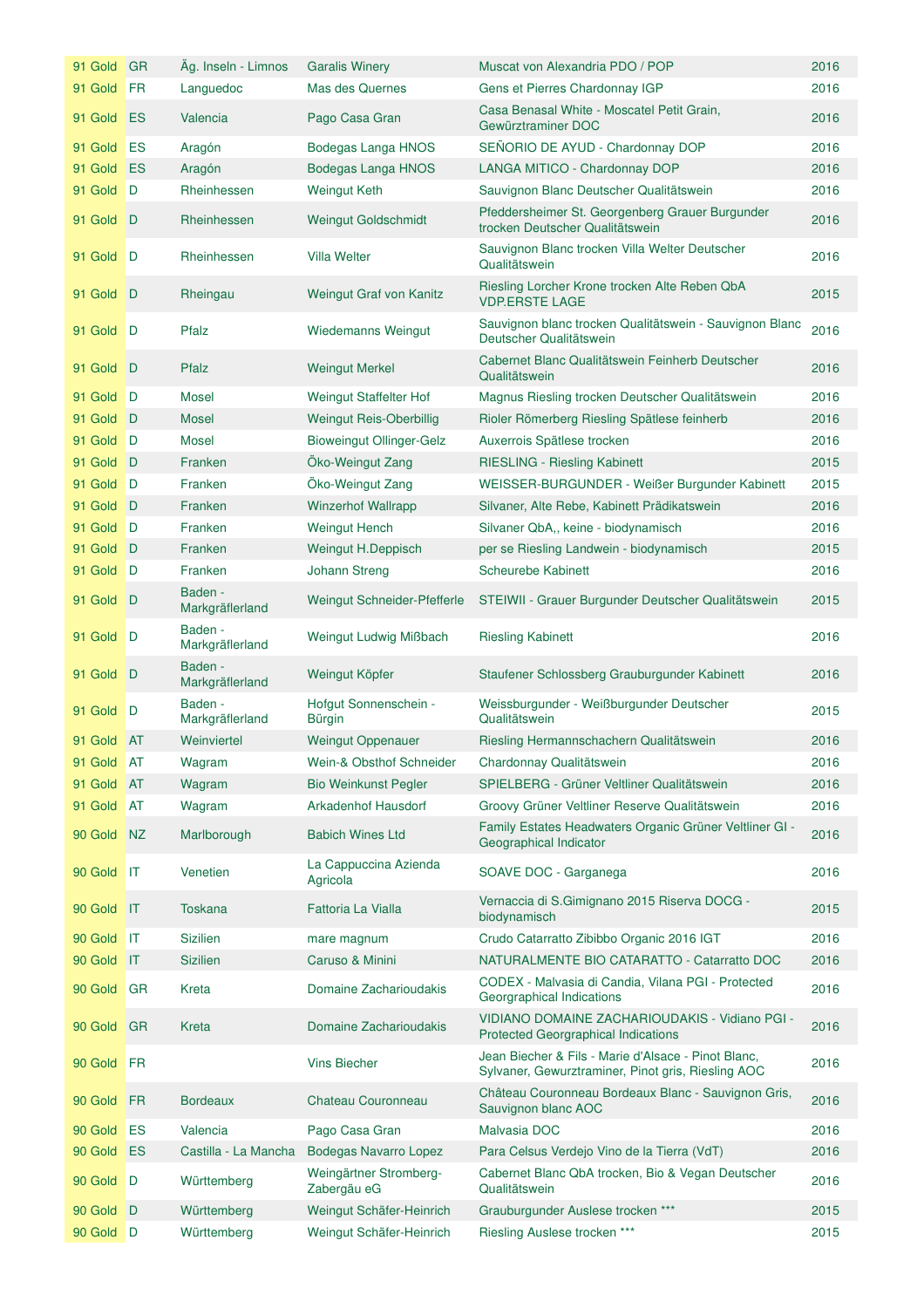| 91 Gold GR |              | Ag. Inseln - Limnos        | <b>Garalis Winery</b>                  | Muscat von Alexandria PDO / POP                                                                           | 2016 |
|------------|--------------|----------------------------|----------------------------------------|-----------------------------------------------------------------------------------------------------------|------|
| 91 Gold    | <b>FR</b>    | Languedoc                  | Mas des Quernes                        | Gens et Pierres Chardonnay IGP                                                                            | 2016 |
| 91 Gold    | <b>ES</b>    | Valencia                   | Pago Casa Gran                         | Casa Benasal White - Moscatel Petit Grain,<br>Gewürztraminer DOC                                          | 2016 |
| 91 Gold    | ES           | Aragón                     | Bodegas Langa HNOS                     | SEÑORIO DE AYUD - Chardonnay DOP                                                                          | 2016 |
| 91 Gold    | ES           | Aragón                     | <b>Bodegas Langa HNOS</b>              | LANGA MITICO - Chardonnay DOP                                                                             | 2016 |
| 91 Gold    | D            | Rheinhessen                | <b>Weingut Keth</b>                    | Sauvignon Blanc Deutscher Qualitätswein                                                                   | 2016 |
| 91 Gold D  |              | Rheinhessen                | <b>Weingut Goldschmidt</b>             | Pfeddersheimer St. Georgenberg Grauer Burgunder<br>trocken Deutscher Qualitätswein                        | 2016 |
| 91 Gold    | D            | Rheinhessen                | <b>Villa Welter</b>                    | Sauvignon Blanc trocken Villa Welter Deutscher<br>Qualitätswein                                           | 2016 |
| 91 Gold D  |              | Rheingau                   | Weingut Graf von Kanitz                | Riesling Lorcher Krone trocken Alte Reben QbA<br><b>VDP.ERSTE LAGE</b>                                    | 2015 |
| 91 Gold    | ∣D           | Pfalz                      | <b>Wiedemanns Weingut</b>              | Sauvignon blanc trocken Qualitätswein - Sauvignon Blanc<br>Deutscher Qualitätswein                        | 2016 |
| 91 Gold D  |              | Pfalz                      | <b>Weingut Merkel</b>                  | Cabernet Blanc Qualitätswein Feinherb Deutscher<br>Qualitätswein                                          | 2016 |
| 91 Gold    | <b>D</b>     | Mosel                      | Weingut Staffelter Hof                 | Magnus Riesling trocken Deutscher Qualitätswein                                                           | 2016 |
| 91 Gold    | D            | <b>Mosel</b>               | <b>Weingut Reis-Oberbillig</b>         | Rioler Römerberg Riesling Spätlese feinherb                                                               | 2016 |
| 91 Gold    | D            | <b>Mosel</b>               | <b>Bioweingut Ollinger-Gelz</b>        | Auxerrois Spätlese trocken                                                                                | 2016 |
| 91 Gold    | ∣D           | Franken                    | Öko-Weingut Zang                       | <b>RIESLING - Riesling Kabinett</b>                                                                       | 2015 |
| 91 Gold    | D            | Franken                    | Öko-Weingut Zang                       | WEISSER-BURGUNDER - Weißer Burgunder Kabinett                                                             | 2015 |
| 91 Gold    | D            | Franken                    | <b>Winzerhof Wallrapp</b>              | Silvaner, Alte Rebe, Kabinett Prädikatswein                                                               | 2016 |
| 91 Gold D  |              | Franken                    | <b>Weingut Hench</b>                   | Silvaner QbA,, keine - biodynamisch                                                                       | 2016 |
| 91 Gold    | D            | Franken                    | Weingut H.Deppisch                     | per se Riesling Landwein - biodynamisch                                                                   | 2015 |
| 91 Gold    | D            | Franken                    | Johann Streng                          | <b>Scheurebe Kabinett</b>                                                                                 | 2016 |
| 91 Gold    | D            | Baden -<br>Markgräflerland | Weingut Schneider-Pfefferle            | STEIWII - Grauer Burgunder Deutscher Qualitätswein                                                        | 2015 |
| 91 Gold    | D            | Baden -<br>Markgräflerland | Weingut Ludwig Mißbach                 | <b>Riesling Kabinett</b>                                                                                  | 2016 |
| 91 Gold    | D            | Baden -<br>Markgräflerland | Weingut Köpfer                         | Staufener Schlossberg Grauburgunder Kabinett                                                              | 2016 |
| 91 Gold    | D            | Baden -<br>Markgräflerland | Hofgut Sonnenschein -<br><b>Bürgin</b> | Weissburgunder - Weißburgunder Deutscher<br>Qualitätswein                                                 | 2015 |
| 91 Gold AT |              | Weinviertel                | <b>Weingut Oppenauer</b>               | Riesling Hermannschachern Qualitätswein                                                                   | 2016 |
| 91 Gold AT |              | Wagram                     | Wein-& Obsthof Schneider               | Chardonnay Qualitätswein                                                                                  | 2016 |
| 91 Gold    | <b>AT</b>    | Wagram                     | <b>Bio Weinkunst Pegler</b>            | SPIELBERG - Grüner Veltliner Qualitätswein                                                                | 2016 |
| 91 Gold    | <b>AT</b>    | Wagram                     | Arkadenhof Hausdorf                    | Groovy Grüner Veltliner Reserve Qualitätswein                                                             | 2016 |
| 90 Gold    | NZ           | Marlborough                | <b>Babich Wines Ltd</b>                | Family Estates Headwaters Organic Grüner Veltliner GI -<br>Geographical Indicator                         | 2016 |
| 90 Gold    | IT           | Venetien                   | La Cappuccina Azienda<br>Agricola      | SOAVE DOC - Garganega                                                                                     | 2016 |
| 90 Gold    | <b>IT</b>    | <b>Toskana</b>             | Fattoria La Vialla                     | Vernaccia di S.Gimignano 2015 Riserva DOCG -<br>biodynamisch                                              | 2015 |
| 90 Gold    | $\mathbf{I}$ | <b>Sizilien</b>            | mare magnum                            | Crudo Catarratto Zibibbo Organic 2016 IGT                                                                 | 2016 |
| 90 Gold    | $\mathsf{I}$ | <b>Sizilien</b>            | Caruso & Minini                        | NATURALMENTE BIO CATARATTO - Catarratto DOC                                                               | 2016 |
| 90 Gold    | <b>GR</b>    | Kreta                      | Domaine Zacharioudakis                 | CODEX - Malvasia di Candia, Vilana PGI - Protected<br>Georgraphical Indications                           | 2016 |
| 90 Gold    | <b>GR</b>    | Kreta                      | Domaine Zacharioudakis                 | VIDIANO DOMAINE ZACHARIOUDAKIS - Vidiano PGI -<br><b>Protected Georgraphical Indications</b>              | 2016 |
| 90 Gold    | <b>FR</b>    |                            | <b>Vins Biecher</b>                    | Jean Biecher & Fils - Marie d'Alsace - Pinot Blanc,<br>Sylvaner, Gewurztraminer, Pinot gris, Riesling AOC | 2016 |
| 90 Gold    | <b>FR</b>    | <b>Bordeaux</b>            | Chateau Couronneau                     | Château Couronneau Bordeaux Blanc - Sauvignon Gris,<br>Sauvignon blanc AOC                                | 2016 |
| 90 Gold    | ES           | Valencia                   | Pago Casa Gran                         | Malvasia DOC                                                                                              | 2016 |
| 90 Gold    | ES           | Castilla - La Mancha       | <b>Bodegas Navarro Lopez</b>           | Para Celsus Verdejo Vino de la Tierra (VdT)                                                               | 2016 |
| 90 Gold    | - D          | Württemberg                | Weingärtner Stromberg-<br>Zabergäu eG  | Cabernet Blanc QbA trocken, Bio & Vegan Deutscher<br>Qualitätswein                                        | 2016 |
| 90 Gold    | D            | Württemberg                | Weingut Schäfer-Heinrich               | Grauburgunder Auslese trocken ***                                                                         | 2015 |
| 90 Gold D  |              | Württemberg                | Weingut Schäfer-Heinrich               | Riesling Auslese trocken ***                                                                              | 2015 |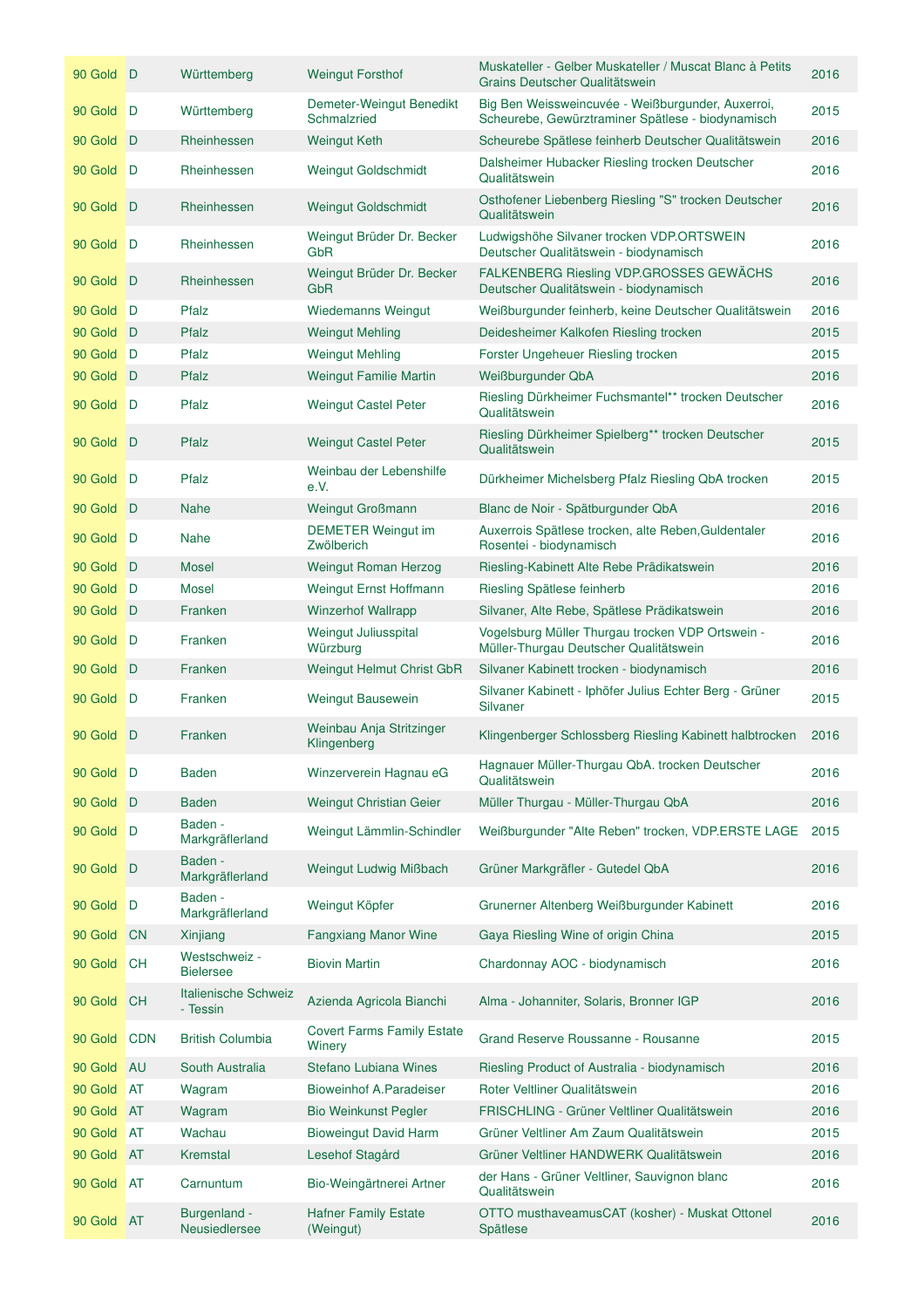| 90 Gold D  |            | Württemberg                       | <b>Weingut Forsthof</b>                     | Muskateller - Gelber Muskateller / Muscat Blanc à Petits<br>Grains Deutscher Qualitätswein             | 2016 |
|------------|------------|-----------------------------------|---------------------------------------------|--------------------------------------------------------------------------------------------------------|------|
| 90 Gold D  |            | Württemberg                       | Demeter-Weingut Benedikt<br>Schmalzried     | Big Ben Weissweincuvée - Weißburgunder, Auxerroi,<br>Scheurebe, Gewürztraminer Spätlese - biodynamisch | 2015 |
| 90 Gold    | D          | Rheinhessen                       | <b>Weingut Keth</b>                         | Scheurebe Spätlese feinherb Deutscher Qualitätswein                                                    | 2016 |
| 90 Gold    | D          | Rheinhessen                       | <b>Weingut Goldschmidt</b>                  | Dalsheimer Hubacker Riesling trocken Deutscher<br>Qualitätswein                                        | 2016 |
| 90 Gold    | D          | Rheinhessen                       | <b>Weingut Goldschmidt</b>                  | Osthofener Liebenberg Riesling "S" trocken Deutscher<br>Qualitätswein                                  | 2016 |
| 90 Gold    | D          | Rheinhessen                       | Weingut Brüder Dr. Becker<br>GbR            | Ludwigshöhe Silvaner trocken VDP.ORTSWEIN<br>Deutscher Qualitätswein - biodynamisch                    | 2016 |
| 90 Gold    | D          | Rheinhessen                       | Weingut Brüder Dr. Becker<br>GbR            | <b>FALKENBERG Riesling VDP.GROSSES GEWÄCHS</b><br>Deutscher Qualitätswein - biodynamisch               | 2016 |
| 90 Gold    | D          | Pfalz                             | <b>Wiedemanns Weingut</b>                   | Weißburgunder feinherb, keine Deutscher Qualitätswein                                                  | 2016 |
| 90 Gold    | D          | Pfalz                             | <b>Weingut Mehling</b>                      | Deidesheimer Kalkofen Riesling trocken                                                                 | 2015 |
| 90 Gold    | D          | Pfalz                             | <b>Weingut Mehling</b>                      | Forster Ungeheuer Riesling trocken                                                                     | 2015 |
| 90 Gold    | D          | Pfalz                             | <b>Weingut Familie Martin</b>               | Weißburgunder QbA                                                                                      | 2016 |
| 90 Gold    | D          | Pfalz                             | <b>Weingut Castel Peter</b>                 | Riesling Dürkheimer Fuchsmantel** trocken Deutscher<br>Qualitätswein                                   | 2016 |
| 90 Gold    | D          | Pfalz                             | <b>Weingut Castel Peter</b>                 | Riesling Dürkheimer Spielberg** trocken Deutscher<br>Qualitätswein                                     | 2015 |
| 90 Gold    | D          | Pfalz                             | Weinbau der Lebenshilfe<br>e.V.             | Dürkheimer Michelsberg Pfalz Riesling QbA trocken                                                      | 2015 |
| 90 Gold    | D          | <b>Nahe</b>                       | <b>Weingut Großmann</b>                     | Blanc de Noir - Spätburgunder QbA                                                                      | 2016 |
| 90 Gold    | D          | <b>Nahe</b>                       | <b>DEMETER Weingut im</b><br>Zwölberich     | Auxerrois Spätlese trocken, alte Reben, Guldentaler<br>Rosentei - biodynamisch                         | 2016 |
| 90 Gold    | $\Box$     | <b>Mosel</b>                      | Weingut Roman Herzog                        | Riesling-Kabinett Alte Rebe Prädikatswein                                                              | 2016 |
| 90 Gold    | D          | <b>Mosel</b>                      | Weingut Ernst Hoffmann                      | Riesling Spätlese feinherb                                                                             | 2016 |
| 90 Gold    | D          | Franken                           | <b>Winzerhof Wallrapp</b>                   | Silvaner, Alte Rebe, Spätlese Prädikatswein                                                            | 2016 |
| 90 Gold    | D          | Franken                           | Weingut Juliusspital<br>Würzburg            | Vogelsburg Müller Thurgau trocken VDP Ortswein -<br>Müller-Thurgau Deutscher Qualitätswein             | 2016 |
| 90 Gold    | ∣D         | Franken                           | Weingut Helmut Christ GbR                   | Silvaner Kabinett trocken - biodynamisch                                                               | 2016 |
| 90 Gold    | $\Box$     | Franken                           | Weingut Bausewein                           | Silvaner Kabinett - Iphöfer Julius Echter Berg - Grüner<br>Silvaner                                    | 2015 |
| 90 Gold D  |            | Franken                           | Weinbau Anja Stritzinger<br>Klingenberg     | Klingenberger Schlossberg Riesling Kabinett halbtrocken                                                | 2016 |
| 90 Gold D  |            | <b>Baden</b>                      | Winzerverein Hagnau eG                      | Hagnauer Müller-Thurgau QbA. trocken Deutscher<br>Qualitätswein                                        | 2016 |
| 90 Gold    | D          | <b>Baden</b>                      | Weingut Christian Geier                     | Müller Thurgau - Müller-Thurgau QbA                                                                    | 2016 |
| 90 Gold    | D          | Baden -<br>Markgräflerland        | Weingut Lämmlin-Schindler                   | Weißburgunder "Alte Reben" trocken, VDP.ERSTE LAGE                                                     | 2015 |
| 90 Gold    | D          | Baden -<br>Markgräflerland        | Weingut Ludwig Mißbach                      | Grüner Markgräfler - Gutedel QbA                                                                       | 2016 |
| 90 Gold    | D          | Baden -<br>Markgräflerland        | Weingut Köpfer                              | Grunerner Altenberg Weißburgunder Kabinett                                                             | 2016 |
| 90 Gold    | <b>CN</b>  | Xinjiang                          | <b>Fangxiang Manor Wine</b>                 | Gaya Riesling Wine of origin China                                                                     | 2015 |
| 90 Gold    | <b>CH</b>  | Westschweiz -<br><b>Bielersee</b> | <b>Biovin Martin</b>                        | Chardonnay AOC - biodynamisch                                                                          | 2016 |
| 90 Gold    | <b>CH</b>  | Italienische Schweiz<br>- Tessin  | Azienda Agricola Bianchi                    | Alma - Johanniter, Solaris, Bronner IGP                                                                | 2016 |
| 90 Gold    | <b>CDN</b> | <b>British Columbia</b>           | <b>Covert Farms Family Estate</b><br>Winery | Grand Reserve Roussanne - Rousanne                                                                     | 2015 |
| 90 Gold    | <b>AU</b>  | South Australia                   | Stefano Lubiana Wines                       | Riesling Product of Australia - biodynamisch                                                           | 2016 |
| 90 Gold    | AT         | Wagram                            | <b>Bioweinhof A.Paradeiser</b>              | Roter Veltliner Qualitätswein                                                                          | 2016 |
| 90 Gold    | <b>AT</b>  | Wagram                            | <b>Bio Weinkunst Pegler</b>                 | FRISCHLING - Grüner Veltliner Qualitätswein                                                            | 2016 |
| 90 Gold    | <b>AT</b>  | Wachau                            | <b>Bioweingut David Harm</b>                | Grüner Veltliner Am Zaum Qualitätswein                                                                 | 2015 |
| 90 Gold    | <b>AT</b>  | Kremstal                          | Lesehof Stagård                             | Grüner Veltliner HANDWERK Qualitätswein                                                                | 2016 |
| 90 Gold    | <b>AT</b>  | Carnuntum                         | Bio-Weingärtnerei Artner                    | der Hans - Grüner Veltliner, Sauvignon blanc<br>Qualitätswein                                          | 2016 |
| 90 Gold AT |            | Burgenland -<br>Neusiedlersee     | <b>Hafner Family Estate</b><br>(Weingut)    | OTTO musthaveamusCAT (kosher) - Muskat Ottonel<br>Spätlese                                             | 2016 |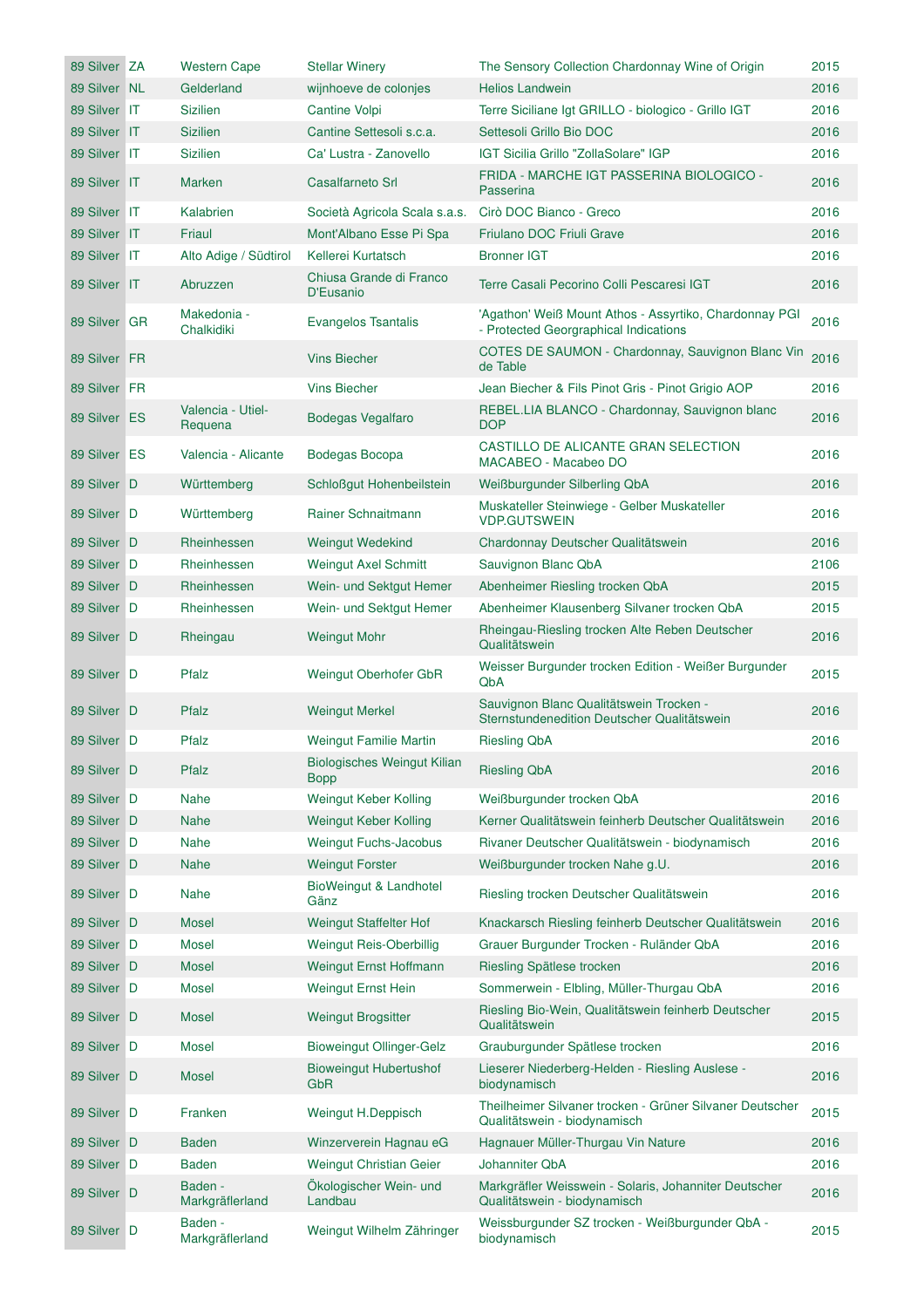| 89 Silver ZA | <b>Western Cape</b>          | <b>Stellar Winery</b>                      | The Sensory Collection Chardonnay Wine of Origin                                                | 2015 |
|--------------|------------------------------|--------------------------------------------|-------------------------------------------------------------------------------------------------|------|
| 89 Silver NL | Gelderland                   | wijnhoeve de colonjes                      | <b>Helios Landwein</b>                                                                          | 2016 |
| 89 Silver IT | Sizilien                     | Cantine Volpi                              | Terre Siciliane Igt GRILLO - biologico - Grillo IGT                                             | 2016 |
| 89 Silver IT | <b>Sizilien</b>              | Cantine Settesoli s.c.a.                   | Settesoli Grillo Bio DOC                                                                        | 2016 |
| 89 Silver IT | <b>Sizilien</b>              | Ca' Lustra - Zanovello                     | IGT Sicilia Grillo "ZollaSolare" IGP                                                            | 2016 |
| 89 Silver IT | Marken                       | <b>Casalfarneto Srl</b>                    | FRIDA - MARCHE IGT PASSERINA BIOLOGICO -<br>Passerina                                           | 2016 |
| 89 Silver IT | Kalabrien                    | Società Agricola Scala s.a.s.              | Cirò DOC Bianco - Greco                                                                         | 2016 |
| 89 Silver IT | Friaul                       | Mont'Albano Esse Pi Spa                    | Friulano DOC Friuli Grave                                                                       | 2016 |
| 89 Silver IT | Alto Adige / Südtirol        | Kellerei Kurtatsch                         | <b>Bronner IGT</b>                                                                              | 2016 |
| 89 Silver IT | Abruzzen                     | Chiusa Grande di Franco<br>D'Eusanio       | Terre Casali Pecorino Colli Pescaresi IGT                                                       | 2016 |
| 89 Silver GR | Makedonia -<br>Chalkidiki    | Evangelos Tsantalis                        | 'Agathon' Weiß Mount Athos - Assyrtiko, Chardonnay PGI<br>- Protected Georgraphical Indications | 2016 |
| 89 Silver FR |                              | <b>Vins Biecher</b>                        | COTES DE SAUMON - Chardonnay, Sauvignon Blanc Vin<br>de Table                                   | 2016 |
| 89 Silver FR |                              | <b>Vins Biecher</b>                        | Jean Biecher & Fils Pinot Gris - Pinot Grigio AOP                                               | 2016 |
| 89 Silver ES | Valencia - Utiel-<br>Requena | <b>Bodegas Vegalfaro</b>                   | REBEL.LIA BLANCO - Chardonnay, Sauvignon blanc<br><b>DOP</b>                                    | 2016 |
| 89 Silver ES | Valencia - Alicante          | Bodegas Bocopa                             | CASTILLO DE ALICANTE GRAN SELECTION<br>MACABEO - Macabeo DO                                     | 2016 |
| 89 Silver D  | Württemberg                  | Schloßgut Hohenbeilstein                   | Weißburgunder Silberling QbA                                                                    | 2016 |
| 89 Silver D  | Württemberg                  | Rainer Schnaitmann                         | Muskateller Steinwiege - Gelber Muskateller<br><b>VDP.GUTSWEIN</b>                              | 2016 |
| 89 Silver D  | Rheinhessen                  | <b>Weingut Wedekind</b>                    | Chardonnay Deutscher Qualitätswein                                                              | 2016 |
| 89 Silver D  | Rheinhessen                  | Weingut Axel Schmitt                       | Sauvignon Blanc QbA                                                                             | 2106 |
| 89 Silver D  | Rheinhessen                  | Wein- und Sektgut Hemer                    | Abenheimer Riesling trocken QbA                                                                 | 2015 |
| 89 Silver D  | Rheinhessen                  | Wein- und Sektgut Hemer                    | Abenheimer Klausenberg Silvaner trocken QbA                                                     | 2015 |
| 89 Silver D  | Rheingau                     | <b>Weingut Mohr</b>                        | Rheingau-Riesling trocken Alte Reben Deutscher<br>Qualitätswein                                 | 2016 |
| 89 Silver D  | Pfalz                        | Weingut Oberhofer GbR                      | Weisser Burgunder trocken Edition - Weißer Burgunder<br>QbA                                     | 2015 |
| 89 Silver D  | Pfalz                        | <b>Weingut Merkel</b>                      | Sauvignon Blanc Qualitätswein Trocken -<br>Sternstundenedition Deutscher Qualitätswein          | 2016 |
| 89 Silver D  | Pfalz                        | <b>Weingut Familie Martin</b>              | <b>Riesling QbA</b>                                                                             | 2016 |
| 89 Silver D  | Pfalz                        | <b>Biologisches Weingut Kilian</b><br>Bopp | <b>Riesling QbA</b>                                                                             | 2016 |
| 89 Silver D  | <b>Nahe</b>                  | Weingut Keber Kolling                      | Weißburgunder trocken QbA                                                                       | 2016 |
| 89 Silver D  | <b>Nahe</b>                  | Weingut Keber Kolling                      | Kerner Qualitätswein feinherb Deutscher Qualitätswein                                           | 2016 |
| 89 Silver D  | <b>Nahe</b>                  | <b>Weingut Fuchs-Jacobus</b>               | Rivaner Deutscher Qualitätswein - biodynamisch                                                  | 2016 |
| 89 Silver D  | <b>Nahe</b>                  | <b>Weingut Forster</b>                     | Weißburgunder trocken Nahe g.U.                                                                 | 2016 |
| 89 Silver D  | <b>Nahe</b>                  | BioWeingut & Landhotel<br>Gänz             | Riesling trocken Deutscher Qualitätswein                                                        | 2016 |
| 89 Silver D  | <b>Mosel</b>                 | <b>Weingut Staffelter Hof</b>              | Knackarsch Riesling feinherb Deutscher Qualitätswein                                            | 2016 |
| 89 Silver D  | Mosel                        | Weingut Reis-Oberbillig                    | Grauer Burgunder Trocken - Ruländer QbA                                                         | 2016 |
| 89 Silver D  | <b>Mosel</b>                 | Weingut Ernst Hoffmann                     | Riesling Spätlese trocken                                                                       | 2016 |
| 89 Silver D  | Mosel                        | Weingut Ernst Hein                         | Sommerwein - Elbling, Müller-Thurgau QbA                                                        | 2016 |
| 89 Silver D  | <b>Mosel</b>                 | <b>Weingut Brogsitter</b>                  | Riesling Bio-Wein, Qualitätswein feinherb Deutscher<br>Qualitätswein                            | 2015 |
| 89 Silver D  | <b>Mosel</b>                 | <b>Bioweingut Ollinger-Gelz</b>            | Grauburgunder Spätlese trocken                                                                  | 2016 |
| 89 Silver D  | <b>Mosel</b>                 | <b>Bioweingut Hubertushof</b><br>GbR       | Lieserer Niederberg-Helden - Riesling Auslese -<br>biodynamisch                                 | 2016 |
| 89 Silver D  | Franken                      | Weingut H.Deppisch                         | Theilheimer Silvaner trocken - Grüner Silvaner Deutscher<br>Qualitätswein - biodynamisch        | 2015 |
| 89 Silver D  | Baden                        | Winzerverein Hagnau eG                     | Hagnauer Müller-Thurgau Vin Nature                                                              | 2016 |
| 89 Silver D  | <b>Baden</b>                 | Weingut Christian Geier                    | Johanniter QbA                                                                                  | 2016 |
| 89 Silver D  | Baden -<br>Markgräflerland   | Ökologischer Wein- und<br>Landbau          | Markgräfler Weisswein - Solaris, Johanniter Deutscher<br>Qualitätswein - biodynamisch           | 2016 |
| 89 Silver D  | Baden -<br>Markgräflerland   | Weingut Wilhelm Zähringer                  | Weissburgunder SZ trocken - Weißburgunder QbA -<br>biodynamisch                                 | 2015 |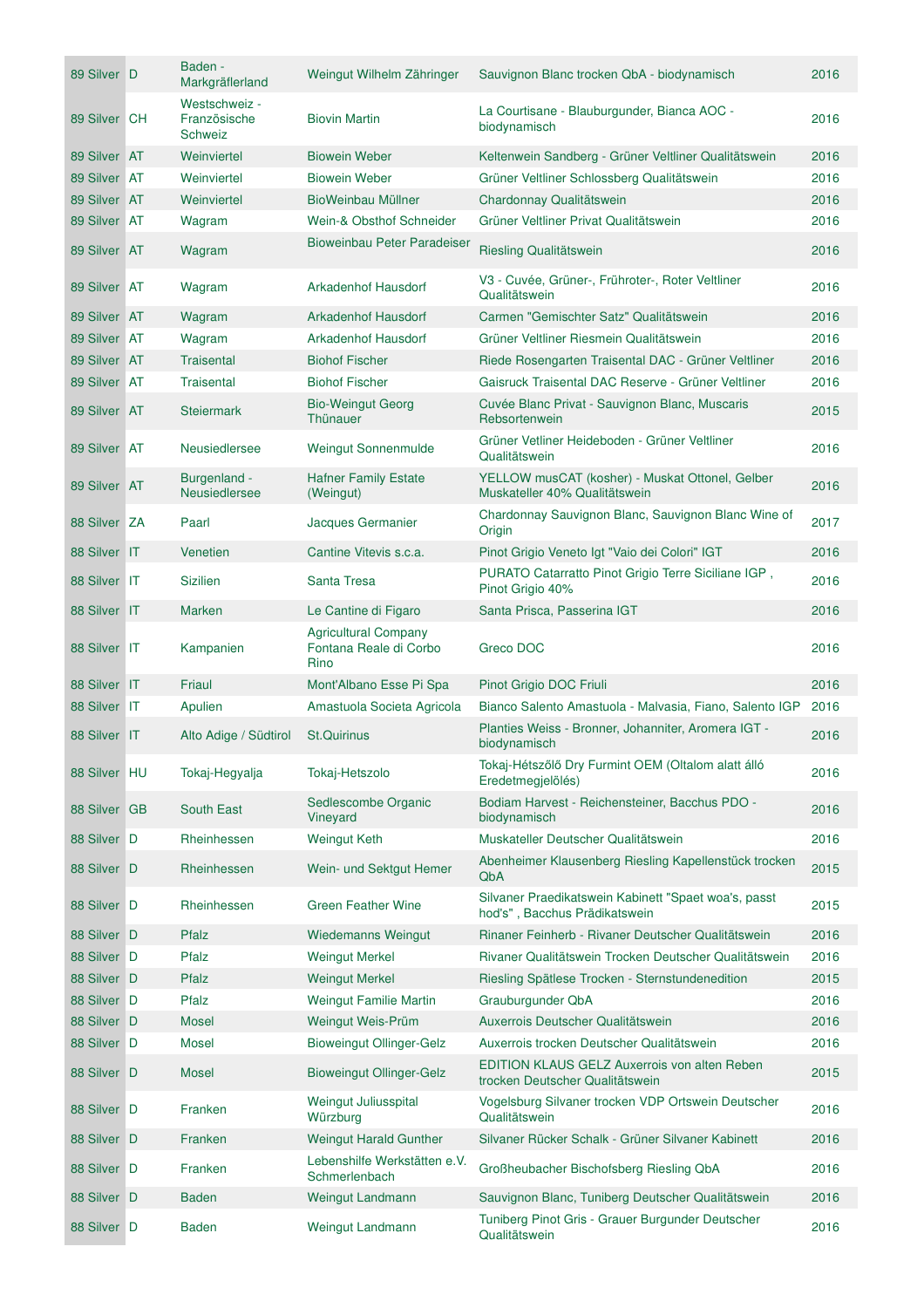| 89 Silver D  | Baden -<br>Markgräflerland                      | Weingut Wilhelm Zähringer                                     | Sauvignon Blanc trocken QbA - biodynamisch                                            | 2016 |
|--------------|-------------------------------------------------|---------------------------------------------------------------|---------------------------------------------------------------------------------------|------|
| 89 Silver CH | Westschweiz -<br>Französische<br><b>Schweiz</b> | <b>Biovin Martin</b>                                          | La Courtisane - Blauburgunder, Bianca AOC -<br>biodynamisch                           | 2016 |
| 89 Silver AT | Weinviertel                                     | <b>Biowein Weber</b>                                          | Keltenwein Sandberg - Grüner Veltliner Qualitätswein                                  | 2016 |
| 89 Silver AT | Weinviertel                                     | <b>Biowein Weber</b>                                          | Grüner Veltliner Schlossberg Qualitätswein                                            | 2016 |
| 89 Silver AT | Weinviertel                                     | BioWeinbau Müllner                                            | Chardonnay Qualitätswein                                                              | 2016 |
| 89 Silver AT | Wagram                                          | Wein-& Obsthof Schneider                                      | Grüner Veltliner Privat Qualitätswein                                                 | 2016 |
| 89 Silver AT | Wagram                                          | Bioweinbau Peter Paradeiser                                   | Riesling Qualitätswein                                                                | 2016 |
| 89 Silver AT | Wagram                                          | Arkadenhof Hausdorf                                           | V3 - Cuvée, Grüner-, Frühroter-, Roter Veltliner<br>Qualitätswein                     | 2016 |
| 89 Silver AT | Wagram                                          | <b>Arkadenhof Hausdorf</b>                                    | Carmen "Gemischter Satz" Qualitätswein                                                | 2016 |
| 89 Silver AT | Wagram                                          | Arkadenhof Hausdorf                                           | Grüner Veltliner Riesmein Qualitätswein                                               | 2016 |
| 89 Silver AT | <b>Traisental</b>                               | <b>Biohof Fischer</b>                                         | Riede Rosengarten Traisental DAC - Grüner Veltliner                                   | 2016 |
| 89 Silver AT | <b>Traisental</b>                               | <b>Biohof Fischer</b>                                         | Gaisruck Traisental DAC Reserve - Grüner Veltliner                                    | 2016 |
| 89 Silver AT | <b>Steiermark</b>                               | <b>Bio-Weingut Georg</b><br>Thünauer                          | Cuvée Blanc Privat - Sauvignon Blanc, Muscaris<br>Rebsortenwein                       | 2015 |
| 89 Silver AT | Neusiedlersee                                   | Weingut Sonnenmulde                                           | Grüner Vetliner Heideboden - Grüner Veltliner<br>Qualitätswein                        | 2016 |
| 89 Silver AT | Burgenland -<br>Neusiedlersee                   | <b>Hafner Family Estate</b><br>(Weingut)                      | YELLOW musCAT (kosher) - Muskat Ottonel, Gelber<br>Muskateller 40% Qualitätswein      | 2016 |
| 88 Silver ZA | Paarl                                           | Jacques Germanier                                             | Chardonnay Sauvignon Blanc, Sauvignon Blanc Wine of<br>Origin                         | 2017 |
| 88 Silver IT | Venetien                                        | Cantine Vitevis s.c.a.                                        | Pinot Grigio Veneto Igt "Vaio dei Colori" IGT                                         | 2016 |
| 88 Silver IT | <b>Sizilien</b>                                 | Santa Tresa                                                   | PURATO Catarratto Pinot Grigio Terre Siciliane IGP,<br>Pinot Grigio 40%               | 2016 |
| 88 Silver IT | <b>Marken</b>                                   | Le Cantine di Figaro                                          | Santa Prisca, Passerina IGT                                                           | 2016 |
| 88 Silver IT | Kampanien                                       | <b>Agricultural Company</b><br>Fontana Reale di Corbo<br>Rino | Greco DOC                                                                             | 2016 |
| 88 Silver IT | Friaul                                          | Mont'Albano Esse Pi Spa                                       | Pinot Grigio DOC Friuli                                                               | 2016 |
| 88 Silver IT | Apulien                                         | Amastuola Societa Agricola                                    | Bianco Salento Amastuola - Malvasia, Fiano, Salento IGP                               | 2016 |
| 88 Silver IT | Alto Adige / Südtirol                           | <b>St.Quirinus</b>                                            | Planties Weiss - Bronner, Johanniter, Aromera IGT -<br>biodynamisch                   | 2016 |
| 88 Silver HU | Tokaj-Hegyalja                                  | Tokaj-Hetszolo                                                | Tokaj-Hétszőlő Dry Furmint OEM (Oltalom alatt álló<br>Eredetmegjelölés)               | 2016 |
| 88 Silver GB | South East                                      | Sedlescombe Organic<br>Vineyard                               | Bodiam Harvest - Reichensteiner, Bacchus PDO -<br>biodynamisch                        | 2016 |
| 88 Silver D  | Rheinhessen                                     | <b>Weingut Keth</b>                                           | Muskateller Deutscher Qualitätswein                                                   | 2016 |
| 88 Silver D  | Rheinhessen                                     | Wein- und Sektgut Hemer                                       | Abenheimer Klausenberg Riesling Kapellenstück trocken<br>QbA                          | 2015 |
| 88 Silver D  | Rheinhessen                                     | <b>Green Feather Wine</b>                                     | Silvaner Praedikatswein Kabinett "Spaet woa's, passt<br>hod's", Bacchus Prädikatswein | 2015 |
| 88 Silver D  | Pfalz                                           | <b>Wiedemanns Weingut</b>                                     | Rinaner Feinherb - Rivaner Deutscher Qualitätswein                                    | 2016 |
| 88 Silver D  | Pfalz                                           | <b>Weingut Merkel</b>                                         | Rivaner Qualitätswein Trocken Deutscher Qualitätswein                                 | 2016 |
| 88 Silver D  | Pfalz                                           | <b>Weingut Merkel</b>                                         | Riesling Spätlese Trocken - Sternstundenedition                                       | 2015 |
| 88 Silver D  | Pfalz                                           | <b>Weingut Familie Martin</b>                                 | Grauburgunder QbA                                                                     | 2016 |
| 88 Silver D  | <b>Mosel</b>                                    | Weingut Weis-Prüm                                             | Auxerrois Deutscher Qualitätswein                                                     | 2016 |
| 88 Silver D  | <b>Mosel</b>                                    | <b>Bioweingut Ollinger-Gelz</b>                               | Auxerrois trocken Deutscher Qualitätswein                                             | 2016 |
| 88 Silver D  | <b>Mosel</b>                                    | <b>Bioweingut Ollinger-Gelz</b>                               | EDITION KLAUS GELZ Auxerrois von alten Reben<br>trocken Deutscher Qualitätswein       | 2015 |
| 88 Silver D  | Franken                                         | Weingut Juliusspital<br>Würzburg                              | Vogelsburg Silvaner trocken VDP Ortswein Deutscher<br>Qualitätswein                   | 2016 |
| 88 Silver D  | Franken                                         | <b>Weingut Harald Gunther</b>                                 | Silvaner Rücker Schalk - Grüner Silvaner Kabinett                                     | 2016 |
| 88 Silver D  | Franken                                         | Lebenshilfe Werkstätten e.V.<br>Schmerlenbach                 | Großheubacher Bischofsberg Riesling QbA                                               | 2016 |
| 88 Silver D  | <b>Baden</b>                                    | Weingut Landmann                                              | Sauvignon Blanc, Tuniberg Deutscher Qualitätswein                                     | 2016 |
| 88 Silver D  | <b>Baden</b>                                    | Weingut Landmann                                              | Tuniberg Pinot Gris - Grauer Burgunder Deutscher<br>Qualitätswein                     | 2016 |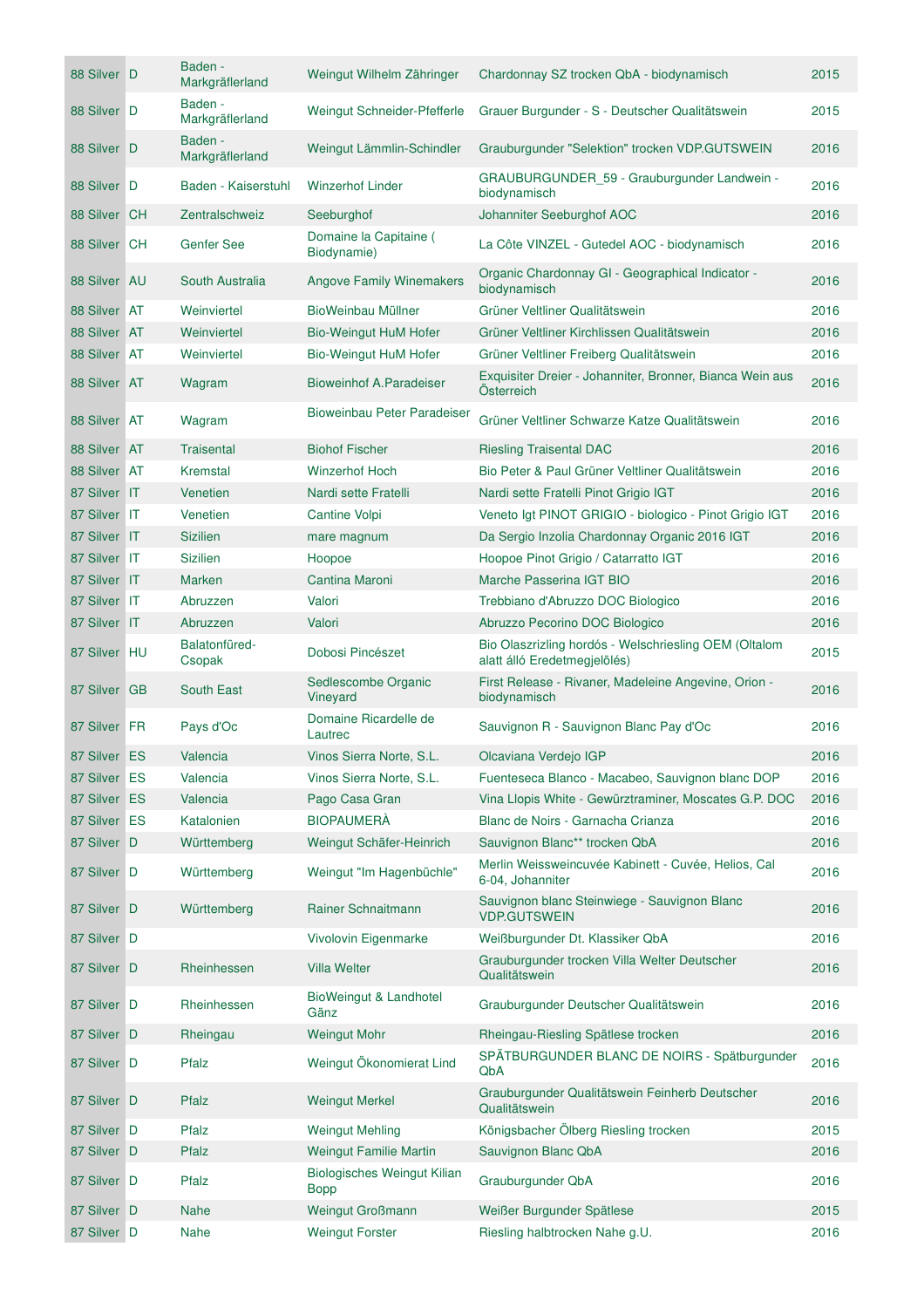| 88 Silver D  | Baden -<br>Markgräflerland | Weingut Wilhelm Zähringer                  | Chardonnay SZ trocken QbA - biodynamisch                                              | 2015 |
|--------------|----------------------------|--------------------------------------------|---------------------------------------------------------------------------------------|------|
| 88 Silver D  | Baden -<br>Markgräflerland | Weingut Schneider-Pfefferle                | Grauer Burgunder - S - Deutscher Qualitätswein                                        | 2015 |
| 88 Silver D  | Baden -<br>Markgräflerland | Weingut Lämmlin-Schindler                  | Grauburgunder "Selektion" trocken VDP.GUTSWEIN                                        | 2016 |
| 88 Silver D  | Baden - Kaiserstuhl        | <b>Winzerhof Linder</b>                    | GRAUBURGUNDER_59 - Grauburgunder Landwein -<br>biodynamisch                           | 2016 |
| 88 Silver CH | Zentralschweiz             | Seeburghof                                 | Johanniter Seeburghof AOC                                                             | 2016 |
| 88 Silver CH | <b>Genfer See</b>          | Domaine la Capitaine (<br>Biodynamie)      | La Côte VINZEL - Gutedel AOC - biodynamisch                                           | 2016 |
| 88 Silver AU | South Australia            | <b>Angove Family Winemakers</b>            | Organic Chardonnay GI - Geographical Indicator -<br>biodynamisch                      | 2016 |
| 88 Silver AT | Weinviertel                | BioWeinbau Müllner                         | Grüner Veltliner Qualitätswein                                                        | 2016 |
| 88 Silver AT | Weinviertel                | <b>Bio-Weingut HuM Hofer</b>               | Grüner Veltliner Kirchlissen Qualitätswein                                            | 2016 |
| 88 Silver AT | Weinviertel                | Bio-Weingut HuM Hofer                      | Grüner Veltliner Freiberg Qualitätswein                                               | 2016 |
| 88 Silver AT | Wagram                     | Bioweinhof A.Paradeiser                    | Exquisiter Dreier - Johanniter, Bronner, Bianca Wein aus<br>Österreich                | 2016 |
| 88 Silver AT | Wagram                     | Bioweinbau Peter Paradeiser                | Grüner Veltliner Schwarze Katze Qualitätswein                                         | 2016 |
| 88 Silver AT | <b>Traisental</b>          | <b>Biohof Fischer</b>                      | <b>Riesling Traisental DAC</b>                                                        | 2016 |
| 88 Silver AT | Kremstal                   | <b>Winzerhof Hoch</b>                      | Bio Peter & Paul Grüner Veltliner Qualitätswein                                       | 2016 |
| 87 Silver IT | Venetien                   | Nardi sette Fratelli                       | Nardi sette Fratelli Pinot Grigio IGT                                                 | 2016 |
| 87 Silver IT | Venetien                   | Cantine Volpi                              | Veneto Igt PINOT GRIGIO - biologico - Pinot Grigio IGT                                | 2016 |
| 87 Silver IT | <b>Sizilien</b>            | mare magnum                                | Da Sergio Inzolia Chardonnay Organic 2016 IGT                                         | 2016 |
| 87 Silver IT | <b>Sizilien</b>            | Hoopoe                                     | Hoopoe Pinot Grigio / Catarratto IGT                                                  | 2016 |
| 87 Silver IT | <b>Marken</b>              | Cantina Maroni                             | Marche Passerina IGT BIO                                                              | 2016 |
| 87 Silver IT | Abruzzen                   | Valori                                     | Trebbiano d'Abruzzo DOC Biologico                                                     | 2016 |
| 87 Silver IT | Abruzzen                   | Valori                                     | Abruzzo Pecorino DOC Biologico                                                        | 2016 |
| 87 Silver HU | Balatonfüred-<br>Csopak    | Dobosi Pincészet                           | Bio Olaszrizling hordós - Welschriesling OEM (Oltalom<br>alatt álló Eredetmegjelölés) | 2015 |
| 87 Silver GB | <b>South East</b>          | Sedlescombe Organic<br>Vineyard            | First Release - Rivaner, Madeleine Angevine, Orion -<br>biodynamisch                  | 2016 |
| 87 Silver FR | Pays d'Oc                  | Domaine Ricardelle de<br>Lautrec           | Sauvignon R - Sauvignon Blanc Pay d'Oc                                                | 2016 |
| 87 Silver ES | Valencia                   | Vinos Sierra Norte, S.L.                   | Olcaviana Verdejo IGP                                                                 | 2016 |
| 87 Silver ES | Valencia                   | Vinos Sierra Norte, S.L.                   | Fuenteseca Blanco - Macabeo, Sauvignon blanc DOP                                      | 2016 |
| 87 Silver ES | Valencia                   | Pago Casa Gran                             | Vina Llopis White - Gewürztraminer, Moscates G.P. DOC                                 | 2016 |
| 87 Silver ES | Katalonien                 | <b>BIOPAUMERÀ</b>                          | Blanc de Noirs - Garnacha Crianza                                                     | 2016 |
| 87 Silver D  | Württemberg                | Weingut Schäfer-Heinrich                   | Sauvignon Blanc** trocken QbA                                                         | 2016 |
| 87 Silver D  | Württemberg                | Weingut "Im Hagenbüchle"                   | Merlin Weissweincuvée Kabinett - Cuvée, Helios, Cal<br>6-04, Johanniter               | 2016 |
| 87 Silver D  | Württemberg                | Rainer Schnaitmann                         | Sauvignon blanc Steinwiege - Sauvignon Blanc<br><b>VDP.GUTSWEIN</b>                   | 2016 |
| 87 Silver D  |                            | Vivolovin Eigenmarke                       | Weißburgunder Dt. Klassiker QbA                                                       | 2016 |
| 87 Silver D  | Rheinhessen                | <b>Villa Welter</b>                        | Grauburgunder trocken Villa Welter Deutscher<br>Qualitätswein                         | 2016 |
| 87 Silver D  | Rheinhessen                | BioWeingut & Landhotel<br>Gänz             | Grauburgunder Deutscher Qualitätswein                                                 | 2016 |
| 87 Silver D  | Rheingau                   | <b>Weingut Mohr</b>                        | Rheingau-Riesling Spätlese trocken                                                    | 2016 |
| 87 Silver D  | Pfalz                      | Weingut Ökonomierat Lind                   | SPÄTBURGUNDER BLANC DE NOIRS - Spätburgunder<br>QbA                                   | 2016 |
| 87 Silver D  | Pfalz                      | <b>Weingut Merkel</b>                      | Grauburgunder Qualitätswein Feinherb Deutscher<br>Qualitätswein                       | 2016 |
| 87 Silver D  | Pfalz                      | <b>Weingut Mehling</b>                     | Königsbacher Ölberg Riesling trocken                                                  | 2015 |
| 87 Silver D  | Pfalz                      | <b>Weingut Familie Martin</b>              | Sauvignon Blanc QbA                                                                   | 2016 |
| 87 Silver D  | Pfalz                      | Biologisches Weingut Kilian<br><b>Bopp</b> | Grauburgunder QbA                                                                     | 2016 |
| 87 Silver D  | <b>Nahe</b>                | <b>Weingut Großmann</b>                    | Weißer Burgunder Spätlese                                                             | 2015 |
| 87 Silver D  | Nahe                       | <b>Weingut Forster</b>                     | Riesling halbtrocken Nahe g.U.                                                        | 2016 |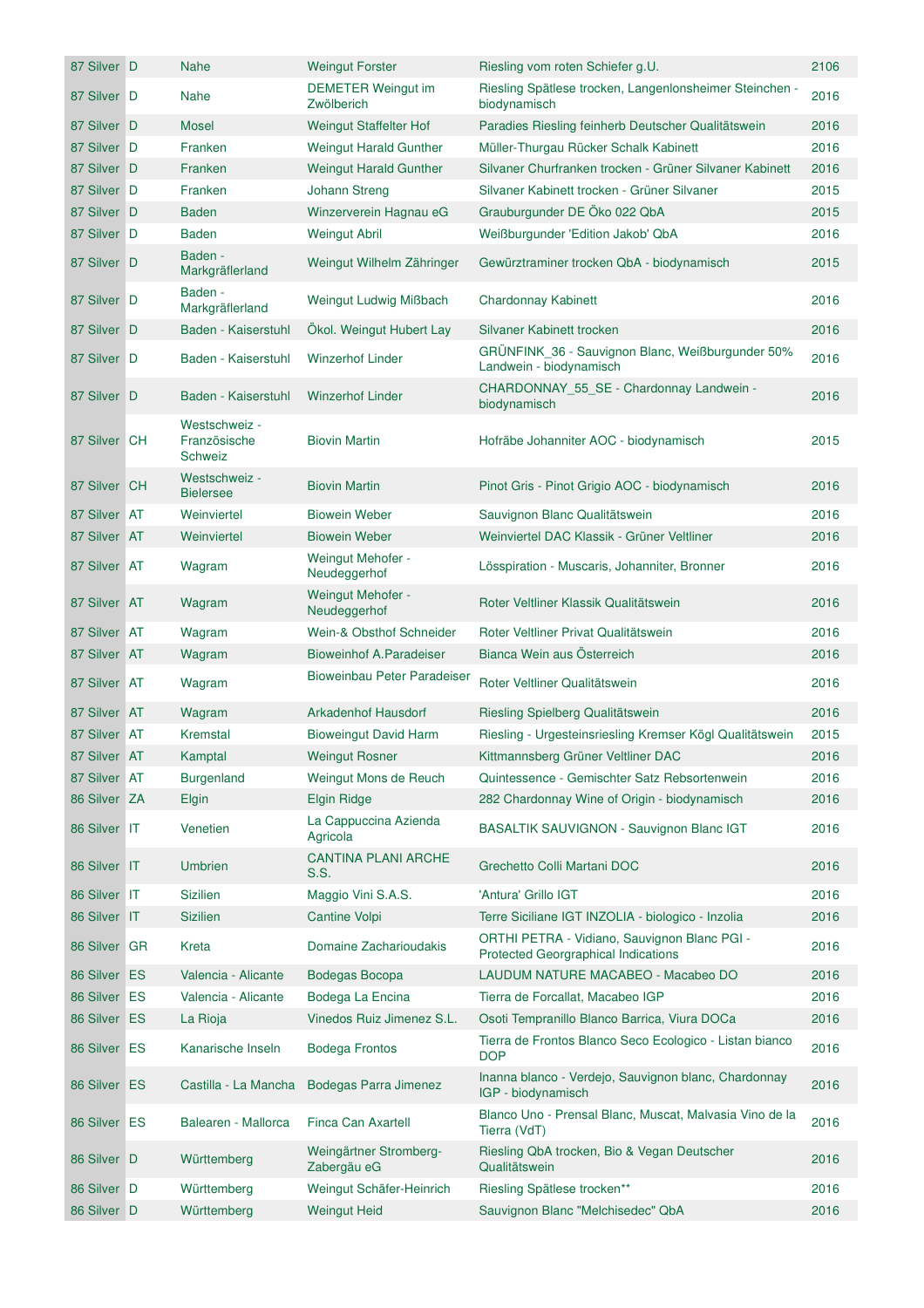| 87 Silver D  | <b>Nahe</b>                              | <b>Weingut Forster</b>                  | Riesling vom roten Schiefer g.U.                                                           | 2106 |
|--------------|------------------------------------------|-----------------------------------------|--------------------------------------------------------------------------------------------|------|
| 87 Silver D  | <b>Nahe</b>                              | <b>DEMETER Weingut im</b><br>Zwölberich | Riesling Spätlese trocken, Langenlonsheimer Steinchen -<br>biodynamisch                    | 2016 |
| 87 Silver D  | <b>Mosel</b>                             | <b>Weingut Staffelter Hof</b>           | Paradies Riesling feinherb Deutscher Qualitätswein                                         | 2016 |
| 87 Silver D  | Franken                                  | <b>Weingut Harald Gunther</b>           | Müller-Thurgau Rücker Schalk Kabinett                                                      | 2016 |
| 87 Silver D  | Franken                                  | <b>Weingut Harald Gunther</b>           | Silvaner Churfranken trocken - Grüner Silvaner Kabinett                                    | 2016 |
| 87 Silver D  | Franken                                  | <b>Johann Streng</b>                    | Silvaner Kabinett trocken - Grüner Silvaner                                                | 2015 |
| 87 Silver D  | Baden                                    | Winzerverein Hagnau eG                  | Grauburgunder DE Öko 022 QbA                                                               | 2015 |
| 87 Silver D  | Baden                                    | <b>Weingut Abril</b>                    | Weißburgunder 'Edition Jakob' QbA                                                          | 2016 |
| 87 Silver D  | Baden -<br>Markgräflerland               | Weingut Wilhelm Zähringer               | Gewürztraminer trocken QbA - biodynamisch                                                  | 2015 |
| 87 Silver D  | Baden -<br>Markgräflerland               | Weingut Ludwig Mißbach                  | Chardonnay Kabinett                                                                        | 2016 |
| 87 Silver D  | Baden - Kaiserstuhl                      | Ökol. Weingut Hubert Lay                | Silvaner Kabinett trocken                                                                  | 2016 |
| 87 Silver D  | Baden - Kaiserstuhl                      | <b>Winzerhof Linder</b>                 | GRÜNFINK 36 - Sauvignon Blanc, Weißburgunder 50%<br>Landwein - biodynamisch                | 2016 |
| 87 Silver D  | Baden - Kaiserstuhl                      | <b>Winzerhof Linder</b>                 | CHARDONNAY_55_SE - Chardonnay Landwein -<br>biodynamisch                                   | 2016 |
| 87 Silver CH | Westschweiz -<br>Französische<br>Schweiz | <b>Biovin Martin</b>                    | Hofräbe Johanniter AOC - biodynamisch                                                      | 2015 |
| 87 Silver CH | Westschweiz -<br><b>Bielersee</b>        | <b>Biovin Martin</b>                    | Pinot Gris - Pinot Grigio AOC - biodynamisch                                               | 2016 |
| 87 Silver AT | Weinviertel                              | <b>Biowein Weber</b>                    | Sauvignon Blanc Qualitätswein                                                              | 2016 |
| 87 Silver AT | Weinviertel                              | <b>Biowein Weber</b>                    | Weinviertel DAC Klassik - Grüner Veltliner                                                 | 2016 |
| 87 Silver AT | Wagram                                   | Weingut Mehofer -<br>Neudeggerhof       | Lösspiration - Muscaris, Johanniter, Bronner                                               | 2016 |
| 87 Silver AT | Wagram                                   | Weingut Mehofer -<br>Neudeggerhof       | Roter Veltliner Klassik Qualitätswein                                                      | 2016 |
| 87 Silver AT | Wagram                                   | Wein-& Obsthof Schneider                | Roter Veltliner Privat Qualitätswein                                                       | 2016 |
| 87 Silver AT | Wagram                                   | <b>Bioweinhof A.Paradeiser</b>          | Bianca Wein aus Österreich                                                                 | 2016 |
| 87 Silver AT | Wagram                                   | Bioweinbau Peter Paradeiser             | Roter Veltliner Qualitätswein                                                              | 2016 |
| 87 Silver AT | Wagram                                   | <b>Arkadenhof Hausdorf</b>              | Riesling Spielberg Qualitätswein                                                           | 2016 |
| 87 Silver AT | Kremstal                                 | <b>Bioweingut David Harm</b>            | Riesling - Urgesteinsriesling Kremser Kögl Qualitätswein                                   | 2015 |
| 87 Silver AT | Kamptal                                  | <b>Weingut Rosner</b>                   | Kittmannsberg Grüner Veltliner DAC                                                         | 2016 |
| 87 Silver AT | <b>Burgenland</b>                        | Weingut Mons de Reuch                   | Quintessence - Gemischter Satz Rebsortenwein                                               | 2016 |
| 86 Silver ZA | Elgin                                    | <b>Elgin Ridge</b>                      | 282 Chardonnay Wine of Origin - biodynamisch                                               | 2016 |
| 86 Silver IT | Venetien                                 | La Cappuccina Azienda<br>Agricola       | BASALTIK SAUVIGNON - Sauvignon Blanc IGT                                                   | 2016 |
| 86 Silver IT | <b>Umbrien</b>                           | <b>CANTINA PLANI ARCHE</b><br>S.S.      | Grechetto Colli Martani DOC                                                                | 2016 |
| 86 Silver IT | <b>Sizilien</b>                          | Maggio Vini S.A.S.                      | 'Antura' Grillo IGT                                                                        | 2016 |
| 86 Silver IT | <b>Sizilien</b>                          | <b>Cantine Volpi</b>                    | Terre Siciliane IGT INZOLIA - biologico - Inzolia                                          | 2016 |
| 86 Silver GR | Kreta                                    | Domaine Zacharioudakis                  | ORTHI PETRA - Vidiano, Sauvignon Blanc PGI -<br><b>Protected Georgraphical Indications</b> | 2016 |
| 86 Silver ES | Valencia - Alicante                      | Bodegas Bocopa                          | LAUDUM NATURE MACABEO - Macabeo DO                                                         | 2016 |
| 86 Silver ES | Valencia - Alicante                      | Bodega La Encina                        | Tierra de Forcallat, Macabeo IGP                                                           | 2016 |
| 86 Silver ES | La Rioja                                 | Vinedos Ruiz Jimenez S.L.               | Osoti Tempranillo Blanco Barrica, Viura DOCa                                               | 2016 |
| 86 Silver ES | Kanarische Inseln                        | <b>Bodega Frontos</b>                   | Tierra de Frontos Blanco Seco Ecologico - Listan bianco<br><b>DOP</b>                      | 2016 |
| 86 Silver ES | Castilla - La Mancha                     | Bodegas Parra Jimenez                   | Inanna blanco - Verdejo, Sauvignon blanc, Chardonnay<br>IGP - biodynamisch                 | 2016 |
| 86 Silver ES | Balearen - Mallorca                      | Finca Can Axartell                      | Blanco Uno - Prensal Blanc, Muscat, Malvasia Vino de la<br>Tierra (VdT)                    | 2016 |
| 86 Silver D  | Württemberg                              | Weingärtner Stromberg-<br>Zabergäu eG   | Riesling QbA trocken, Bio & Vegan Deutscher<br>Qualitätswein                               | 2016 |
| 86 Silver D  | Württemberg                              | Weingut Schäfer-Heinrich                | Riesling Spätlese trocken**                                                                | 2016 |
| 86 Silver D  | Württemberg                              | <b>Weingut Heid</b>                     | Sauvignon Blanc "Melchisedec" QbA                                                          | 2016 |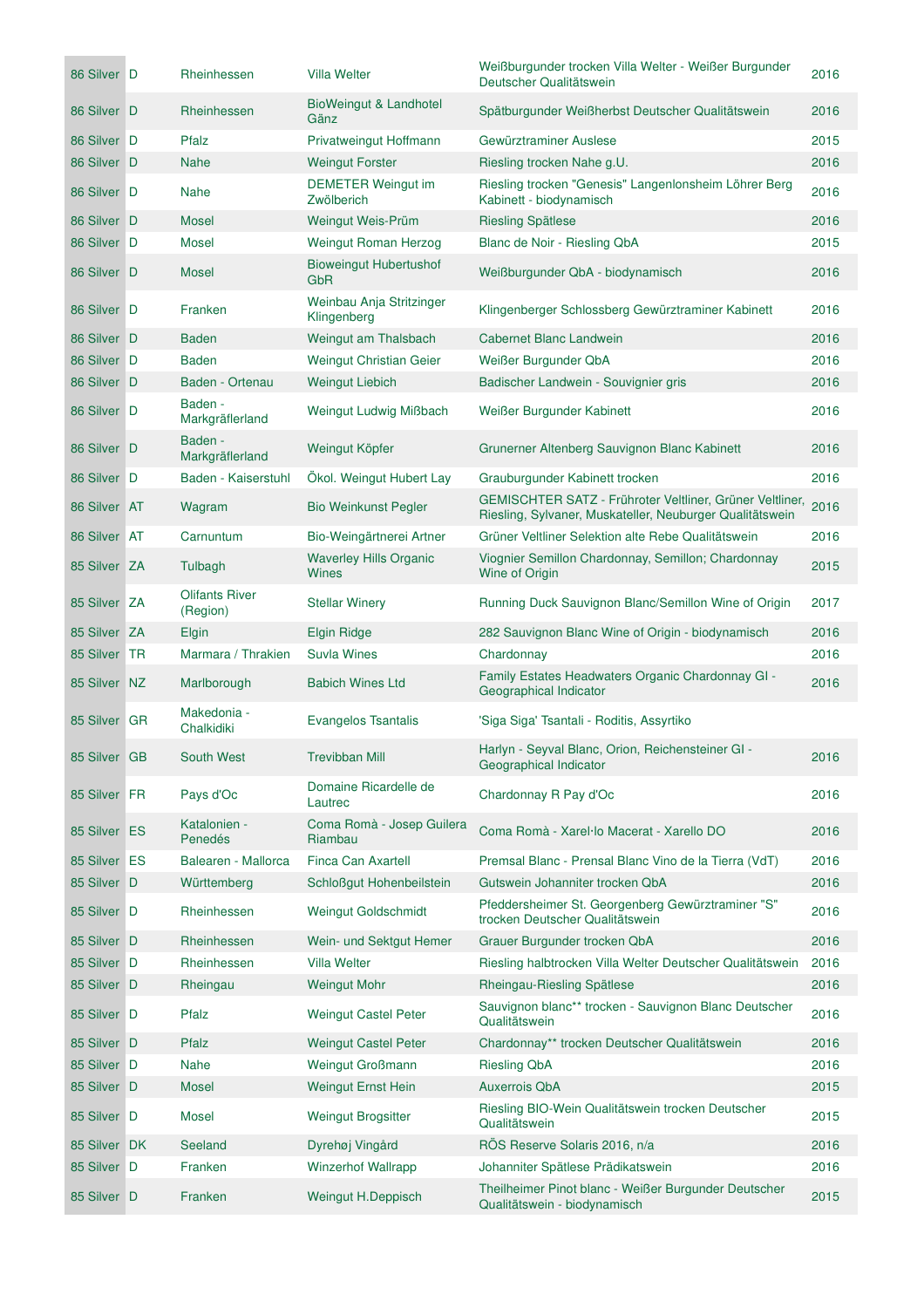| 86 Silver D  | Rheinhessen                       | <b>Villa Welter</b>                           | Weißburgunder trocken Villa Welter - Weißer Burgunder<br>Deutscher Qualitätswein                                     | 2016 |
|--------------|-----------------------------------|-----------------------------------------------|----------------------------------------------------------------------------------------------------------------------|------|
| 86 Silver D  | Rheinhessen                       | <b>BioWeingut &amp; Landhotel</b><br>Gänz     | Spätburgunder Weißherbst Deutscher Qualitätswein                                                                     | 2016 |
| 86 Silver D  | Pfalz                             | Privatweingut Hoffmann                        | Gewürztraminer Auslese                                                                                               | 2015 |
| 86 Silver D  | <b>Nahe</b>                       | <b>Weingut Forster</b>                        | Riesling trocken Nahe g.U.                                                                                           | 2016 |
| 86 Silver D  | <b>Nahe</b>                       | DEMETER Weingut im<br>Zwölberich              | Riesling trocken "Genesis" Langenlonsheim Löhrer Berg<br>Kabinett - biodynamisch                                     | 2016 |
| 86 Silver D  | <b>Mosel</b>                      | Weingut Weis-Prüm                             | <b>Riesling Spätlese</b>                                                                                             | 2016 |
| 86 Silver D  | <b>Mosel</b>                      | Weingut Roman Herzog                          | Blanc de Noir - Riesling QbA                                                                                         | 2015 |
| 86 Silver D  | Mosel                             | <b>Bioweingut Hubertushof</b><br>GbR          | Weißburgunder QbA - biodynamisch                                                                                     | 2016 |
| 86 Silver D  | Franken                           | Weinbau Anja Stritzinger<br>Klingenberg       | Klingenberger Schlossberg Gewürztraminer Kabinett                                                                    | 2016 |
| 86 Silver D  | Baden                             | Weingut am Thalsbach                          | <b>Cabernet Blanc Landwein</b>                                                                                       | 2016 |
| 86 Silver D  | <b>Baden</b>                      | Weingut Christian Geier                       | Weißer Burgunder QbA                                                                                                 | 2016 |
| 86 Silver D  | Baden - Ortenau                   | <b>Weingut Liebich</b>                        | Badischer Landwein - Souvignier gris                                                                                 | 2016 |
| 86 Silver D  | Baden -<br>Markgräflerland        | <b>Weingut Ludwig Mißbach</b>                 | Weißer Burgunder Kabinett                                                                                            | 2016 |
| 86 Silver D  | Baden -<br>Markgräflerland        | Weingut Köpfer                                | Grunerner Altenberg Sauvignon Blanc Kabinett                                                                         | 2016 |
| 86 Silver D  | Baden - Kaiserstuhl               | Ökol. Weingut Hubert Lay                      | Grauburgunder Kabinett trocken                                                                                       | 2016 |
| 86 Silver AT | Wagram                            | <b>Bio Weinkunst Pegler</b>                   | GEMISCHTER SATZ - Frühroter Veltliner, Grüner Veltliner,<br>Riesling, Sylvaner, Muskateller, Neuburger Qualitätswein | 2016 |
| 86 Silver AT | Carnuntum                         | Bio-Weingärtnerei Artner                      | Grüner Veltliner Selektion alte Rebe Qualitätswein                                                                   | 2016 |
| 85 Silver ZA | Tulbagh                           | <b>Waverley Hills Organic</b><br><b>Wines</b> | Viognier Semillon Chardonnay, Semillon; Chardonnay<br>Wine of Origin                                                 | 2015 |
| 85 Silver ZA | <b>Olifants River</b><br>(Region) | <b>Stellar Winery</b>                         | Running Duck Sauvignon Blanc/Semillon Wine of Origin                                                                 | 2017 |
| 85 Silver ZA | Elgin                             | <b>Elgin Ridge</b>                            | 282 Sauvignon Blanc Wine of Origin - biodynamisch                                                                    | 2016 |
| 85 Silver TR | Marmara / Thrakien                | <b>Suvla Wines</b>                            | Chardonnay                                                                                                           | 2016 |
| 85 Silver NZ | Marlborough                       | <b>Babich Wines Ltd</b>                       | Family Estates Headwaters Organic Chardonnay GI -<br>Geographical Indicator                                          | 2016 |
| 85 Silver GR | Makedonia -<br>Chalkidiki         | <b>Evangelos Tsantalis</b>                    | 'Siga Siga' Tsantali - Roditis, Assyrtiko                                                                            |      |
| 85 Silver GB | South West                        | <b>Trevibban Mill</b>                         | Harlyn - Seyval Blanc, Orion, Reichensteiner GI -<br>Geographical Indicator                                          | 2016 |
| 85 Silver FR | Pays d'Oc                         | Domaine Ricardelle de<br>Lautrec              | Chardonnay R Pay d'Oc                                                                                                | 2016 |
| 85 Silver ES | Katalonien -<br>Penedés           | Coma Romà - Josep Guilera<br>Riambau          | Coma Romà - Xarel·lo Macerat - Xarello DO                                                                            | 2016 |
| 85 Silver ES | Balearen - Mallorca               | Finca Can Axartell                            | Premsal Blanc - Prensal Blanc Vino de la Tierra (VdT)                                                                | 2016 |
| 85 Silver D  | Württemberg                       | Schloßgut Hohenbeilstein                      | Gutswein Johanniter trocken QbA                                                                                      | 2016 |
| 85 Silver D  | Rheinhessen                       | Weingut Goldschmidt                           | Pfeddersheimer St. Georgenberg Gewürztraminer "S"<br>trocken Deutscher Qualitätswein                                 | 2016 |
| 85 Silver D  | Rheinhessen                       | Wein- und Sektgut Hemer                       | Grauer Burgunder trocken QbA                                                                                         | 2016 |
| 85 Silver D  | Rheinhessen                       | <b>Villa Welter</b>                           | Riesling halbtrocken Villa Welter Deutscher Qualitätswein                                                            | 2016 |
| 85 Silver D  | Rheingau                          | <b>Weingut Mohr</b>                           | Rheingau-Riesling Spätlese                                                                                           | 2016 |
| 85 Silver D  | Pfalz                             | <b>Weingut Castel Peter</b>                   | Sauvignon blanc** trocken - Sauvignon Blanc Deutscher<br>Qualitätswein                                               | 2016 |
| 85 Silver D  | Pfalz                             | <b>Weingut Castel Peter</b>                   | Chardonnay** trocken Deutscher Qualitätswein                                                                         | 2016 |
| 85 Silver D  | <b>Nahe</b>                       | <b>Weingut Großmann</b>                       | <b>Riesling QbA</b>                                                                                                  | 2016 |
| 85 Silver D  | <b>Mosel</b>                      | <b>Weingut Ernst Hein</b>                     | <b>Auxerrois QbA</b>                                                                                                 | 2015 |
| 85 Silver D  | Mosel                             | <b>Weingut Brogsitter</b>                     | Riesling BIO-Wein Qualitätswein trocken Deutscher<br>Qualitätswein                                                   | 2015 |
| 85 Silver DK | Seeland                           | Dyrehøj Vingård                               | RÖS Reserve Solaris 2016, n/a                                                                                        | 2016 |
| 85 Silver D  | Franken                           | <b>Winzerhof Wallrapp</b>                     | Johanniter Spätlese Prädikatswein                                                                                    | 2016 |
| 85 Silver D  | Franken                           | Weingut H.Deppisch                            | Theilheimer Pinot blanc - Weißer Burgunder Deutscher<br>Qualitätswein - biodynamisch                                 | 2015 |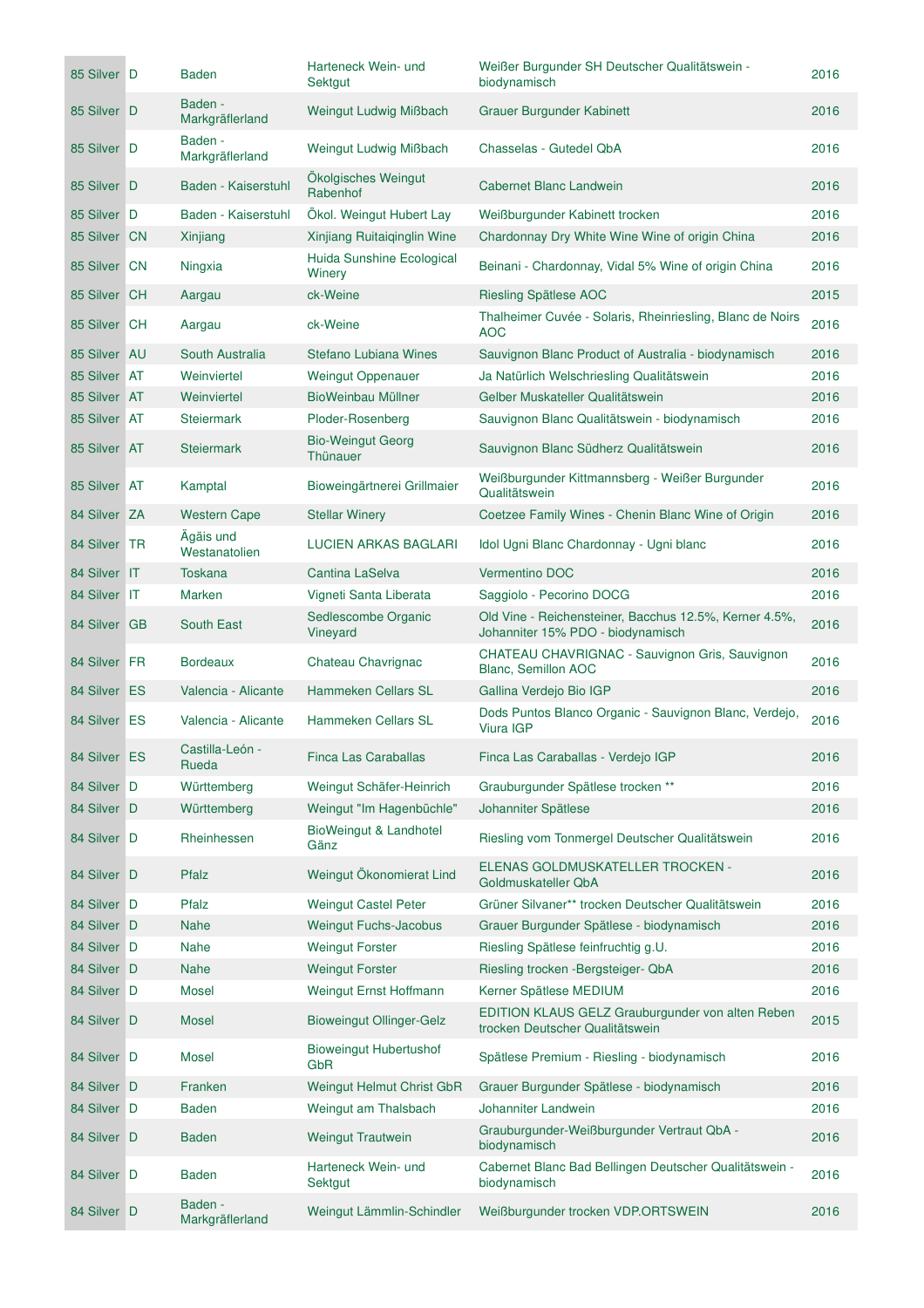| 85 Silver D  | Baden                      | Harteneck Wein- und<br><b>Sektgut</b> | Weißer Burgunder SH Deutscher Qualitätswein -<br>biodynamisch                               | 2016 |
|--------------|----------------------------|---------------------------------------|---------------------------------------------------------------------------------------------|------|
| 85 Silver D  | Baden -<br>Markgräflerland | Weingut Ludwig Mißbach                | Grauer Burgunder Kabinett                                                                   | 2016 |
| 85 Silver D  | Baden -<br>Markgräflerland | Weingut Ludwig Mißbach                | Chasselas - Gutedel QbA                                                                     | 2016 |
| 85 Silver D  | Baden - Kaiserstuhl        | Ökolgisches Weingut<br>Rabenhof       | <b>Cabernet Blanc Landwein</b>                                                              | 2016 |
| 85 Silver D  | Baden - Kaiserstuhl        | Ökol. Weingut Hubert Lay              | Weißburgunder Kabinett trocken                                                              | 2016 |
| 85 Silver CN | Xinjiang                   | Xinjiang Ruitaiqinglin Wine           | Chardonnay Dry White Wine Wine of origin China                                              | 2016 |
| 85 Silver CN | Ningxia                    | Huida Sunshine Ecological<br>Winery   | Beinani - Chardonnay, Vidal 5% Wine of origin China                                         | 2016 |
| 85 Silver CH | Aargau                     | ck-Weine                              | Riesling Spätlese AOC                                                                       | 2015 |
| 85 Silver CH | Aargau                     | ck-Weine                              | Thalheimer Cuvée - Solaris, Rheinriesling, Blanc de Noirs<br><b>AOC</b>                     | 2016 |
| 85 Silver AU | South Australia            | Stefano Lubiana Wines                 | Sauvignon Blanc Product of Australia - biodynamisch                                         | 2016 |
| 85 Silver AT | Weinviertel                | <b>Weingut Oppenauer</b>              | Ja Natürlich Welschriesling Qualitätswein                                                   | 2016 |
| 85 Silver AT | Weinviertel                | BioWeinbau Müllner                    | Gelber Muskateller Qualitätswein                                                            | 2016 |
| 85 Silver AT | Steiermark                 | Ploder-Rosenberg                      | Sauvignon Blanc Qualitätswein - biodynamisch                                                | 2016 |
| 85 Silver AT | <b>Steiermark</b>          | <b>Bio-Weingut Georg</b><br>Thünauer  | Sauvignon Blanc Südherz Qualitätswein                                                       | 2016 |
| 85 Silver AT | Kamptal                    | Bioweingärtnerei Grillmaier           | Weißburgunder Kittmannsberg - Weißer Burgunder<br>Qualitätswein                             | 2016 |
| 84 Silver ZA | <b>Western Cape</b>        | <b>Stellar Winery</b>                 | Coetzee Family Wines - Chenin Blanc Wine of Origin                                          | 2016 |
| 84 Silver TR | Ägäis und<br>Westanatolien | <b>LUCIEN ARKAS BAGLARI</b>           | Idol Ugni Blanc Chardonnay - Ugni blanc                                                     | 2016 |
| 84 Silver IT | <b>Toskana</b>             | <b>Cantina LaSelva</b>                | <b>Vermentino DOC</b>                                                                       | 2016 |
| 84 Silver IT | <b>Marken</b>              | Vigneti Santa Liberata                | Saggiolo - Pecorino DOCG                                                                    | 2016 |
| 84 Silver GB | <b>South East</b>          | Sedlescombe Organic<br>Vineyard       | Old Vine - Reichensteiner, Bacchus 12.5%, Kerner 4.5%,<br>Johanniter 15% PDO - biodynamisch | 2016 |
| 84 Silver FR | <b>Bordeaux</b>            | Chateau Chavrignac                    | CHATEAU CHAVRIGNAC - Sauvignon Gris, Sauvignon<br>Blanc, Semillon AOC                       | 2016 |
| 84 Silver ES | Valencia - Alicante        | Hammeken Cellars SL                   | Gallina Verdejo Bio IGP                                                                     | 2016 |
| 84 Silver ES | Valencia - Alicante        | <b>Hammeken Cellars SL</b>            | Dods Puntos Blanco Organic - Sauvignon Blanc, Verdejo,<br>Viura IGP                         | 2016 |
| 84 Silver ES | Castilla-León -<br>Rueda   | Finca Las Caraballas                  | Finca Las Caraballas - Verdejo IGP                                                          | 2016 |
| 84 Silver D  | Württemberg                | Weingut Schäfer-Heinrich              | Grauburgunder Spätlese trocken **                                                           | 2016 |
| 84 Silver D  | Württemberg                | Weingut "Im Hagenbüchle"              | Johanniter Spätlese                                                                         | 2016 |
| 84 Silver D  | Rheinhessen                | BioWeingut & Landhotel<br>Gänz        | Riesling vom Tonmergel Deutscher Qualitätswein                                              | 2016 |
| 84 Silver D  | Pfalz                      | Weingut Ökonomierat Lind              | ELENAS GOLDMUSKATELLER TROCKEN -<br>Goldmuskateller QbA                                     | 2016 |
| 84 Silver D  | Pfalz                      | <b>Weingut Castel Peter</b>           | Grüner Silvaner** trocken Deutscher Qualitätswein                                           | 2016 |
| 84 Silver D  | <b>Nahe</b>                | Weingut Fuchs-Jacobus                 | Grauer Burgunder Spätlese - biodynamisch                                                    | 2016 |
| 84 Silver D  | Nahe                       | <b>Weingut Forster</b>                | Riesling Spätlese feinfruchtig g.U.                                                         | 2016 |
| 84 Silver D  | <b>Nahe</b>                | <b>Weingut Forster</b>                | Riesling trocken - Bergsteiger- QbA                                                         | 2016 |
| 84 Silver D  | <b>Mosel</b>               | Weingut Ernst Hoffmann                | Kerner Spätlese MEDIUM                                                                      | 2016 |
| 84 Silver D  | <b>Mosel</b>               | <b>Bioweingut Ollinger-Gelz</b>       | EDITION KLAUS GELZ Grauburgunder von alten Reben<br>trocken Deutscher Qualitätswein         | 2015 |
| 84 Silver D  | Mosel                      | <b>Bioweingut Hubertushof</b><br>GbR  | Spätlese Premium - Riesling - biodynamisch                                                  | 2016 |
| 84 Silver D  | Franken                    | Weingut Helmut Christ GbR             | Grauer Burgunder Spätlese - biodynamisch                                                    | 2016 |
| 84 Silver D  | <b>Baden</b>               | Weingut am Thalsbach                  | Johanniter Landwein                                                                         | 2016 |
| 84 Silver D  | <b>Baden</b>               | <b>Weingut Trautwein</b>              | Grauburgunder-Weißburgunder Vertraut QbA -<br>biodynamisch                                  | 2016 |
| 84 Silver D  | <b>Baden</b>               | Harteneck Wein- und<br>Sektgut        | Cabernet Blanc Bad Bellingen Deutscher Qualitätswein -<br>biodynamisch                      | 2016 |
| 84 Silver D  | Baden -<br>Markgräflerland | Weingut Lämmlin-Schindler             | Weißburgunder trocken VDP.ORTSWEIN                                                          | 2016 |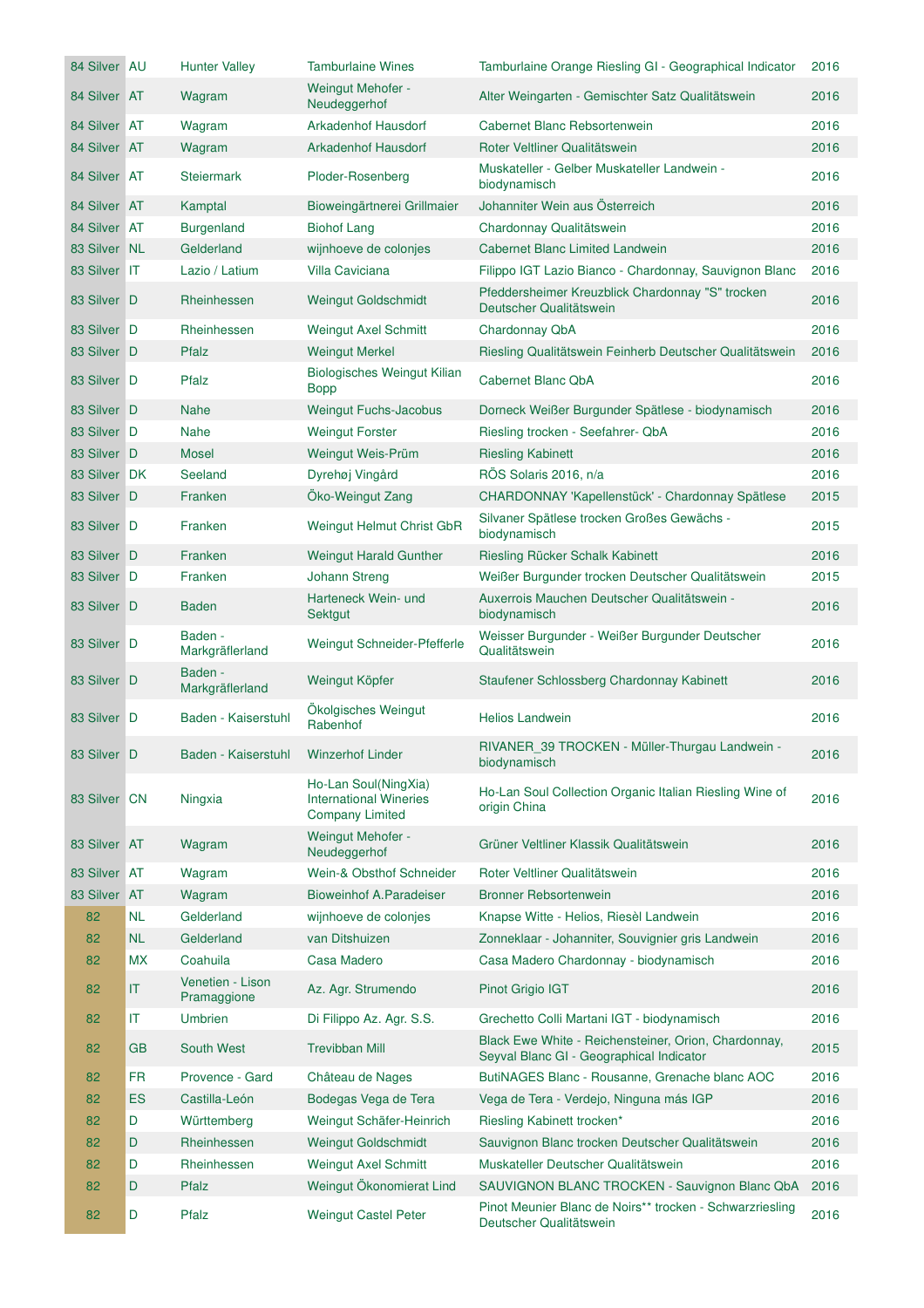| 84 Silver AU |           | <b>Hunter Valley</b>            | <b>Tamburlaine Wines</b>                                                        | Tamburlaine Orange Riesling GI - Geographical Indicator                                          | 2016 |
|--------------|-----------|---------------------------------|---------------------------------------------------------------------------------|--------------------------------------------------------------------------------------------------|------|
| 84 Silver AT |           | Wagram                          | Weingut Mehofer -<br>Neudeggerhof                                               | Alter Weingarten - Gemischter Satz Qualitätswein                                                 | 2016 |
| 84 Silver AT |           | Wagram                          | <b>Arkadenhof Hausdorf</b>                                                      | Cabernet Blanc Rebsortenwein                                                                     | 2016 |
| 84 Silver AT |           | Wagram                          | <b>Arkadenhof Hausdorf</b>                                                      | Roter Veltliner Qualitätswein                                                                    | 2016 |
| 84 Silver AT |           | <b>Steiermark</b>               | Ploder-Rosenberg                                                                | Muskateller - Gelber Muskateller Landwein -<br>biodynamisch                                      | 2016 |
| 84 Silver AT |           | Kamptal                         | Bioweingärtnerei Grillmaier                                                     | Johanniter Wein aus Österreich                                                                   | 2016 |
| 84 Silver AT |           | <b>Burgenland</b>               | <b>Biohof Lang</b>                                                              | Chardonnay Qualitätswein                                                                         | 2016 |
| 83 Silver NL |           | Gelderland                      | wijnhoeve de colonjes                                                           | <b>Cabernet Blanc Limited Landwein</b>                                                           | 2016 |
| 83 Silver IT |           | Lazio / Latium                  | <b>Villa Caviciana</b>                                                          | Filippo IGT Lazio Bianco - Chardonnay, Sauvignon Blanc                                           | 2016 |
| 83 Silver D  |           | Rheinhessen                     | <b>Weingut Goldschmidt</b>                                                      | Pfeddersheimer Kreuzblick Chardonnay "S" trocken<br>Deutscher Qualitätswein                      | 2016 |
| 83 Silver D  |           | Rheinhessen                     | Weingut Axel Schmitt                                                            | Chardonnay QbA                                                                                   | 2016 |
| 83 Silver D  |           | Pfalz                           | <b>Weingut Merkel</b>                                                           | Riesling Qualitätswein Feinherb Deutscher Qualitätswein                                          | 2016 |
| 83 Silver D  |           | Pfalz                           | <b>Biologisches Weingut Kilian</b><br><b>Bopp</b>                               | Cabernet Blanc QbA                                                                               | 2016 |
| 83 Silver D  |           | <b>Nahe</b>                     | Weingut Fuchs-Jacobus                                                           | Dorneck Weißer Burgunder Spätlese - biodynamisch                                                 | 2016 |
| 83 Silver D  |           | <b>Nahe</b>                     | <b>Weingut Forster</b>                                                          | Riesling trocken - Seefahrer- QbA                                                                | 2016 |
| 83 Silver D  |           | <b>Mosel</b>                    | Weingut Weis-Prüm                                                               | <b>Riesling Kabinett</b>                                                                         | 2016 |
| 83 Silver DK |           | Seeland                         | Dyrehøj Vingård                                                                 | RÖS Solaris 2016, n/a                                                                            | 2016 |
| 83 Silver D  |           | Franken                         | Öko-Weingut Zang                                                                | CHARDONNAY 'Kapellenstück' - Chardonnay Spätlese                                                 | 2015 |
| 83 Silver D  |           | Franken                         | Weingut Helmut Christ GbR                                                       | Silvaner Spätlese trocken Großes Gewächs -<br>biodynamisch                                       | 2015 |
| 83 Silver D  |           | Franken                         | <b>Weingut Harald Gunther</b>                                                   | Riesling Rücker Schalk Kabinett                                                                  | 2016 |
| 83 Silver D  |           | Franken                         | <b>Johann Streng</b>                                                            | Weißer Burgunder trocken Deutscher Qualitätswein                                                 | 2015 |
| 83 Silver D  |           | <b>Baden</b>                    | Harteneck Wein- und<br>Sektgut                                                  | Auxerrois Mauchen Deutscher Qualitätswein -<br>biodynamisch                                      | 2016 |
| 83 Silver D  |           | Baden -<br>Markgräflerland      | Weingut Schneider-Pfefferle                                                     | Weisser Burgunder - Weißer Burgunder Deutscher<br>Qualitätswein                                  | 2016 |
| 83 Silver D  |           | Baden -<br>Markgräflerland      | Weingut Köpfer                                                                  | Staufener Schlossberg Chardonnay Kabinett                                                        | 2016 |
| 83 Silver D  |           | Baden - Kaiserstuhl             | Ökolgisches Weingut<br>Rabenhof                                                 | <b>Helios Landwein</b>                                                                           | 2016 |
| 83 Silver D  |           | Baden - Kaiserstuhl             | <b>Winzerhof Linder</b>                                                         | RIVANER 39 TROCKEN - Müller-Thurgau Landwein -<br>biodynamisch                                   | 2016 |
| 83 Silver CN |           | Ningxia                         | Ho-Lan Soul(NingXia)<br><b>International Wineries</b><br><b>Company Limited</b> | Ho-Lan Soul Collection Organic Italian Riesling Wine of<br>origin China                          | 2016 |
| 83 Silver AT |           | Wagram                          | Weingut Mehofer -<br>Neudeggerhof                                               | Grüner Veltliner Klassik Qualitätswein                                                           | 2016 |
| 83 Silver AT |           | Wagram                          | Wein-& Obsthof Schneider                                                        | Roter Veltliner Qualitätswein                                                                    | 2016 |
| 83 Silver AT |           | Wagram                          | <b>Bioweinhof A.Paradeiser</b>                                                  | <b>Bronner Rebsortenwein</b>                                                                     | 2016 |
| 82           | <b>NL</b> | Gelderland                      | wijnhoeve de colonjes                                                           | Knapse Witte - Helios, Riesèl Landwein                                                           | 2016 |
| 82           | <b>NL</b> | Gelderland                      | van Ditshuizen                                                                  | Zonneklaar - Johanniter, Souvignier gris Landwein                                                | 2016 |
| 82           | <b>MX</b> | Coahuila                        | Casa Madero                                                                     | Casa Madero Chardonnay - biodynamisch                                                            | 2016 |
| 82           | IT        | Venetien - Lison<br>Pramaggione | Az. Agr. Strumendo                                                              | Pinot Grigio IGT                                                                                 | 2016 |
| 82           | IT        | Umbrien                         | Di Filippo Az. Agr. S.S.                                                        | Grechetto Colli Martani IGT - biodynamisch                                                       | 2016 |
| 82           | GB        | South West                      | <b>Trevibban Mill</b>                                                           | Black Ewe White - Reichensteiner, Orion, Chardonnay,<br>Seyval Blanc GI - Geographical Indicator | 2015 |
| 82           | FR        | Provence - Gard                 | Château de Nages                                                                | ButiNAGES Blanc - Rousanne, Grenache blanc AOC                                                   | 2016 |
| 82           | <b>ES</b> | Castilla-León                   | Bodegas Vega de Tera                                                            | Vega de Tera - Verdejo, Ninguna más IGP                                                          | 2016 |
| 82           | D         | Württemberg                     | Weingut Schäfer-Heinrich                                                        | Riesling Kabinett trocken*                                                                       | 2016 |
| 82           | D         | Rheinhessen                     | <b>Weingut Goldschmidt</b>                                                      | Sauvignon Blanc trocken Deutscher Qualitätswein                                                  | 2016 |
| 82           | D         | Rheinhessen                     | <b>Weingut Axel Schmitt</b>                                                     | Muskateller Deutscher Qualitätswein                                                              | 2016 |
| 82           | D         | Pfalz                           | Weingut Ökonomierat Lind                                                        | SAUVIGNON BLANC TROCKEN - Sauvignon Blanc QbA                                                    | 2016 |
| 82           | D         | Pfalz                           | <b>Weingut Castel Peter</b>                                                     | Pinot Meunier Blanc de Noirs** trocken - Schwarzriesling<br>Deutscher Qualitätswein              | 2016 |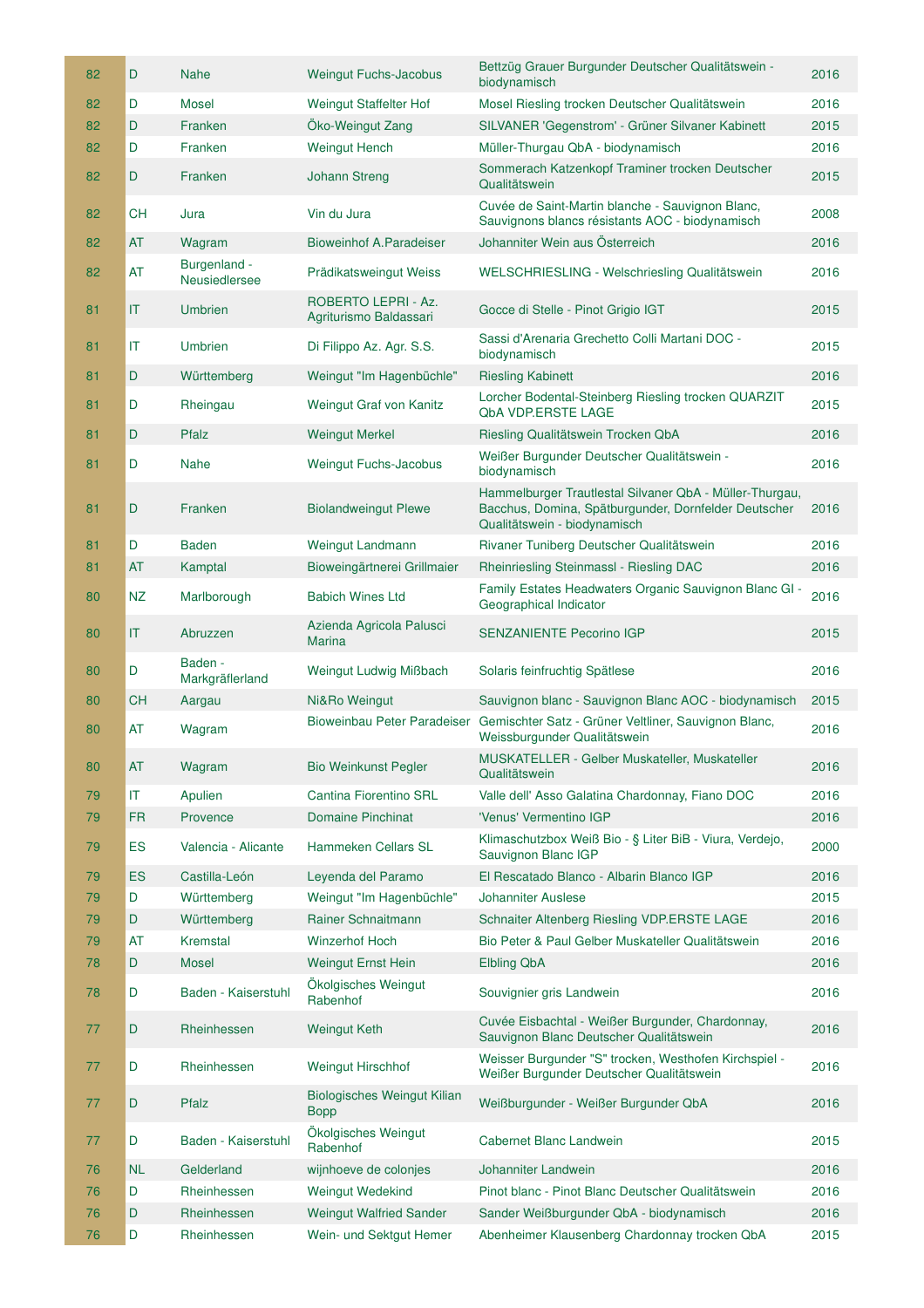|    | 82 | D                      | <b>Nahe</b>                   | <b>Weingut Fuchs-Jacobus</b>                      | Bettzüg Grauer Burgunder Deutscher Qualitätswein -<br>biodynamisch                                                                              | 2016 |
|----|----|------------------------|-------------------------------|---------------------------------------------------|-------------------------------------------------------------------------------------------------------------------------------------------------|------|
|    | 82 | D                      | <b>Mosel</b>                  | Weingut Staffelter Hof                            | Mosel Riesling trocken Deutscher Qualitätswein                                                                                                  | 2016 |
|    | 82 | D                      | Franken                       | Öko-Weingut Zang                                  | SILVANER 'Gegenstrom' - Grüner Silvaner Kabinett                                                                                                | 2015 |
|    | 82 | D                      | Franken                       | <b>Weingut Hench</b>                              | Müller-Thurgau QbA - biodynamisch                                                                                                               | 2016 |
|    | 82 | D                      | Franken                       | <b>Johann Streng</b>                              | Sommerach Katzenkopf Traminer trocken Deutscher<br>Qualitätswein                                                                                | 2015 |
|    | 82 | CН                     | Jura                          | Vin du Jura                                       | Cuvée de Saint-Martin blanche - Sauvignon Blanc,<br>Sauvignons blancs résistants AOC - biodynamisch                                             | 2008 |
|    | 82 | AT                     | Wagram                        | <b>Bioweinhof A.Paradeiser</b>                    | Johanniter Wein aus Österreich                                                                                                                  | 2016 |
|    | 82 | AT                     | Burgenland -<br>Neusiedlersee | Prädikatsweingut Weiss                            | WELSCHRIESLING - Welschriesling Qualitätswein                                                                                                   | 2016 |
| 81 |    | T                      | <b>Umbrien</b>                | ROBERTO LEPRI - Az.<br>Agriturismo Baldassari     | Gocce di Stelle - Pinot Grigio IGT                                                                                                              | 2015 |
| 81 |    | $\mathsf{I}\mathsf{T}$ | Umbrien                       | Di Filippo Az. Agr. S.S.                          | Sassi d'Arenaria Grechetto Colli Martani DOC -<br>biodynamisch                                                                                  | 2015 |
| 81 |    | D                      | Württemberg                   | Weingut "Im Hagenbüchle"                          | <b>Riesling Kabinett</b>                                                                                                                        | 2016 |
| 81 |    | D                      | Rheingau                      | Weingut Graf von Kanitz                           | Lorcher Bodental-Steinberg Riesling trocken QUARZIT<br><b>QbA VDP.ERSTE LAGE</b>                                                                | 2015 |
| 81 |    | D                      | Pfalz                         | <b>Weingut Merkel</b>                             | Riesling Qualitätswein Trocken QbA                                                                                                              | 2016 |
|    | 81 | D                      | <b>Nahe</b>                   | <b>Weingut Fuchs-Jacobus</b>                      | Weißer Burgunder Deutscher Qualitätswein -<br>biodynamisch                                                                                      | 2016 |
| 81 |    | D                      | Franken                       | <b>Biolandweingut Plewe</b>                       | Hammelburger Trautlestal Silvaner QbA - Müller-Thurgau,<br>Bacchus, Domina, Spätburgunder, Dornfelder Deutscher<br>Qualitätswein - biodynamisch | 2016 |
| 81 |    | D                      | <b>Baden</b>                  | Weingut Landmann                                  | Rivaner Tuniberg Deutscher Qualitätswein                                                                                                        | 2016 |
| 81 |    | AT                     | Kamptal                       | Bioweingärtnerei Grillmaier                       | Rheinriesling Steinmassl - Riesling DAC                                                                                                         | 2016 |
|    | 80 | NZ                     | Marlborough                   | <b>Babich Wines Ltd</b>                           | Family Estates Headwaters Organic Sauvignon Blanc GI -<br>Geographical Indicator                                                                | 2016 |
|    | 80 | T                      | Abruzzen                      | Azienda Agricola Palusci<br><b>Marina</b>         | <b>SENZANIENTE Pecorino IGP</b>                                                                                                                 | 2015 |
|    | 80 | D                      | Baden -<br>Markgräflerland    | Weingut Ludwig Mißbach                            | Solaris feinfruchtig Spätlese                                                                                                                   | 2016 |
|    | 80 | <b>CH</b>              | Aargau                        | Ni&Ro Weingut                                     | Sauvignon blanc - Sauvignon Blanc AOC - biodynamisch                                                                                            | 2015 |
|    |    | AT                     | Wagram                        | Bioweinbau Peter Paradeiser                       | Gemischter Satz - Grüner Veltliner, Sauvignon Blanc,<br>Weissburgunder Qualitätswein                                                            | 2016 |
| 80 |    |                        |                               |                                                   |                                                                                                                                                 |      |
|    | 80 | AT                     | Wagram                        | <b>Bio Weinkunst Pegler</b>                       | MUSKATELLER - Gelber Muskateller, Muskateller<br>Qualitätswein                                                                                  | 2016 |
|    | 79 | IT                     | Apulien                       | Cantina Fiorentino SRL                            | Valle dell' Asso Galatina Chardonnay, Fiano DOC                                                                                                 | 2016 |
|    | 79 | <b>FR</b>              | Provence                      | <b>Domaine Pinchinat</b>                          | 'Venus' Vermentino IGP                                                                                                                          | 2016 |
|    | 79 | ES                     | Valencia - Alicante           | Hammeken Cellars SL                               | Klimaschutzbox Weiß Bio - § Liter BiB - Viura, Verdejo,<br>Sauvignon Blanc IGP                                                                  | 2000 |
|    | 79 | <b>ES</b>              | Castilla-León                 | Leyenda del Paramo                                | El Rescatado Blanco - Albarin Blanco IGP                                                                                                        | 2016 |
|    | 79 | D                      | Württemberg                   | Weingut "Im Hagenbüchle"                          | <b>Johanniter Auslese</b>                                                                                                                       | 2015 |
|    | 79 | D                      | Württemberg                   | Rainer Schnaitmann                                | Schnaiter Altenberg Riesling VDP.ERSTE LAGE                                                                                                     | 2016 |
|    | 79 | <b>AT</b>              | Kremstal                      | <b>Winzerhof Hoch</b>                             | Bio Peter & Paul Gelber Muskateller Qualitätswein                                                                                               | 2016 |
|    | 78 | D                      | <b>Mosel</b>                  | <b>Weingut Ernst Hein</b>                         | <b>Elbling QbA</b>                                                                                                                              | 2016 |
|    | 78 | D                      | Baden - Kaiserstuhl           | Ökolgisches Weingut<br>Rabenhof                   | Souvignier gris Landwein                                                                                                                        | 2016 |
|    | 77 | D                      | Rheinhessen                   | <b>Weingut Keth</b>                               | Cuvée Eisbachtal - Weißer Burgunder, Chardonnay,<br>Sauvignon Blanc Deutscher Qualitätswein                                                     | 2016 |
|    | 77 | D                      | Rheinhessen                   | <b>Weingut Hirschhof</b>                          | Weisser Burgunder "S" trocken, Westhofen Kirchspiel -<br>Weißer Burgunder Deutscher Qualitätswein                                               | 2016 |
|    | 77 | D                      | Pfalz                         | <b>Biologisches Weingut Kilian</b><br><b>Bopp</b> | Weißburgunder - Weißer Burgunder QbA                                                                                                            | 2016 |
|    | 77 | D                      | Baden - Kaiserstuhl           | Ökolgisches Weingut<br>Rabenhof                   | Cabernet Blanc Landwein                                                                                                                         | 2015 |
|    | 76 | <b>NL</b>              | Gelderland                    | wijnhoeve de colonjes                             | Johanniter Landwein                                                                                                                             | 2016 |
|    | 76 | D                      | Rheinhessen                   | <b>Weingut Wedekind</b>                           | Pinot blanc - Pinot Blanc Deutscher Qualitätswein                                                                                               | 2016 |
|    | 76 | D                      | Rheinhessen                   | <b>Weingut Walfried Sander</b>                    | Sander Weißburgunder QbA - biodynamisch                                                                                                         | 2016 |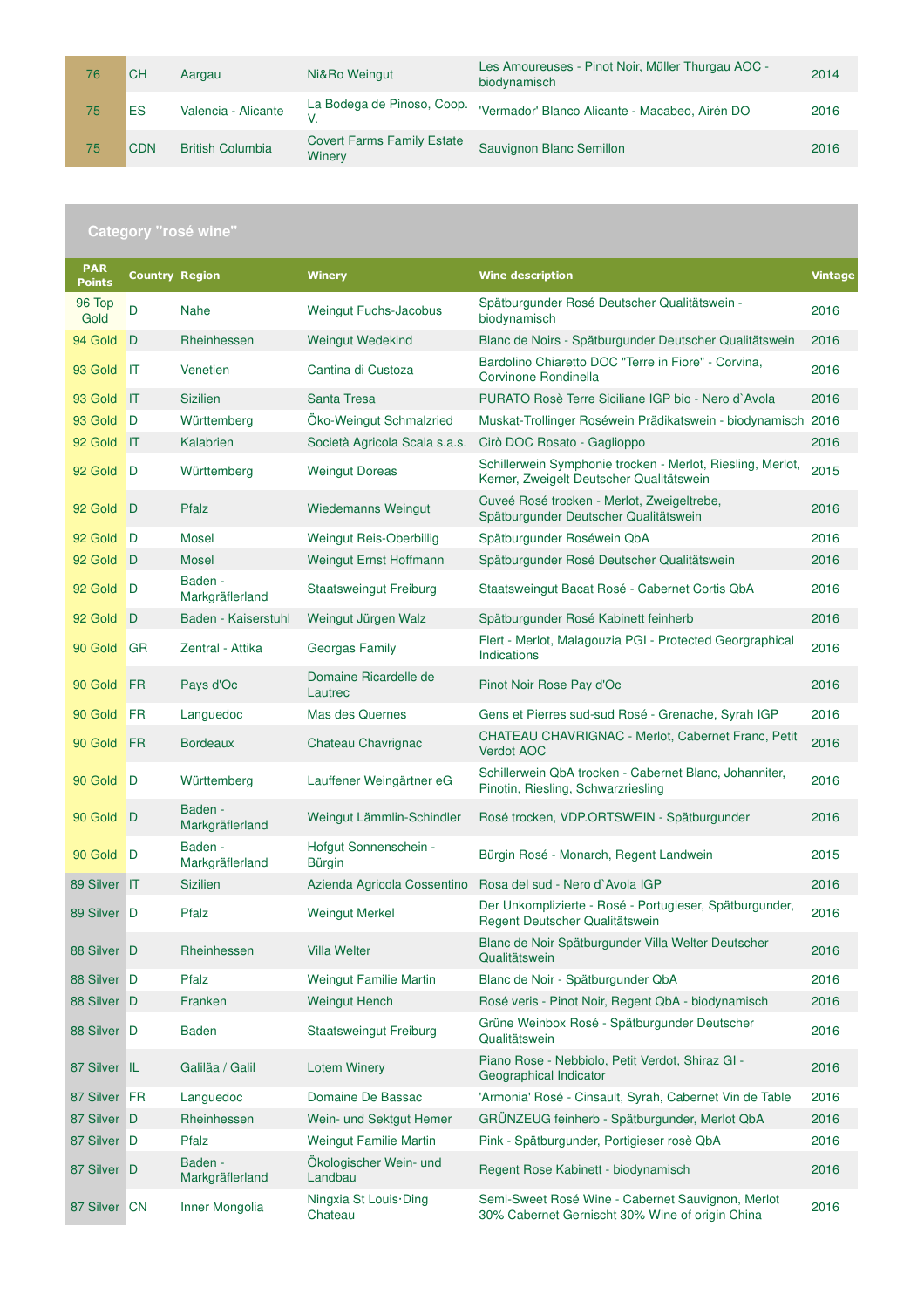| 76 | CН         | Aargau                  | Ni&Ro Weingut                               | Les Amoureuses - Pinot Noir, Müller Thurgau AOC -<br>biodynamisch | 2014 |
|----|------------|-------------------------|---------------------------------------------|-------------------------------------------------------------------|------|
| 75 | ES         | Valencia - Alicante     | La Bodega de Pinoso, Coop.                  | 'Vermador' Blanco Alicante - Macabeo, Airén DO                    | 2016 |
| 75 | <b>CDN</b> | <b>British Columbia</b> | <b>Covert Farms Family Estate</b><br>Winery | Sauvignon Blanc Semillon                                          | 2016 |

| <b>PAR</b><br><b>Points</b> | <b>Country Region</b> |                            | <b>Winery</b>                     | <b>Wine description</b>                                                                                | <b>Vintage</b> |
|-----------------------------|-----------------------|----------------------------|-----------------------------------|--------------------------------------------------------------------------------------------------------|----------------|
| 96 Top<br>Gold              | D                     | <b>Nahe</b>                | <b>Weingut Fuchs-Jacobus</b>      | Spätburgunder Rosé Deutscher Qualitätswein -<br>biodynamisch                                           | 2016           |
| 94 Gold                     | $\Box$                | Rheinhessen                | Weingut Wedekind                  | Blanc de Noirs - Spätburgunder Deutscher Qualitätswein                                                 | 2016           |
| 93 Gold                     | IT                    | Venetien                   | Cantina di Custoza                | Bardolino Chiaretto DOC "Terre in Fiore" - Corvina,<br>Corvinone Rondinella                            | 2016           |
| 93 Gold                     | $\mathsf{I}$          | <b>Sizilien</b>            | Santa Tresa                       | PURATO Rosè Terre Siciliane IGP bio - Nero d'Avola                                                     | 2016           |
| 93 Gold                     | D                     | Württemberg                | Oko-Weingut Schmalzried           | Muskat-Trollinger Roséwein Prädikatswein - biodynamisch 2016                                           |                |
| 92 Gold                     | <b>IT</b>             | Kalabrien                  | Società Agricola Scala s.a.s.     | Cirò DOC Rosato - Gaglioppo                                                                            | 2016           |
| 92 Gold                     | <b>D</b>              | Württemberg                | <b>Weingut Doreas</b>             | Schillerwein Symphonie trocken - Merlot, Riesling, Merlot,<br>Kerner, Zweigelt Deutscher Qualitätswein | 2015           |
| 92 Gold D                   |                       | Pfalz                      | Wiedemanns Weingut                | Cuveé Rosé trocken - Merlot, Zweigeltrebe,<br>Spätburgunder Deutscher Qualitätswein                    | 2016           |
| 92 Gold                     | D                     | <b>Mosel</b>               | Weingut Reis-Oberbillig           | Spätburgunder Roséwein QbA                                                                             | 2016           |
| 92 Gold                     | D                     | Mosel                      | <b>Weingut Ernst Hoffmann</b>     | Spätburgunder Rosé Deutscher Qualitätswein                                                             | 2016           |
| 92 Gold                     | D                     | Baden -<br>Markgräflerland | <b>Staatsweingut Freiburg</b>     | Staatsweingut Bacat Rosé - Cabernet Cortis QbA                                                         | 2016           |
| 92 Gold                     | - D                   | Baden - Kaiserstuhl        | Weingut Jürgen Walz               | Spätburgunder Rosé Kabinett feinherb                                                                   | 2016           |
| 90 Gold                     | <b>GR</b>             | Zentral - Attika           | Georgas Family                    | Flert - Merlot, Malagouzia PGI - Protected Georgraphical<br>Indications                                | 2016           |
| 90 Gold                     | FR                    | Pays d'Oc                  | Domaine Ricardelle de<br>Lautrec  | Pinot Noir Rose Pay d'Oc                                                                               | 2016           |
| 90 Gold                     | FR                    | Languedoc                  | <b>Mas des Quernes</b>            | Gens et Pierres sud-sud Rosé - Grenache, Syrah IGP                                                     | 2016           |
| 90 Gold                     | FR                    | <b>Bordeaux</b>            | Chateau Chavrignac                | CHATEAU CHAVRIGNAC - Merlot, Cabernet Franc, Petit<br><b>Verdot AOC</b>                                | 2016           |
| 90 Gold                     | D                     | Württemberg                | Lauffener Weingärtner eG          | Schillerwein QbA trocken - Cabernet Blanc, Johanniter,<br>Pinotin, Riesling, Schwarzriesling           | 2016           |
| 90 Gold                     | D                     | Baden -<br>Markgräflerland | Weingut Lämmlin-Schindler         | Rosé trocken, VDP.ORTSWEIN - Spätburgunder                                                             | 2016           |
| 90 Gold                     | D                     | Baden -<br>Markgräflerland | Hofgut Sonnenschein -<br>Bürgin   | Bürgin Rosé - Monarch, Regent Landwein                                                                 | 2015           |
| 89 Silver                   | ΠT                    | <b>Sizilien</b>            | Azienda Agricola Cossentino       | Rosa del sud - Nero d'Avola IGP                                                                        | 2016           |
| 89 Silver D                 |                       | Pfalz                      | <b>Weingut Merkel</b>             | Der Unkomplizierte - Rosé - Portugieser, Spätburgunder,<br>Regent Deutscher Qualitätswein              | 2016           |
| 88 Silver D                 |                       | Rheinhessen                | <b>Villa Welter</b>               | Blanc de Noir Spätburgunder Villa Welter Deutscher<br>Qualitätswein                                    | 2016           |
| 88 Silver D                 |                       | Pfalz                      | <b>Weingut Familie Martin</b>     | Blanc de Noir - Spätburgunder QbA                                                                      | 2016           |
| 88 Silver D                 |                       | Franken                    | <b>Weingut Hench</b>              | Rosé veris - Pinot Noir, Regent QbA - biodynamisch                                                     | 2016           |
| 88 Silver D                 |                       | <b>Baden</b>               | <b>Staatsweingut Freiburg</b>     | Grüne Weinbox Rosé - Spätburgunder Deutscher<br>Qualitätswein                                          | 2016           |
| 87 Silver IL                |                       | Galiläa / Galil            | <b>Lotem Winery</b>               | Piano Rose - Nebbiolo, Petit Verdot, Shiraz GI -<br>Geographical Indicator                             | 2016           |
| 87 Silver FR                |                       | Languedoc                  | Domaine De Bassac                 | 'Armonia' Rosé - Cinsault, Syrah, Cabernet Vin de Table                                                | 2016           |
| 87 Silver D                 |                       | Rheinhessen                | Wein- und Sektgut Hemer           | GRÜNZEUG feinherb - Spätburgunder, Merlot QbA                                                          | 2016           |
| 87 Silver D                 |                       | Pfalz                      | <b>Weingut Familie Martin</b>     | Pink - Spätburgunder, Portigieser rosè QbA                                                             | 2016           |
| 87 Silver D                 |                       | Baden -<br>Markgräflerland | Ökologischer Wein- und<br>Landbau | Regent Rose Kabinett - biodynamisch                                                                    | 2016           |
| 87 Silver CN                |                       | Inner Mongolia             | Ningxia St Louis Ding<br>Chateau  | Semi-Sweet Rosé Wine - Cabernet Sauvignon, Merlot<br>30% Cabernet Gernischt 30% Wine of origin China   | 2016           |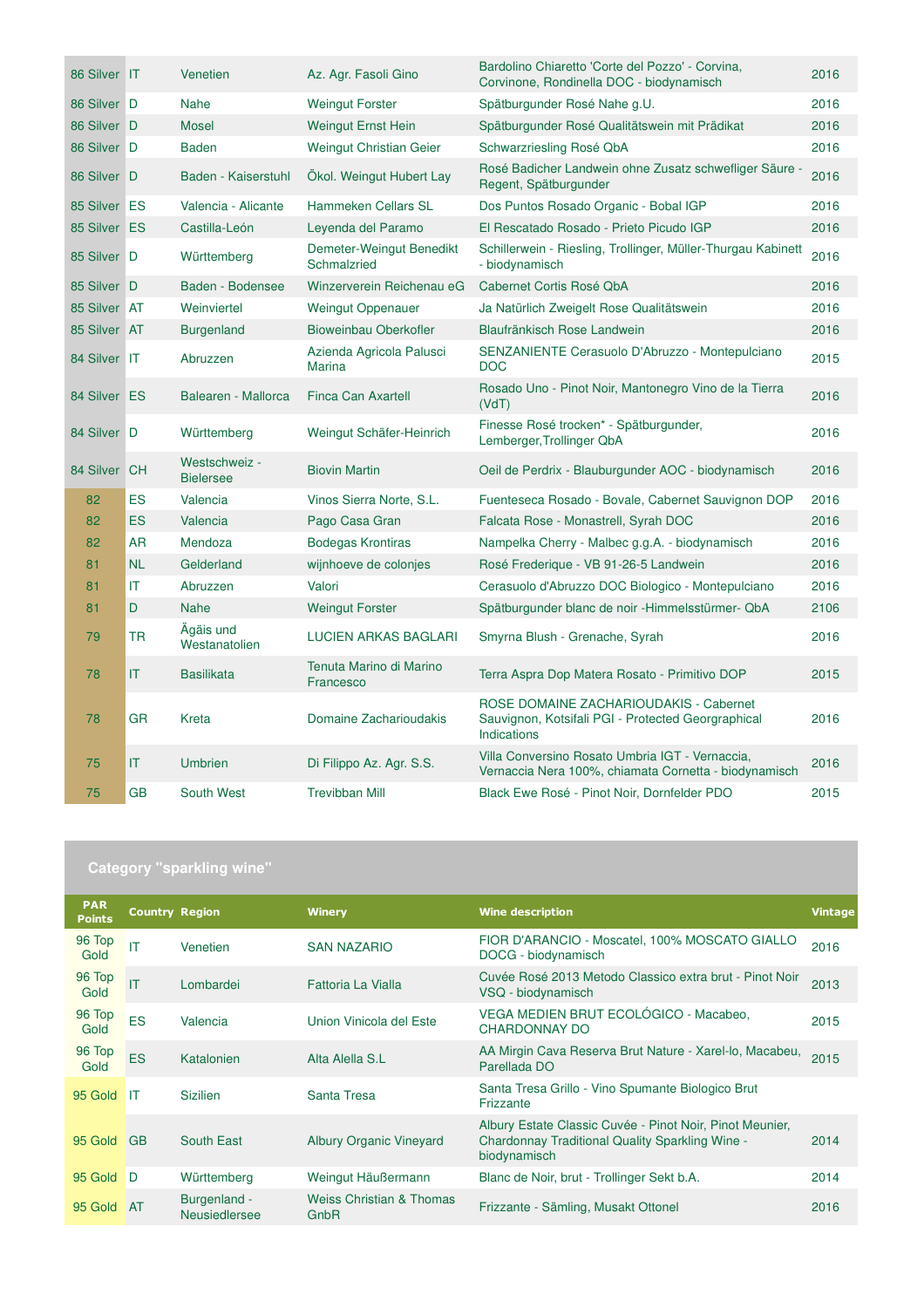| 86 Silver IT |                        | Venetien                          | Az. Agr. Fasoli Gino                      | Bardolino Chiaretto 'Corte del Pozzo' - Corvina,<br>Corvinone, Rondinella DOC - biodynamisch                | 2016 |
|--------------|------------------------|-----------------------------------|-------------------------------------------|-------------------------------------------------------------------------------------------------------------|------|
| 86 Silver D  |                        | <b>Nahe</b>                       | <b>Weingut Forster</b>                    | Spätburgunder Rosé Nahe g.U.                                                                                | 2016 |
| 86 Silver D  |                        | <b>Mosel</b>                      | <b>Weingut Ernst Hein</b>                 | Spätburgunder Rosé Qualitätswein mit Prädikat                                                               | 2016 |
| 86 Silver D  |                        | <b>Baden</b>                      | <b>Weingut Christian Geier</b>            | Schwarzriesling Rosé QbA                                                                                    | 2016 |
| 86 Silver D  |                        | Baden - Kaiserstuhl               | Ökol. Weingut Hubert Lay                  | Rosé Badicher Landwein ohne Zusatz schwefliger Säure -<br>Regent, Spätburgunder                             | 2016 |
| 85 Silver ES |                        | Valencia - Alicante               | Hammeken Cellars SL                       | Dos Puntos Rosado Organic - Bobal IGP                                                                       | 2016 |
| 85 Silver ES |                        | Castilla-León                     | Leyenda del Paramo                        | El Rescatado Rosado - Prieto Picudo IGP                                                                     | 2016 |
| 85 Silver D  |                        | Württemberg                       | Demeter-Weingut Benedikt<br>Schmalzried   | Schillerwein - Riesling, Trollinger, Müller-Thurgau Kabinett<br>- biodynamisch                              | 2016 |
| 85 Silver D  |                        | Baden - Bodensee                  | Winzerverein Reichenau eG                 | Cabernet Cortis Rosé QbA                                                                                    | 2016 |
| 85 Silver AT |                        | Weinviertel                       | <b>Weingut Oppenauer</b>                  | Ja Natürlich Zweigelt Rose Qualitätswein                                                                    | 2016 |
| 85 Silver AT |                        | <b>Burgenland</b>                 | Bioweinbau Oberkofler                     | Blaufränkisch Rose Landwein                                                                                 | 2016 |
| 84 Silver IT |                        | Abruzzen                          | Azienda Agricola Palusci<br><b>Marina</b> | SENZANIENTE Cerasuolo D'Abruzzo - Montepulciano<br><b>DOC</b>                                               | 2015 |
| 84 Silver ES |                        | Balearen - Mallorca               | <b>Finca Can Axartell</b>                 | Rosado Uno - Pinot Noir, Mantonegro Vino de la Tierra<br>(VdT)                                              | 2016 |
| 84 Silver D  |                        | Württemberg                       | Weingut Schäfer-Heinrich                  | Finesse Rosé trocken* - Spätburgunder,<br>Lemberger, Trollinger QbA                                         | 2016 |
| 84 Silver CH |                        | Westschweiz -<br><b>Bielersee</b> | <b>Biovin Martin</b>                      | Oeil de Perdrix - Blauburgunder AOC - biodynamisch                                                          | 2016 |
| 82           | ES                     | Valencia                          | Vinos Sierra Norte, S.L.                  | Fuenteseca Rosado - Bovale, Cabernet Sauvignon DOP                                                          | 2016 |
| 82           | ES                     | Valencia                          | Pago Casa Gran                            | Falcata Rose - Monastrell, Syrah DOC                                                                        | 2016 |
| 82           | <b>AR</b>              | Mendoza                           | <b>Bodegas Krontiras</b>                  | Nampelka Cherry - Malbec g.g.A. - biodynamisch                                                              | 2016 |
| 81           | <b>NL</b>              | Gelderland                        | wijnhoeve de colonjes                     | Rosé Frederique - VB 91-26-5 Landwein                                                                       | 2016 |
| 81           | $\mathsf{I}\mathsf{T}$ | Abruzzen                          | Valori                                    | Cerasuolo d'Abruzzo DOC Biologico - Montepulciano                                                           | 2016 |
| 81           | D                      | <b>Nahe</b>                       | <b>Weingut Forster</b>                    | Spätburgunder blanc de noir -Himmelsstürmer- QbA                                                            | 2106 |
| 79           | <b>TR</b>              | Ägäis und<br>Westanatolien        | <b>LUCIEN ARKAS BAGLARI</b>               | Smyrna Blush - Grenache, Syrah                                                                              | 2016 |
| 78           | IT.                    | <b>Basilikata</b>                 | Tenuta Marino di Marino<br>Francesco      | Terra Aspra Dop Matera Rosato - Primitivo DOP                                                               | 2015 |
| 78           | <b>GR</b>              | Kreta                             | Domaine Zacharioudakis                    | ROSE DOMAINE ZACHARIOUDAKIS - Cabernet<br>Sauvignon, Kotsifali PGI - Protected Georgraphical<br>Indications | 2016 |
| 75           | IT.                    | <b>Umbrien</b>                    | Di Filippo Az. Agr. S.S.                  | Villa Conversino Rosato Umbria IGT - Vernaccia.<br>Vernaccia Nera 100%, chiamata Cornetta - biodynamisch    | 2016 |
| 75           | <b>GB</b>              | South West                        | <b>Trevibban Mill</b>                     | Black Ewe Rosé - Pinot Noir, Dornfelder PDO                                                                 | 2015 |

| Category "sparkling wine" |  |  |
|---------------------------|--|--|
|                           |  |  |

| <b>PAR</b><br><b>Points</b> | <b>Country Region</b>  |                               | <b>Winery</b>                               | <b>Wine description</b>                                                                                                     | <b>Vintage</b> |
|-----------------------------|------------------------|-------------------------------|---------------------------------------------|-----------------------------------------------------------------------------------------------------------------------------|----------------|
| 96 Top<br>Gold              | IT                     | Venetien                      | <b>SAN NAZARIO</b>                          | FIOR D'ARANCIO - Moscatel, 100% MOSCATO GIALLO<br>DOCG - biodynamisch                                                       | 2016           |
| 96 Top<br>Gold              | $\mathsf{I}\mathsf{T}$ | Lombardei                     | Fattoria La Vialla                          | Cuvée Rosé 2013 Metodo Classico extra brut - Pinot Noir<br>VSQ - biodynamisch                                               | 2013           |
| 96 Top<br>Gold              | ES                     | Valencia                      | Union Vinicola del Este                     | VEGA MEDIEN BRUT ECOLÓGICO - Macabeo.<br>CHARDONNAY DO                                                                      | 2015           |
| 96 Top<br>Gold              | <b>ES</b>              | Katalonien                    | Alta Alella S.L                             | AA Mirgin Cava Reserva Brut Nature - Xarel-lo, Macabeu,<br>Parellada DO                                                     | 2015           |
| 95 Gold                     | IT                     | <b>Sizilien</b>               | Santa Tresa                                 | Santa Tresa Grillo - Vino Spumante Biologico Brut<br>Frizzante                                                              |                |
| 95 Gold                     | <b>GB</b>              | South East                    | <b>Albury Organic Vineyard</b>              | Albury Estate Classic Cuvée - Pinot Noir, Pinot Meunier,<br>Chardonnay Traditional Quality Sparkling Wine -<br>biodynamisch | 2014           |
| 95 Gold                     | D                      | Württemberg                   | Weingut Häußermann                          | Blanc de Noir, brut - Trollinger Sekt b.A.                                                                                  | 2014           |
| 95 Gold                     | <b>AT</b>              | Burgenland -<br>Neusiedlersee | <b>Weiss Christian &amp; Thomas</b><br>GnbR | Frizzante - Sämling, Musakt Ottonel                                                                                         | 2016           |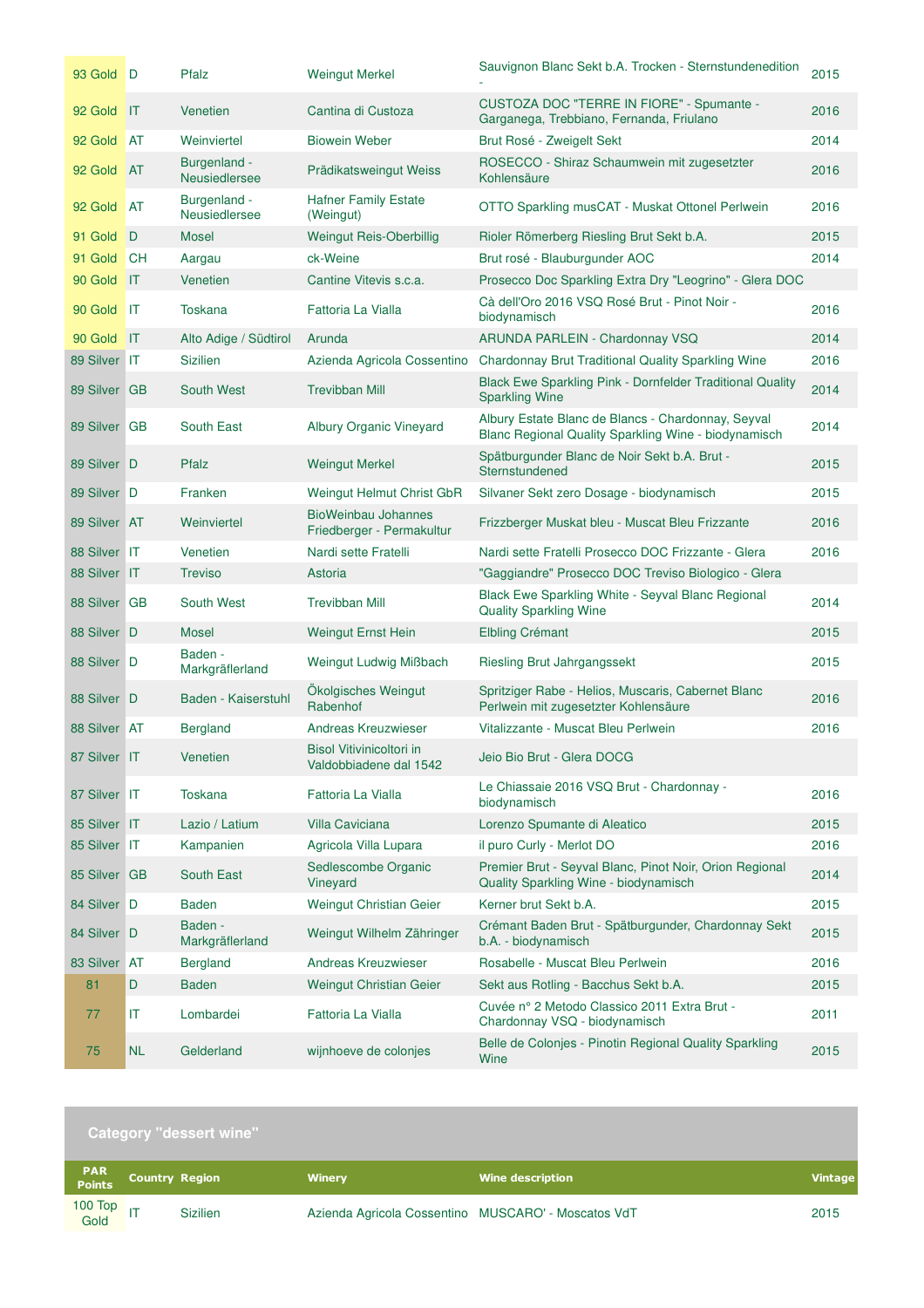| 93 Gold D    |                | Pfalz                                | <b>Weingut Merkel</b>                                   | Sauvignon Blanc Sekt b.A. Trocken - Sternstundenedition                                                    | 2015 |
|--------------|----------------|--------------------------------------|---------------------------------------------------------|------------------------------------------------------------------------------------------------------------|------|
| 92 Gold IT   |                | Venetien                             | Cantina di Custoza                                      | CUSTOZA DOC "TERRE IN FIORE" - Spumante -<br>Garganega, Trebbiano, Fernanda, Friulano                      | 2016 |
| 92 Gold      | <b>AT</b>      | Weinviertel                          | <b>Biowein Weber</b>                                    | Brut Rosé - Zweigelt Sekt                                                                                  | 2014 |
| 92 Gold      | <b>AT</b>      | Burgenland -<br><b>Neusiedlersee</b> | Prädikatsweingut Weiss                                  | ROSECCO - Shiraz Schaumwein mit zugesetzter<br>Kohlensäure                                                 | 2016 |
| 92 Gold      | <b>AT</b>      | Burgenland -<br>Neusiedlersee        | <b>Hafner Family Estate</b><br>(Weingut)                | OTTO Sparkling musCAT - Muskat Ottonel Perlwein                                                            | 2016 |
| 91 Gold      | D              | <b>Mosel</b>                         | <b>Weingut Reis-Oberbillig</b>                          | Rioler Römerberg Riesling Brut Sekt b.A.                                                                   | 2015 |
| 91 Gold      | <b>CH</b>      | Aargau                               | ck-Weine                                                | Brut rosé - Blauburgunder AOC                                                                              | 2014 |
| 90 Gold IT   |                | Venetien                             | Cantine Vitevis s.c.a.                                  | Prosecco Doc Sparkling Extra Dry "Leogrino" - Glera DOC                                                    |      |
| 90 Gold      | -IT            | <b>Toskana</b>                       | Fattoria La Vialla                                      | Cà dell'Oro 2016 VSQ Rosé Brut - Pinot Noir -<br>biodynamisch                                              | 2016 |
| 90 Gold      | $\blacksquare$ | Alto Adige / Südtirol                | Arunda                                                  | ARUNDA PARLEIN - Chardonnay VSQ                                                                            | 2014 |
| 89 Silver IT |                | <b>Sizilien</b>                      | Azienda Agricola Cossentino                             | Chardonnay Brut Traditional Quality Sparkling Wine                                                         | 2016 |
| 89 Silver GB |                | South West                           | <b>Trevibban Mill</b>                                   | Black Ewe Sparkling Pink - Dornfelder Traditional Quality<br><b>Sparkling Wine</b>                         | 2014 |
| 89 Silver GB |                | South East                           | Albury Organic Vineyard                                 | Albury Estate Blanc de Blancs - Chardonnay, Seyval<br>Blanc Regional Quality Sparkling Wine - biodynamisch | 2014 |
| 89 Silver D  |                | Pfalz                                | <b>Weingut Merkel</b>                                   | Spätburgunder Blanc de Noir Sekt b.A. Brut -<br>Sternstundened                                             | 2015 |
| 89 Silver D  |                | Franken                              | Weingut Helmut Christ GbR                               | Silvaner Sekt zero Dosage - biodynamisch                                                                   | 2015 |
| 89 Silver AT |                | Weinviertel                          | <b>BioWeinbau Johannes</b><br>Friedberger - Permakultur | Frizzberger Muskat bleu - Muscat Bleu Frizzante                                                            | 2016 |
| 88 Silver IT |                | Venetien                             | Nardi sette Fratelli                                    | Nardi sette Fratelli Prosecco DOC Frizzante - Glera                                                        | 2016 |
| 88 Silver IT |                | <b>Treviso</b>                       | Astoria                                                 | "Gaggiandre" Prosecco DOC Treviso Biologico - Glera                                                        |      |
|              |                |                                      |                                                         |                                                                                                            |      |
| 88 Silver GB |                | South West                           | <b>Trevibban Mill</b>                                   | Black Ewe Sparkling White - Seyval Blanc Regional<br><b>Quality Sparkling Wine</b>                         | 2014 |
| 88 Silver D  |                | <b>Mosel</b>                         | <b>Weingut Ernst Hein</b>                               | <b>Elbling Crémant</b>                                                                                     | 2015 |
| 88 Silver D  |                | Baden -<br>Markgräflerland           | Weingut Ludwig Mißbach                                  | Riesling Brut Jahrgangssekt                                                                                | 2015 |
| 88 Silver D  |                | Baden - Kaiserstuhl                  | Ökolgisches Weingut<br>Rabenhof                         | Spritziger Rabe - Helios, Muscaris, Cabernet Blanc<br>Perlwein mit zugesetzter Kohlensäure                 | 2016 |
| 88 Silver AT |                | <b>Bergland</b>                      | <b>Andreas Kreuzwieser</b>                              | Vitalizzante - Muscat Bleu Perlwein                                                                        | 2016 |
| 87 Silver IT |                | Venetien                             | Bisol Vitivinicoltori in<br>Valdobbiadene dal 1542      | Jeio Bio Brut - Glera DOCG                                                                                 |      |
| 87 Silver IT |                | <b>Toskana</b>                       | Fattoria La Vialla                                      | Le Chiassaie 2016 VSQ Brut - Chardonnay -<br>biodynamisch                                                  | 2016 |
| 85 Silver IT |                | Lazio / Latium                       | <b>Villa Caviciana</b>                                  | Lorenzo Spumante di Aleatico                                                                               | 2015 |
| 85 Silver IT |                | Kampanien                            | Agricola Villa Lupara                                   | il puro Curly - Merlot DO                                                                                  | 2016 |
| 85 Silver GB |                | South East                           | Sedlescombe Organic<br>Vineyard                         | Premier Brut - Seyval Blanc, Pinot Noir, Orion Regional<br>Quality Sparkling Wine - biodynamisch           | 2014 |
| 84 Silver D  |                | <b>Baden</b>                         | Weingut Christian Geier                                 | Kerner brut Sekt b.A.                                                                                      | 2015 |
| 84 Silver D  |                | Baden -<br>Markgräflerland           | Weingut Wilhelm Zähringer                               | Crémant Baden Brut - Spätburgunder, Chardonnay Sekt<br>b.A. - biodynamisch                                 | 2015 |
| 83 Silver AT |                | <b>Bergland</b>                      | Andreas Kreuzwieser                                     | Rosabelle - Muscat Bleu Perlwein                                                                           | 2016 |
| 81           | D              | <b>Baden</b>                         | Weingut Christian Geier                                 | Sekt aus Rotling - Bacchus Sekt b.A.                                                                       | 2015 |
| 77           | IT             | Lombardei                            | Fattoria La Vialla                                      | Cuvée nº 2 Metodo Classico 2011 Extra Brut -<br>Chardonnay VSQ - biodynamisch                              | 2011 |

|                      |                       | <b>Category "dessert wine"</b> |                                                     |                         |                |
|----------------------|-----------------------|--------------------------------|-----------------------------------------------------|-------------------------|----------------|
| <b>PAR</b><br>Points | <b>Country Region</b> |                                | <b>Winery</b>                                       | <b>Wine description</b> | <b>Vintage</b> |
| 100 Top<br>Gold IT   |                       | <b>Sizilien</b>                | Azienda Agricola Cossentino MUSCARO' - Moscatos VdT |                         | 2015           |